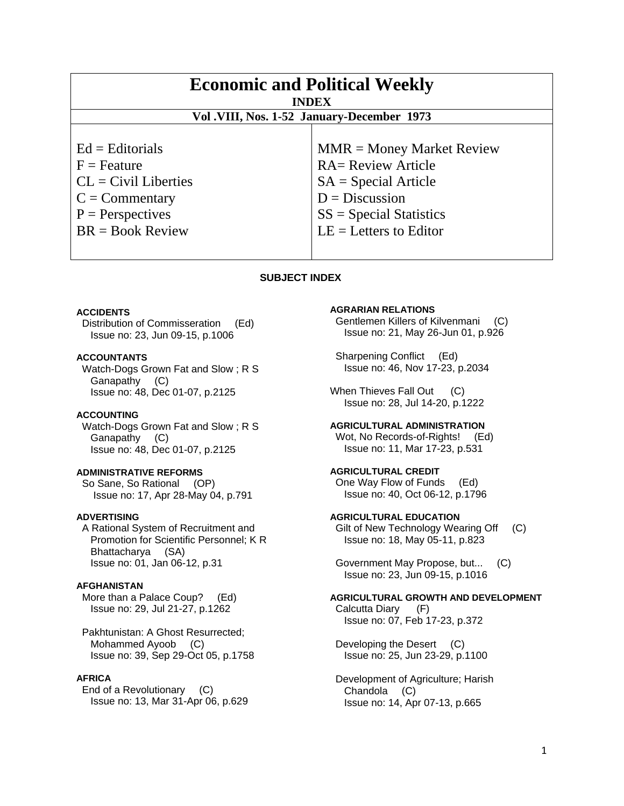| <b>Economic and Political Weekly</b><br><b>INDEX</b><br>Vol.VIII, Nos. 1-52 January-December 1973 |                             |
|---------------------------------------------------------------------------------------------------|-----------------------------|
| $Ed =$ Editorials                                                                                 | $MMR = Money Market Review$ |
| $F =$ Feature                                                                                     | <b>RA= Review Article</b>   |
| $CL = Civil\:$ Liberties                                                                          | $SA = Special Article$      |
| $C = \text{Commentary}$                                                                           | $D = Discussion$            |
| $P =$ Perspectives                                                                                | $SS = Special Statistics$   |
| $BR = Book Review$                                                                                | $LE = Letters to Editor$    |

#### **SUBJECT INDEX**

#### **ACCIDENTS**

 Distribution of Commisseration (Ed) Issue no: 23, Jun 09-15, p.1006

#### **ACCOUNTANTS**

 Watch-Dogs Grown Fat and Slow ; R S Ganapathy (C) Issue no: 48, Dec 01-07, p.2125

## **ACCOUNTING**

 Watch-Dogs Grown Fat and Slow ; R S Ganapathy (C) Issue no: 48, Dec 01-07, p.2125

### **ADMINISTRATIVE REFORMS**

 So Sane, So Rational (OP) Issue no: 17, Apr 28-May 04, p.791

#### **ADVERTISING**

 A Rational System of Recruitment and Promotion for Scientific Personnel; K R Bhattacharya (SA) Issue no: 01, Jan 06-12, p.31

#### **AFGHANISTAN**

 More than a Palace Coup? (Ed) Issue no: 29, Jul 21-27, p.1262

 Pakhtunistan: A Ghost Resurrected; Mohammed Ayoob (C) Issue no: 39, Sep 29-Oct 05, p.1758

## **AFRICA**

 End of a Revolutionary (C) Issue no: 13, Mar 31-Apr 06, p.629

## **AGRARIAN RELATIONS**

 Gentlemen Killers of Kilvenmani (C) Issue no: 21, May 26-Jun 01, p.926

 Sharpening Conflict (Ed) Issue no: 46, Nov 17-23, p.2034

When Thieves Fall Out (C) Issue no: 28, Jul 14-20, p.1222

# **AGRICULTURAL ADMINISTRATION**  Wot, No Records-of-Rights! (Ed)

Issue no: 11, Mar 17-23, p.531

**AGRICULTURAL CREDIT**  One Way Flow of Funds (Ed) Issue no: 40, Oct 06-12, p.1796

# **AGRICULTURAL EDUCATION**

 Gilt of New Technology Wearing Off (C) Issue no: 18, May 05-11, p.823

 Government May Propose, but... (C) Issue no: 23, Jun 09-15, p.1016

### **AGRICULTURAL GROWTH AND DEVELOPMENT**  Calcutta Diary (F) Issue no: 07, Feb 17-23, p.372

Developing the Desert (C) Issue no: 25, Jun 23-29, p.1100

 Development of Agriculture; Harish Chandola (C) Issue no: 14, Apr 07-13, p.665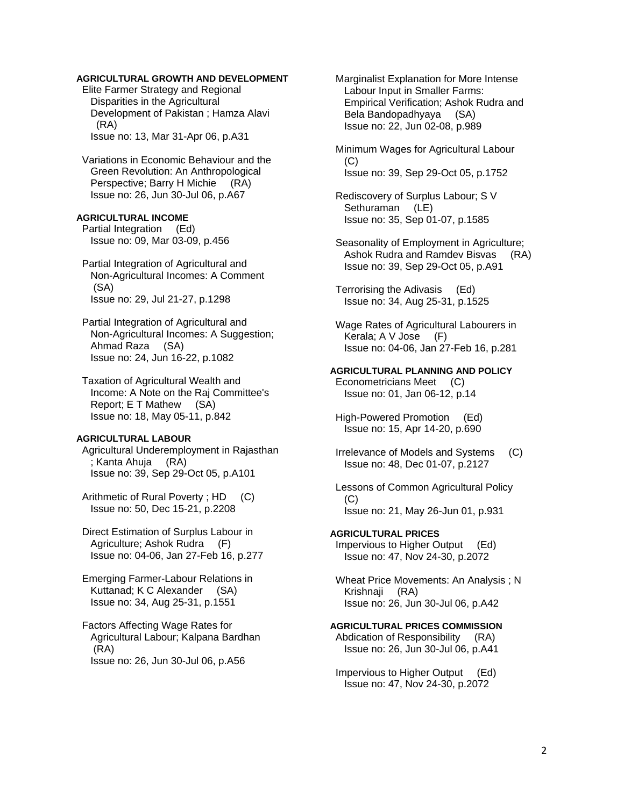## **AGRICULTURAL GROWTH AND DEVELOPMENT**

 Elite Farmer Strategy and Regional Disparities in the Agricultural Development of Pakistan ; Hamza Alavi (RA) Issue no: 13, Mar 31-Apr 06, p.A31

 Variations in Economic Behaviour and the Green Revolution: An Anthropological Perspective; Barry H Michie (RA) Issue no: 26, Jun 30-Jul 06, p.A67

#### **AGRICULTURAL INCOME**

 Partial Integration (Ed) Issue no: 09, Mar 03-09, p.456

 Partial Integration of Agricultural and Non-Agricultural Incomes: A Comment (SA) Issue no: 29, Jul 21-27, p.1298

 Partial Integration of Agricultural and Non-Agricultural Incomes: A Suggestion; Ahmad Raza (SA) Issue no: 24, Jun 16-22, p.1082

 Taxation of Agricultural Wealth and Income: A Note on the Raj Committee's Report; E T Mathew (SA) Issue no: 18, May 05-11, p.842

## **AGRICULTURAL LABOUR**

 Agricultural Underemployment in Rajasthan ; Kanta Ahuja (RA) Issue no: 39, Sep 29-Oct 05, p.A101

 Arithmetic of Rural Poverty ; HD (C) Issue no: 50, Dec 15-21, p.2208

 Direct Estimation of Surplus Labour in Agriculture; Ashok Rudra (F) Issue no: 04-06, Jan 27-Feb 16, p.277

 Emerging Farmer-Labour Relations in Kuttanad; K C Alexander (SA) Issue no: 34, Aug 25-31, p.1551

 Factors Affecting Wage Rates for Agricultural Labour; Kalpana Bardhan (RA) Issue no: 26, Jun 30-Jul 06, p.A56

 Marginalist Explanation for More Intense Labour Input in Smaller Farms: Empirical Verification; Ashok Rudra and Bela Bandopadhyaya (SA) Issue no: 22, Jun 02-08, p.989

 Minimum Wages for Agricultural Labour (C) Issue no: 39, Sep 29-Oct 05, p.1752

 Rediscovery of Surplus Labour; S V Sethuraman (LE) Issue no: 35, Sep 01-07, p.1585

 Seasonality of Employment in Agriculture; Ashok Rudra and Ramdev Bisvas (RA) Issue no: 39, Sep 29-Oct 05, p.A91

 Terrorising the Adivasis (Ed) Issue no: 34, Aug 25-31, p.1525

 Wage Rates of Agricultural Labourers in Kerala; A V Jose (F) Issue no: 04-06, Jan 27-Feb 16, p.281

**AGRICULTURAL PLANNING AND POLICY**  Econometricians Meet (C) Issue no: 01, Jan 06-12, p.14

 High-Powered Promotion (Ed) Issue no: 15, Apr 14-20, p.690

 Irrelevance of Models and Systems (C) Issue no: 48, Dec 01-07, p.2127

 Lessons of Common Agricultural Policy (C) Issue no: 21, May 26-Jun 01, p.931

**AGRICULTURAL PRICES** 

 Impervious to Higher Output (Ed) Issue no: 47, Nov 24-30, p.2072

 Wheat Price Movements: An Analysis ; N Krishnaji (RA) Issue no: 26, Jun 30-Jul 06, p.A42

**AGRICULTURAL PRICES COMMISSION** 

 Abdication of Responsibility (RA) Issue no: 26, Jun 30-Jul 06, p.A41

 Impervious to Higher Output (Ed) Issue no: 47, Nov 24-30, p.2072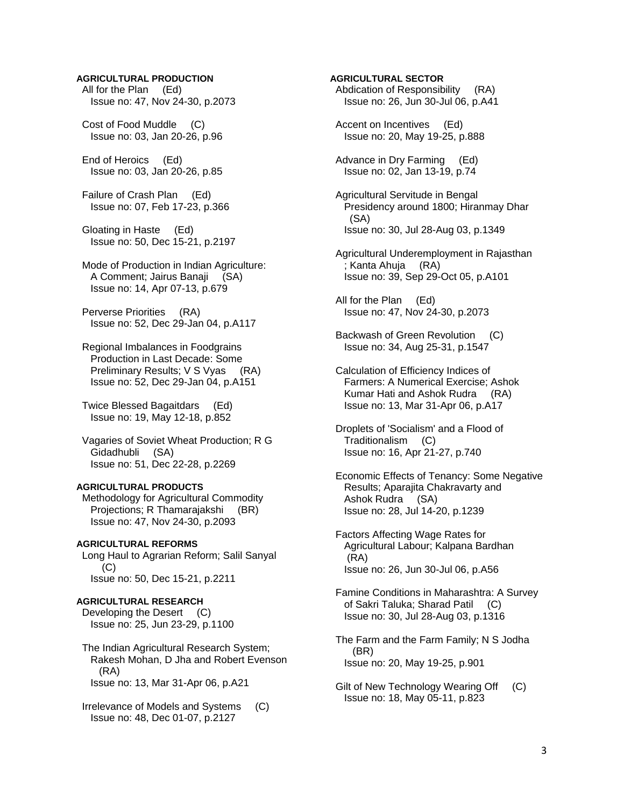#### **AGRICULTURAL PRODUCTION**

 All for the Plan (Ed) Issue no: 47, Nov 24-30, p.2073

 Cost of Food Muddle (C) Issue no: 03, Jan 20-26, p.96

 End of Heroics (Ed) Issue no: 03, Jan 20-26, p.85

 Failure of Crash Plan (Ed) Issue no: 07, Feb 17-23, p.366

 Gloating in Haste (Ed) Issue no: 50, Dec 15-21, p.2197

 Mode of Production in Indian Agriculture: A Comment; Jairus Banaji (SA) Issue no: 14, Apr 07-13, p.679

 Perverse Priorities (RA) Issue no: 52, Dec 29-Jan 04, p.A117

 Regional Imbalances in Foodgrains Production in Last Decade: Some Preliminary Results; V S Vyas (RA) Issue no: 52, Dec 29-Jan 04, p.A151

 Twice Blessed Bagaitdars (Ed) Issue no: 19, May 12-18, p.852

 Vagaries of Soviet Wheat Production; R G Gidadhubli (SA) Issue no: 51, Dec 22-28, p.2269

#### **AGRICULTURAL PRODUCTS**  Methodology for Agricultural Commodity Projections; R Thamarajakshi (BR) Issue no: 47, Nov 24-30, p.2093

**AGRICULTURAL REFORMS**  Long Haul to Agrarian Reform; Salil Sanyal (C) Issue no: 50, Dec 15-21, p.2211

#### **AGRICULTURAL RESEARCH**  Developing the Desert (C)

Issue no: 25, Jun 23-29, p.1100

 The Indian Agricultural Research System; Rakesh Mohan, D Jha and Robert Evenson (RA) Issue no: 13, Mar 31-Apr 06, p.A21

 Irrelevance of Models and Systems (C) Issue no: 48, Dec 01-07, p.2127

# **AGRICULTURAL SECTOR**  Abdication of Responsibility (RA) Issue no: 26, Jun 30-Jul 06, p.A41 Accent on Incentives (Ed)

Issue no: 20, May 19-25, p.888

 Advance in Dry Farming (Ed) Issue no: 02, Jan 13-19, p.74

 Agricultural Servitude in Bengal Presidency around 1800; Hiranmay Dhar (SA) Issue no: 30, Jul 28-Aug 03, p.1349

 Agricultural Underemployment in Rajasthan ; Kanta Ahuja (RA) Issue no: 39, Sep 29-Oct 05, p.A101

 All for the Plan (Ed) Issue no: 47, Nov 24-30, p.2073

 Backwash of Green Revolution (C) Issue no: 34, Aug 25-31, p.1547

 Calculation of Efficiency Indices of Farmers: A Numerical Exercise; Ashok Kumar Hati and Ashok Rudra (RA) Issue no: 13, Mar 31-Apr 06, p.A17

 Droplets of 'Socialism' and a Flood of Traditionalism (C) Issue no: 16, Apr 21-27, p.740

 Economic Effects of Tenancy: Some Negative Results; Aparajita Chakravarty and Ashok Rudra (SA) Issue no: 28, Jul 14-20, p.1239

 Factors Affecting Wage Rates for Agricultural Labour; Kalpana Bardhan (RA) Issue no: 26, Jun 30-Jul 06, p.A56

 Famine Conditions in Maharashtra: A Survey of Sakri Taluka; Sharad Patil (C) Issue no: 30, Jul 28-Aug 03, p.1316

 The Farm and the Farm Family; N S Jodha (BR) Issue no: 20, May 19-25, p.901

Gilt of New Technology Wearing Off (C) Issue no: 18, May 05-11, p.823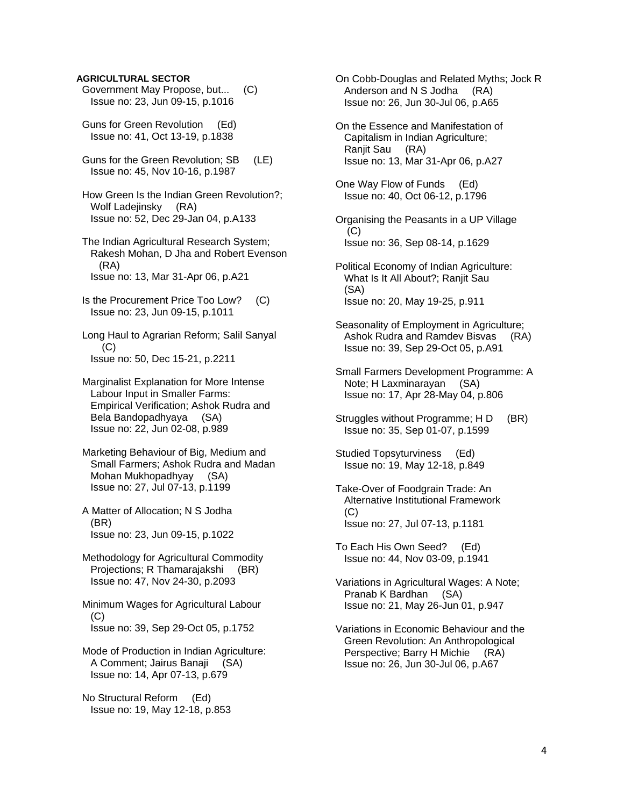#### **AGRICULTURAL SECTOR**

- Government May Propose, but... (C) Issue no: 23, Jun 09-15, p.1016
- Guns for Green Revolution (Ed) Issue no: 41, Oct 13-19, p.1838
- Guns for the Green Revolution; SB (LE) Issue no: 45, Nov 10-16, p.1987
- How Green Is the Indian Green Revolution?; Wolf Ladejinsky (RA) Issue no: 52, Dec 29-Jan 04, p.A133
- The Indian Agricultural Research System; Rakesh Mohan, D Jha and Robert Evenson (RA) Issue no: 13, Mar 31-Apr 06, p.A21
- Is the Procurement Price Too Low? (C) Issue no: 23, Jun 09-15, p.1011
- Long Haul to Agrarian Reform; Salil Sanyal  $(C)$ Issue no: 50, Dec 15-21, p.2211
- Marginalist Explanation for More Intense Labour Input in Smaller Farms: Empirical Verification; Ashok Rudra and Bela Bandopadhyaya (SA) Issue no: 22, Jun 02-08, p.989
- Marketing Behaviour of Big, Medium and Small Farmers; Ashok Rudra and Madan Mohan Mukhopadhyay (SA) Issue no: 27, Jul 07-13, p.1199
- A Matter of Allocation; N S Jodha (BR) Issue no: 23, Jun 09-15, p.1022
- Methodology for Agricultural Commodity Projections; R Thamarajakshi (BR) Issue no: 47, Nov 24-30, p.2093
- Minimum Wages for Agricultural Labour (C) Issue no: 39, Sep 29-Oct 05, p.1752
- Mode of Production in Indian Agriculture: A Comment; Jairus Banaji (SA) Issue no: 14, Apr 07-13, p.679
- No Structural Reform (Ed) Issue no: 19, May 12-18, p.853

 On Cobb-Douglas and Related Myths; Jock R Anderson and N S Jodha (RA) Issue no: 26, Jun 30-Jul 06, p.A65

- On the Essence and Manifestation of Capitalism in Indian Agriculture; Ranjit Sau (RA) Issue no: 13, Mar 31-Apr 06, p.A27
- One Way Flow of Funds (Ed) Issue no: 40, Oct 06-12, p.1796
- Organising the Peasants in a UP Village  $(C)$ Issue no: 36, Sep 08-14, p.1629
- Political Economy of Indian Agriculture: What Is It All About?; Ranjit Sau (SA) Issue no: 20, May 19-25, p.911
- Seasonality of Employment in Agriculture; Ashok Rudra and Ramdev Bisvas (RA) Issue no: 39, Sep 29-Oct 05, p.A91
- Small Farmers Development Programme: A Note; H Laxminarayan (SA) Issue no: 17, Apr 28-May 04, p.806
- Struggles without Programme; H D (BR) Issue no: 35, Sep 01-07, p.1599
- Studied Topsyturviness (Ed) Issue no: 19, May 12-18, p.849
- Take-Over of Foodgrain Trade: An Alternative Institutional Framework (C) Issue no: 27, Jul 07-13, p.1181
- To Each His Own Seed? (Ed) Issue no: 44, Nov 03-09, p.1941
- Variations in Agricultural Wages: A Note; Pranab K Bardhan (SA) Issue no: 21, May 26-Jun 01, p.947
- Variations in Economic Behaviour and the Green Revolution: An Anthropological Perspective; Barry H Michie (RA) Issue no: 26, Jun 30-Jul 06, p.A67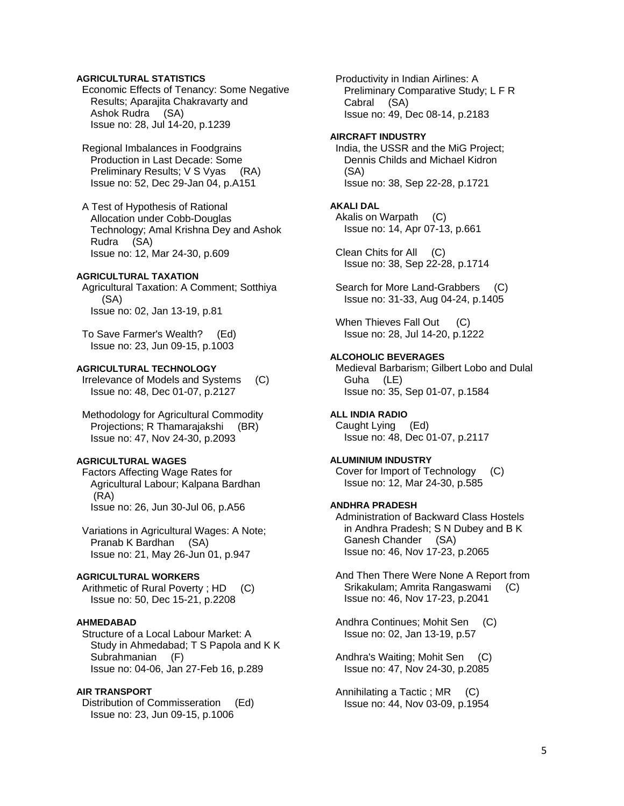### **AGRICULTURAL STATISTICS**

 Economic Effects of Tenancy: Some Negative Results; Aparajita Chakravarty and Ashok Rudra (SA) Issue no: 28, Jul 14-20, p.1239

 Regional Imbalances in Foodgrains Production in Last Decade: Some Preliminary Results; V S Vyas (RA) Issue no: 52, Dec 29-Jan 04, p.A151

 A Test of Hypothesis of Rational Allocation under Cobb-Douglas Technology; Amal Krishna Dey and Ashok Rudra (SA) Issue no: 12, Mar 24-30, p.609

#### **AGRICULTURAL TAXATION**

 Agricultural Taxation: A Comment; Sotthiya (SA) Issue no: 02, Jan 13-19, p.81

 To Save Farmer's Wealth? (Ed) Issue no: 23, Jun 09-15, p.1003

# **AGRICULTURAL TECHNOLOGY**

 Irrelevance of Models and Systems (C) Issue no: 48, Dec 01-07, p.2127

 Methodology for Agricultural Commodity Projections; R Thamarajakshi (BR) Issue no: 47, Nov 24-30, p.2093

## **AGRICULTURAL WAGES**

 Factors Affecting Wage Rates for Agricultural Labour; Kalpana Bardhan (RA) Issue no: 26, Jun 30-Jul 06, p.A56

 Variations in Agricultural Wages: A Note; Pranab K Bardhan (SA) Issue no: 21, May 26-Jun 01, p.947

## **AGRICULTURAL WORKERS**

Arithmetic of Rural Poverty ; HD (C) Issue no: 50, Dec 15-21, p.2208

## **AHMEDABAD**

 Structure of a Local Labour Market: A Study in Ahmedabad; T S Papola and K K Subrahmanian (F) Issue no: 04-06, Jan 27-Feb 16, p.289

# **AIR TRANSPORT**

 Distribution of Commisseration (Ed) Issue no: 23, Jun 09-15, p.1006

 Productivity in Indian Airlines: A Preliminary Comparative Study; L F R Cabral (SA) Issue no: 49, Dec 08-14, p.2183

#### **AIRCRAFT INDUSTRY**

 India, the USSR and the MiG Project; Dennis Childs and Michael Kidron (SA) Issue no: 38, Sep 22-28, p.1721

## **AKALI DAL**

 Akalis on Warpath (C) Issue no: 14, Apr 07-13, p.661

 Clean Chits for All (C) Issue no: 38, Sep 22-28, p.1714

Search for More Land-Grabbers (C) Issue no: 31-33, Aug 04-24, p.1405

When Thieves Fall Out (C) Issue no: 28, Jul 14-20, p.1222

#### **ALCOHOLIC BEVERAGES**

 Medieval Barbarism; Gilbert Lobo and Dulal Guha (LE) Issue no: 35, Sep 01-07, p.1584

## **ALL INDIA RADIO**

 Caught Lying (Ed) Issue no: 48, Dec 01-07, p.2117

## **ALUMINIUM INDUSTRY**

 Cover for Import of Technology (C) Issue no: 12, Mar 24-30, p.585

## **ANDHRA PRADESH**

 Administration of Backward Class Hostels in Andhra Pradesh; S N Dubey and B K Ganesh Chander (SA) Issue no: 46, Nov 17-23, p.2065

 And Then There Were None A Report from Srikakulam; Amrita Rangaswami (C) Issue no: 46, Nov 17-23, p.2041

 Andhra Continues; Mohit Sen (C) Issue no: 02, Jan 13-19, p.57

 Andhra's Waiting; Mohit Sen (C) Issue no: 47, Nov 24-30, p.2085

 Annihilating a Tactic ; MR (C) Issue no: 44, Nov 03-09, p.1954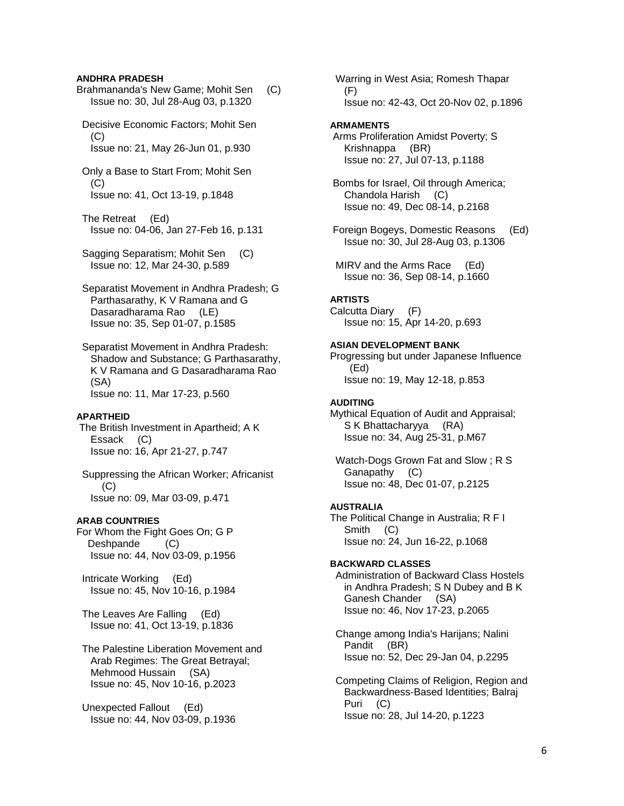#### **ANDHRA PRADESH**

Brahmananda's New Game; Mohit Sen (C) Issue no: 30, Jul 28-Aug 03, p.1320

 Decisive Economic Factors; Mohit Sen  $(C)$ Issue no: 21, May 26-Jun 01, p.930

 Only a Base to Start From; Mohit Sen (C) Issue no: 41, Oct 13-19, p.1848

 The Retreat (Ed) Issue no: 04-06, Jan 27-Feb 16, p.131

 Sagging Separatism; Mohit Sen (C) Issue no: 12, Mar 24-30, p.589

 Separatist Movement in Andhra Pradesh; G Parthasarathy, K V Ramana and G Dasaradharama Rao (LE) Issue no: 35, Sep 01-07, p.1585

 Separatist Movement in Andhra Pradesh: Shadow and Substance; G Parthasarathy, K V Ramana and G Dasaradharama Rao (SA) Issue no: 11, Mar 17-23, p.560

#### **APARTHEID**

 The British Investment in Apartheid; A K Essack (C) Issue no: 16, Apr 21-27, p.747

 Suppressing the African Worker; Africanist  $(C)$ Issue no: 09, Mar 03-09, p.471

#### **ARAB COUNTRIES**

For Whom the Fight Goes On; G P Deshpande (C) Issue no: 44, Nov 03-09, p.1956

 Intricate Working (Ed) Issue no: 45, Nov 10-16, p.1984

 The Leaves Are Falling (Ed) Issue no: 41, Oct 13-19, p.1836

 The Palestine Liberation Movement and Arab Regimes: The Great Betrayal; Mehmood Hussain (SA) Issue no: 45, Nov 10-16, p.2023

 Unexpected Fallout (Ed) Issue no: 44, Nov 03-09, p.1936  Warring in West Asia; Romesh Thapar (F) Issue no: 42-43, Oct 20-Nov 02, p.1896

#### **ARMAMENTS**

 Arms Proliferation Amidst Poverty; S Krishnappa (BR) Issue no: 27, Jul 07-13, p.1188

 Bombs for Israel, Oil through America; Chandola Harish (C) Issue no: 49, Dec 08-14, p.2168

 Foreign Bogeys, Domestic Reasons (Ed) Issue no: 30, Jul 28-Aug 03, p.1306

 MIRV and the Arms Race (Ed) Issue no: 36, Sep 08-14, p.1660

#### **ARTISTS**

Calcutta Diary (F) Issue no: 15, Apr 14-20, p.693

## **ASIAN DEVELOPMENT BANK**

Progressing but under Japanese Influence (Ed) Issue no: 19, May 12-18, p.853

#### **AUDITING**

Mythical Equation of Audit and Appraisal; S K Bhattacharyya (RA) Issue no: 34, Aug 25-31, p.M67

 Watch-Dogs Grown Fat and Slow ; R S Ganapathy (C) Issue no: 48, Dec 01-07, p.2125

#### **AUSTRALIA**

The Political Change in Australia; R F I Smith (C) Issue no: 24, Jun 16-22, p.1068

#### **BACKWARD CLASSES**

 Administration of Backward Class Hostels in Andhra Pradesh; S N Dubey and B K Ganesh Chander (SA) Issue no: 46, Nov 17-23, p.2065

 Change among India's Harijans; Nalini Pandit (BR) Issue no: 52, Dec 29-Jan 04, p.2295

 Competing Claims of Religion, Region and Backwardness-Based Identities; Balraj Puri (C) Issue no: 28, Jul 14-20, p.1223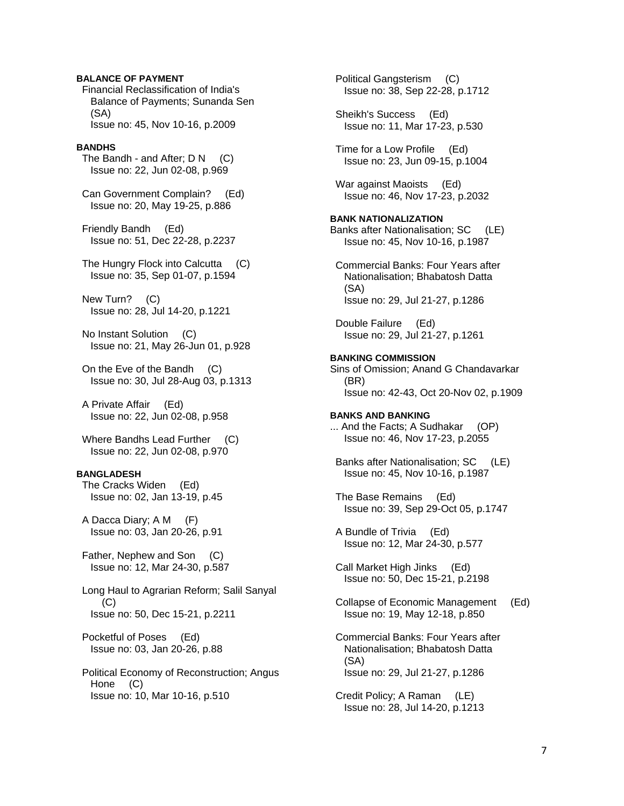## **BALANCE OF PAYMENT**

 Financial Reclassification of India's Balance of Payments; Sunanda Sen (SA) Issue no: 45, Nov 10-16, p.2009

#### **BANDHS**

The Bandh - and After;  $D N$  (C) Issue no: 22, Jun 02-08, p.969

 Can Government Complain? (Ed) Issue no: 20, May 19-25, p.886

 Friendly Bandh (Ed) Issue no: 51, Dec 22-28, p.2237

 The Hungry Flock into Calcutta (C) Issue no: 35, Sep 01-07, p.1594

 New Turn? (C) Issue no: 28, Jul 14-20, p.1221

 No Instant Solution (C) Issue no: 21, May 26-Jun 01, p.928

 On the Eve of the Bandh (C) Issue no: 30, Jul 28-Aug 03, p.1313

 A Private Affair (Ed) Issue no: 22, Jun 02-08, p.958

Where Bandhs Lead Further (C) Issue no: 22, Jun 02-08, p.970

#### **BANGLADESH**

 The Cracks Widen (Ed) Issue no: 02, Jan 13-19, p.45

 A Dacca Diary; A M (F) Issue no: 03, Jan 20-26, p.91

 Father, Nephew and Son (C) Issue no: 12, Mar 24-30, p.587

 Long Haul to Agrarian Reform; Salil Sanyal (C) Issue no: 50, Dec 15-21, p.2211

 Pocketful of Poses (Ed) Issue no: 03, Jan 20-26, p.88

 Political Economy of Reconstruction; Angus Hone (C) Issue no: 10, Mar 10-16, p.510

 Political Gangsterism (C) Issue no: 38, Sep 22-28, p.1712 Sheikh's Success (Ed) Issue no: 11, Mar 17-23, p.530 Time for a Low Profile (Ed) Issue no: 23, Jun 09-15, p.1004 War against Maoists (Ed) Issue no: 46, Nov 17-23, p.2032 **BANK NATIONALIZATION**  Banks after Nationalisation; SC (LE) Issue no: 45, Nov 10-16, p.1987 Commercial Banks: Four Years after Nationalisation; Bhabatosh Datta (SA) Issue no: 29, Jul 21-27, p.1286 Double Failure (Ed) Issue no: 29, Jul 21-27, p.1261 **BANKING COMMISSION**  Sins of Omission; Anand G Chandavarkar (BR) Issue no: 42-43, Oct 20-Nov 02, p.1909 **BANKS AND BANKING**  ... And the Facts; A Sudhakar (OP) Issue no: 46, Nov 17-23, p.2055 Banks after Nationalisation; SC (LE) Issue no: 45, Nov 10-16, p.1987 The Base Remains (Ed) Issue no: 39, Sep 29-Oct 05, p.1747 A Bundle of Trivia (Ed) Issue no: 12, Mar 24-30, p.577 Call Market High Jinks (Ed) Issue no: 50, Dec 15-21, p.2198 Collapse of Economic Management (Ed) Issue no: 19, May 12-18, p.850 Commercial Banks: Four Years after Nationalisation; Bhabatosh Datta (SA) Issue no: 29, Jul 21-27, p.1286 Credit Policy; A Raman (LE) Issue no: 28, Jul 14-20, p.1213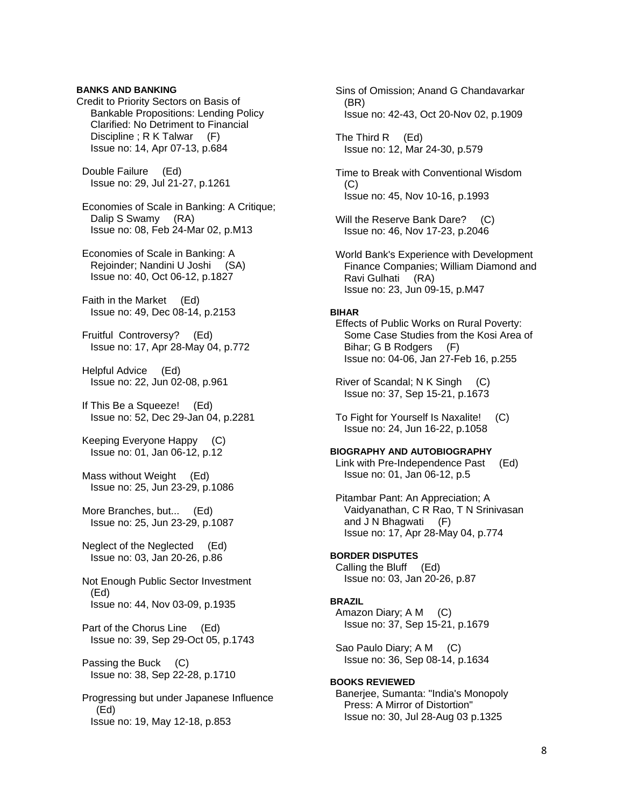### **BANKS AND BANKING**

Credit to Priority Sectors on Basis of Bankable Propositions: Lending Policy Clarified: No Detriment to Financial Discipline ; R K Talwar (F) Issue no: 14, Apr 07-13, p.684

 Double Failure (Ed) Issue no: 29, Jul 21-27, p.1261

 Economies of Scale in Banking: A Critique; Dalip S Swamy (RA) Issue no: 08, Feb 24-Mar 02, p.M13

 Economies of Scale in Banking: A Rejoinder; Nandini U Joshi (SA) Issue no: 40, Oct 06-12, p.1827

 Faith in the Market (Ed) Issue no: 49, Dec 08-14, p.2153

 Fruitful Controversy? (Ed) Issue no: 17, Apr 28-May 04, p.772

 Helpful Advice (Ed) Issue no: 22, Jun 02-08, p.961

 If This Be a Squeeze! (Ed) Issue no: 52, Dec 29-Jan 04, p.2281

 Keeping Everyone Happy (C) Issue no: 01, Jan 06-12, p.12

Mass without Weight (Ed) Issue no: 25, Jun 23-29, p.1086

 More Branches, but... (Ed) Issue no: 25, Jun 23-29, p.1087

 Neglect of the Neglected (Ed) Issue no: 03, Jan 20-26, p.86

 Not Enough Public Sector Investment (Ed) Issue no: 44, Nov 03-09, p.1935

 Part of the Chorus Line (Ed) Issue no: 39, Sep 29-Oct 05, p.1743

 Passing the Buck (C) Issue no: 38, Sep 22-28, p.1710

 Progressing but under Japanese Influence (Ed) Issue no: 19, May 12-18, p.853

 Sins of Omission; Anand G Chandavarkar (BR) Issue no: 42-43, Oct 20-Nov 02, p.1909

 The Third R (Ed) Issue no: 12, Mar 24-30, p.579

 Time to Break with Conventional Wisdom  $(C)$ Issue no: 45, Nov 10-16, p.1993

Will the Reserve Bank Dare? (C) Issue no: 46, Nov 17-23, p.2046

 World Bank's Experience with Development Finance Companies; William Diamond and Ravi Gulhati (RA) Issue no: 23, Jun 09-15, p.M47

#### **BIHAR**

 Effects of Public Works on Rural Poverty: Some Case Studies from the Kosi Area of Bihar; G B Rodgers (F) Issue no: 04-06, Jan 27-Feb 16, p.255

 River of Scandal; N K Singh (C) Issue no: 37, Sep 15-21, p.1673

 To Fight for Yourself Is Naxalite! (C) Issue no: 24, Jun 16-22, p.1058

#### **BIOGRAPHY AND AUTOBIOGRAPHY**

 Link with Pre-Independence Past (Ed) Issue no: 01, Jan 06-12, p.5

 Pitambar Pant: An Appreciation; A Vaidyanathan, C R Rao, T N Srinivasan and J N Bhagwati (F) Issue no: 17, Apr 28-May 04, p.774

**BORDER DISPUTES**  Calling the Bluff (Ed) Issue no: 03, Jan 20-26, p.87

#### **BRAZIL**

 Amazon Diary; A M (C) Issue no: 37, Sep 15-21, p.1679

 Sao Paulo Diary; A M (C) Issue no: 36, Sep 08-14, p.1634

**BOOKS REVIEWED**  Banerjee, Sumanta: "India's Monopoly Press: A Mirror of Distortion" Issue no: 30, Jul 28-Aug 03 p.1325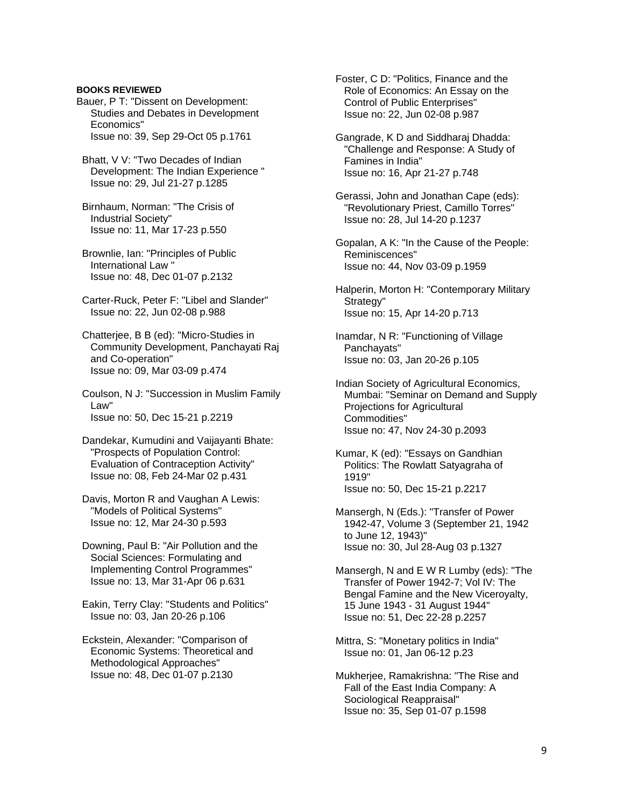#### **BOOKS REVIEWED**

Bauer, P T: "Dissent on Development: Studies and Debates in Development Economics" Issue no: 39, Sep 29-Oct 05 p.1761

 Bhatt, V V: "Two Decades of Indian Development: The Indian Experience " Issue no: 29, Jul 21-27 p.1285

 Birnhaum, Norman: "The Crisis of Industrial Society" Issue no: 11, Mar 17-23 p.550

 Brownlie, Ian: "Principles of Public International Law " Issue no: 48, Dec 01-07 p.2132

 Carter-Ruck, Peter F: "Libel and Slander" Issue no: 22, Jun 02-08 p.988

 Chatterjee, B B (ed): "Micro-Studies in Community Development, Panchayati Raj and Co-operation" Issue no: 09, Mar 03-09 p.474

 Coulson, N J: "Succession in Muslim Family Law" Issue no: 50, Dec 15-21 p.2219

 Dandekar, Kumudini and Vaijayanti Bhate: "Prospects of Population Control: Evaluation of Contraception Activity" Issue no: 08, Feb 24-Mar 02 p.431

 Davis, Morton R and Vaughan A Lewis: "Models of Political Systems" Issue no: 12, Mar 24-30 p.593

 Downing, Paul B: "Air Pollution and the Social Sciences: Formulating and Implementing Control Programmes" Issue no: 13, Mar 31-Apr 06 p.631

 Eakin, Terry Clay: "Students and Politics" Issue no: 03, Jan 20-26 p.106

 Eckstein, Alexander: "Comparison of Economic Systems: Theoretical and Methodological Approaches" Issue no: 48, Dec 01-07 p.2130

 Foster, C D: "Politics, Finance and the Role of Economics: An Essay on the Control of Public Enterprises" Issue no: 22, Jun 02-08 p.987

 Gangrade, K D and Siddharaj Dhadda: "Challenge and Response: A Study of Famines in India" Issue no: 16, Apr 21-27 p.748

 Gerassi, John and Jonathan Cape (eds): "Revolutionary Priest, Camillo Torres" Issue no: 28, Jul 14-20 p.1237

 Gopalan, A K: "In the Cause of the People: Reminiscences" Issue no: 44, Nov 03-09 p.1959

 Halperin, Morton H: "Contemporary Military Strategy" Issue no: 15, Apr 14-20 p.713

 Inamdar, N R: "Functioning of Village Panchayats" Issue no: 03, Jan 20-26 p.105

 Indian Society of Agricultural Economics, Mumbai: "Seminar on Demand and Supply Projections for Agricultural Commodities" Issue no: 47, Nov 24-30 p.2093

 Kumar, K (ed): "Essays on Gandhian Politics: The Rowlatt Satyagraha of 1919" Issue no: 50, Dec 15-21 p.2217

 Mansergh, N (Eds.): "Transfer of Power 1942-47, Volume 3 (September 21, 1942 to June 12, 1943)" Issue no: 30, Jul 28-Aug 03 p.1327

 Mansergh, N and E W R Lumby (eds): "The Transfer of Power 1942-7; Vol IV: The Bengal Famine and the New Viceroyalty, 15 June 1943 - 31 August 1944" Issue no: 51, Dec 22-28 p.2257

 Mittra, S: "Monetary politics in India" Issue no: 01, Jan 06-12 p.23

 Mukherjee, Ramakrishna: "The Rise and Fall of the East India Company: A Sociological Reappraisal" Issue no: 35, Sep 01-07 p.1598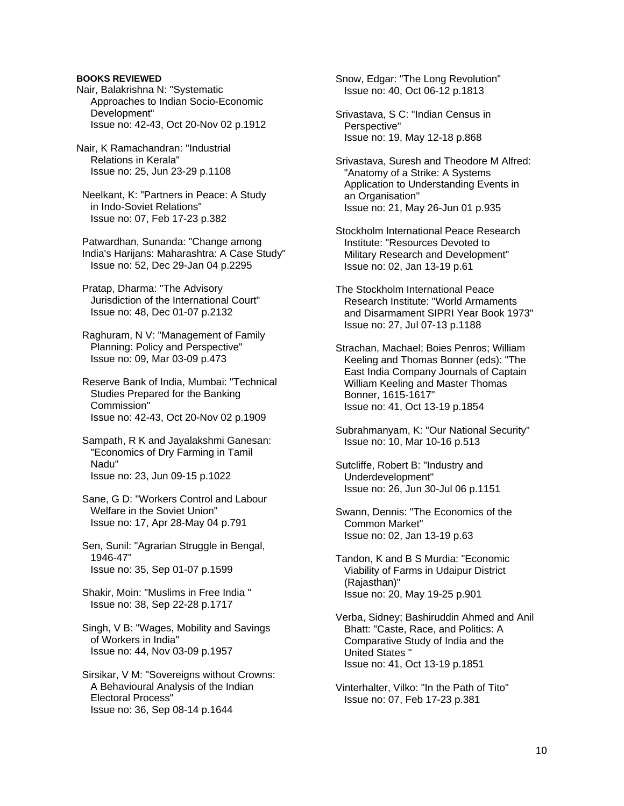#### **BOOKS REVIEWED**

- Nair, Balakrishna N: "Systematic Approaches to Indian Socio-Economic Development" Issue no: 42-43, Oct 20-Nov 02 p.1912
- Nair, K Ramachandran: "Industrial Relations in Kerala" Issue no: 25, Jun 23-29 p.1108
- Neelkant, K: "Partners in Peace: A Study in Indo-Soviet Relations" Issue no: 07, Feb 17-23 p.382

 Patwardhan, Sunanda: "Change among India's Harijans: Maharashtra: A Case Study" Issue no: 52, Dec 29-Jan 04 p.2295

 Pratap, Dharma: "The Advisory Jurisdiction of the International Court" Issue no: 48, Dec 01-07 p.2132

 Raghuram, N V: "Management of Family Planning: Policy and Perspective" Issue no: 09, Mar 03-09 p.473

 Reserve Bank of India, Mumbai: "Technical Studies Prepared for the Banking Commission" Issue no: 42-43, Oct 20-Nov 02 p.1909

- Sampath, R K and Jayalakshmi Ganesan: "Economics of Dry Farming in Tamil Nadu" Issue no: 23, Jun 09-15 p.1022
- Sane, G D: "Workers Control and Labour Welfare in the Soviet Union" Issue no: 17, Apr 28-May 04 p.791

 Sen, Sunil: "Agrarian Struggle in Bengal, 1946-47" Issue no: 35, Sep 01-07 p.1599

- Shakir, Moin: "Muslims in Free India " Issue no: 38, Sep 22-28 p.1717
- Singh, V B: "Wages, Mobility and Savings of Workers in India" Issue no: 44, Nov 03-09 p.1957

 Sirsikar, V M: "Sovereigns without Crowns: A Behavioural Analysis of the Indian Electoral Process" Issue no: 36, Sep 08-14 p.1644

 Snow, Edgar: "The Long Revolution" Issue no: 40, Oct 06-12 p.1813

- Srivastava, S C: "Indian Census in Perspective" Issue no: 19, May 12-18 p.868
- Srivastava, Suresh and Theodore M Alfred: "Anatomy of a Strike: A Systems Application to Understanding Events in an Organisation" Issue no: 21, May 26-Jun 01 p.935
- Stockholm International Peace Research Institute: "Resources Devoted to Military Research and Development" Issue no: 02, Jan 13-19 p.61
- The Stockholm International Peace Research Institute: "World Armaments and Disarmament SIPRI Year Book 1973" Issue no: 27, Jul 07-13 p.1188
- Strachan, Machael; Boies Penros; William Keeling and Thomas Bonner (eds): "The East India Company Journals of Captain William Keeling and Master Thomas Bonner, 1615-1617" Issue no: 41, Oct 13-19 p.1854
- Subrahmanyam, K: "Our National Security" Issue no: 10, Mar 10-16 p.513
- Sutcliffe, Robert B: "Industry and Underdevelopment" Issue no: 26, Jun 30-Jul 06 p.1151
- Swann, Dennis: "The Economics of the Common Market" Issue no: 02, Jan 13-19 p.63
- Tandon, K and B S Murdia: "Economic Viability of Farms in Udaipur District (Rajasthan)" Issue no: 20, May 19-25 p.901

 Verba, Sidney; Bashiruddin Ahmed and Anil Bhatt: "Caste, Race, and Politics: A Comparative Study of India and the United States " Issue no: 41, Oct 13-19 p.1851

 Vinterhalter, Vilko: "In the Path of Tito" Issue no: 07, Feb 17-23 p.381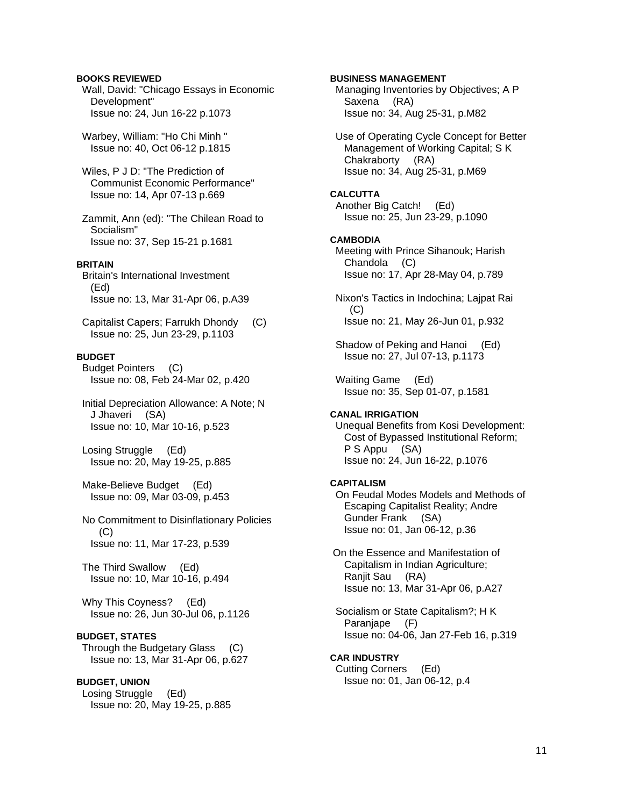## **BOOKS REVIEWED**

 Wall, David: "Chicago Essays in Economic Development" Issue no: 24, Jun 16-22 p.1073

 Warbey, William: "Ho Chi Minh " Issue no: 40, Oct 06-12 p.1815

 Wiles, P J D: "The Prediction of Communist Economic Performance" Issue no: 14, Apr 07-13 p.669

 Zammit, Ann (ed): "The Chilean Road to Socialism" Issue no: 37, Sep 15-21 p.1681

## **BRITAIN**

 Britain's International Investment (Ed) Issue no: 13, Mar 31-Apr 06, p.A39

 Capitalist Capers; Farrukh Dhondy (C) Issue no: 25, Jun 23-29, p.1103

## **BUDGET**

 Budget Pointers (C) Issue no: 08, Feb 24-Mar 02, p.420

 Initial Depreciation Allowance: A Note; N J Jhaveri (SA) Issue no: 10, Mar 10-16, p.523

 Losing Struggle (Ed) Issue no: 20, May 19-25, p.885

 Make-Believe Budget (Ed) Issue no: 09, Mar 03-09, p.453

 No Commitment to Disinflationary Policies (C) Issue no: 11, Mar 17-23, p.539

 The Third Swallow (Ed) Issue no: 10, Mar 10-16, p.494

 Why This Coyness? (Ed) Issue no: 26, Jun 30-Jul 06, p.1126

# **BUDGET, STATES**

 Through the Budgetary Glass (C) Issue no: 13, Mar 31-Apr 06, p.627

## **BUDGET, UNION**

 Losing Struggle (Ed) Issue no: 20, May 19-25, p.885

**BUSINESS MANAGEMENT**  Managing Inventories by Objectives; A P Saxena (RA) Issue no: 34, Aug 25-31, p.M82 Use of Operating Cycle Concept for Better Management of Working Capital; S K Chakraborty (RA) Issue no: 34, Aug 25-31, p.M69 **CALCUTTA**  Another Big Catch! (Ed) Issue no: 25, Jun 23-29, p.1090 **CAMBODIA**  Meeting with Prince Sihanouk; Harish Chandola (C) Issue no: 17, Apr 28-May 04, p.789 Nixon's Tactics in Indochina; Lajpat Rai  $(C)$  Issue no: 21, May 26-Jun 01, p.932 Shadow of Peking and Hanoi (Ed) Issue no: 27, Jul 07-13, p.1173 Waiting Game (Ed) Issue no: 35, Sep 01-07, p.1581 **CANAL IRRIGATION**  Unequal Benefits from Kosi Development: Cost of Bypassed Institutional Reform; P S Appu (SA) Issue no: 24, Jun 16-22, p.1076 **CAPITALISM**  On Feudal Modes Models and Methods of Escaping Capitalist Reality; Andre Gunder Frank (SA) Issue no: 01, Jan 06-12, p.36 On the Essence and Manifestation of Capitalism in Indian Agriculture; Ranjit Sau (RA) Issue no: 13, Mar 31-Apr 06, p.A27 Socialism or State Capitalism?; H K Paraniape (F) Issue no: 04-06, Jan 27-Feb 16, p.319 **CAR INDUSTRY** 

 Cutting Corners (Ed) Issue no: 01, Jan 06-12, p.4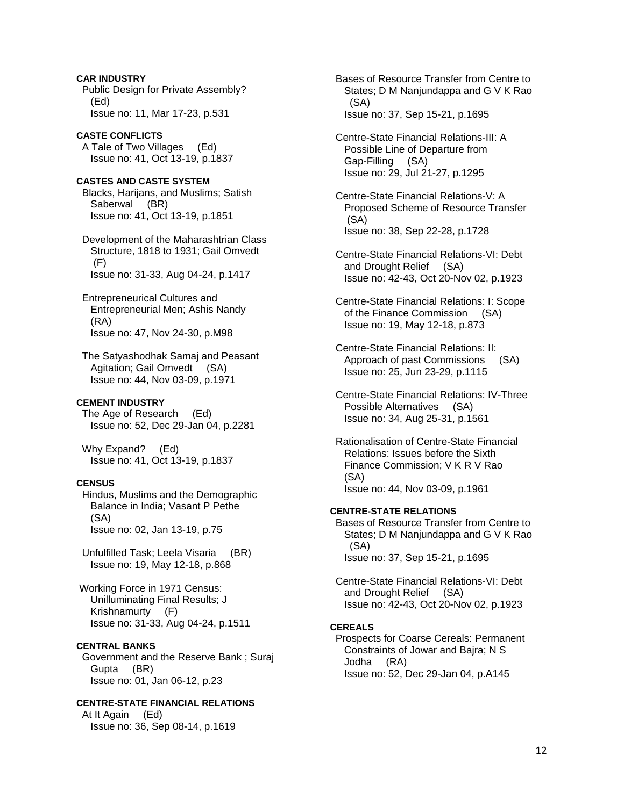Public Design for Private Assembly? (Ed) Issue no: 11, Mar 17-23, p.531 **CASTE CONFLICTS**  A Tale of Two Villages (Ed) Issue no: 41, Oct 13-19, p.1837 **CASTES AND CASTE SYSTEM**  Blacks, Harijans, and Muslims; Satish Saberwal (BR) Issue no: 41, Oct 13-19, p.1851 Development of the Maharashtrian Class Structure, 1818 to 1931; Gail Omvedt (F) Issue no: 31-33, Aug 04-24, p.1417 Entrepreneurical Cultures and Entrepreneurial Men; Ashis Nandy (RA) Issue no: 47, Nov 24-30, p.M98 The Satyashodhak Samaj and Peasant Agitation; Gail Omvedt (SA) Issue no: 44, Nov 03-09, p.1971 **CEMENT INDUSTRY**  The Age of Research (Ed) Issue no: 52, Dec 29-Jan 04, p.2281 Why Expand? (Ed) Issue no: 41, Oct 13-19, p.1837 **CENSUS**  Hindus, Muslims and the Demographic Balance in India; Vasant P Pethe (SA) Issue no: 02, Jan 13-19, p.75 Unfulfilled Task; Leela Visaria (BR) Issue no: 19, May 12-18, p.868 Working Force in 1971 Census: Unilluminating Final Results; J Krishnamurty (F) Issue no: 31-33, Aug 04-24, p.1511 **CENTRAL BANKS**  Government and the Reserve Bank ; Suraj Gupta (BR) Issue no: 01, Jan 06-12, p.23 **CENTRE-STATE FINANCIAL RELATIONS** 

**CAR INDUSTRY** 

 At It Again (Ed) Issue no: 36, Sep 08-14, p.1619  Bases of Resource Transfer from Centre to States; D M Nanjundappa and G V K Rao (SA) Issue no: 37, Sep 15-21, p.1695

- Centre-State Financial Relations-III: A Possible Line of Departure from Gap-Filling (SA) Issue no: 29, Jul 21-27, p.1295
- Centre-State Financial Relations-V: A Proposed Scheme of Resource Transfer (SA) Issue no: 38, Sep 22-28, p.1728
- Centre-State Financial Relations-VI: Debt and Drought Relief (SA) Issue no: 42-43, Oct 20-Nov 02, p.1923
- Centre-State Financial Relations: I: Scope of the Finance Commission (SA) Issue no: 19, May 12-18, p.873
- Centre-State Financial Relations: II: Approach of past Commissions (SA) Issue no: 25, Jun 23-29, p.1115
- Centre-State Financial Relations: IV-Three Possible Alternatives (SA) Issue no: 34, Aug 25-31, p.1561
- Rationalisation of Centre-State Financial Relations: Issues before the Sixth Finance Commission; V K R V Rao (SA) Issue no: 44, Nov 03-09, p.1961

## **CENTRE-STATE RELATIONS**

 Bases of Resource Transfer from Centre to States; D M Nanjundappa and G V K Rao (SA) Issue no: 37, Sep 15-21, p.1695

 Centre-State Financial Relations-VI: Debt and Drought Relief (SA) Issue no: 42-43, Oct 20-Nov 02, p.1923

#### **CEREALS**

 Prospects for Coarse Cereals: Permanent Constraints of Jowar and Bajra; N S Jodha (RA) Issue no: 52, Dec 29-Jan 04, p.A145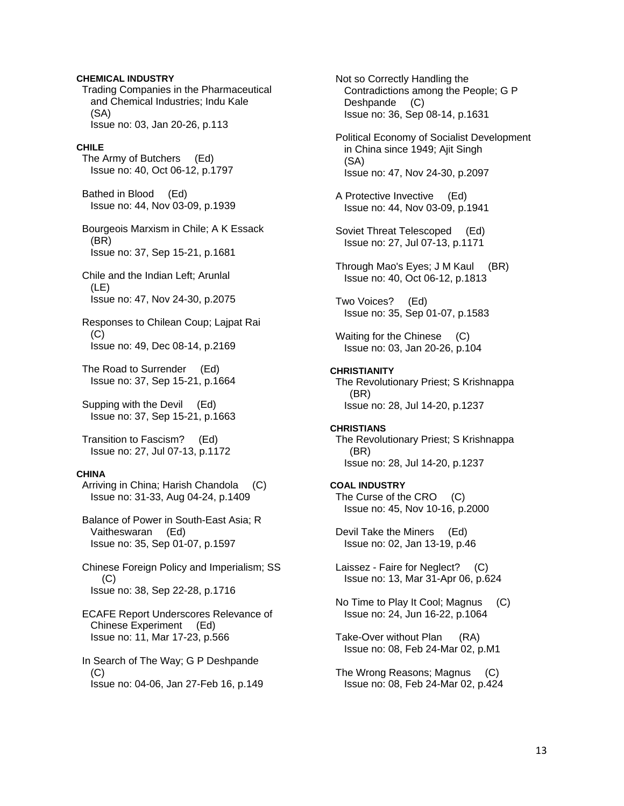#### **CHEMICAL INDUSTRY**

 Trading Companies in the Pharmaceutical and Chemical Industries; Indu Kale (SA) Issue no: 03, Jan 20-26, p.113

#### **CHILE**

 The Army of Butchers (Ed) Issue no: 40, Oct 06-12, p.1797

 Bathed in Blood (Ed) Issue no: 44, Nov 03-09, p.1939

 Bourgeois Marxism in Chile; A K Essack (BR) Issue no: 37, Sep 15-21, p.1681

 Chile and the Indian Left; Arunlal (LE) Issue no: 47, Nov 24-30, p.2075

 Responses to Chilean Coup; Lajpat Rai (C) Issue no: 49, Dec 08-14, p.2169

 The Road to Surrender (Ed) Issue no: 37, Sep 15-21, p.1664

 Supping with the Devil (Ed) Issue no: 37, Sep 15-21, p.1663

 Transition to Fascism? (Ed) Issue no: 27, Jul 07-13, p.1172

#### **CHINA**

 Arriving in China; Harish Chandola (C) Issue no: 31-33, Aug 04-24, p.1409

 Balance of Power in South-East Asia; R Vaitheswaran (Ed) Issue no: 35, Sep 01-07, p.1597

 Chinese Foreign Policy and Imperialism; SS (C) Issue no: 38, Sep 22-28, p.1716

 ECAFE Report Underscores Relevance of Chinese Experiment (Ed) Issue no: 11, Mar 17-23, p.566

 In Search of The Way; G P Deshpande (C) Issue no: 04-06, Jan 27-Feb 16, p.149  Not so Correctly Handling the Contradictions among the People; G P Deshpande (C) Issue no: 36, Sep 08-14, p.1631

 Political Economy of Socialist Development in China since 1949; Ajit Singh (SA) Issue no: 47, Nov 24-30, p.2097

 A Protective Invective (Ed) Issue no: 44, Nov 03-09, p.1941

 Soviet Threat Telescoped (Ed) Issue no: 27, Jul 07-13, p.1171

 Through Mao's Eyes; J M Kaul (BR) Issue no: 40, Oct 06-12, p.1813

 Two Voices? (Ed) Issue no: 35, Sep 01-07, p.1583

 Waiting for the Chinese (C) Issue no: 03, Jan 20-26, p.104

#### **CHRISTIANITY**

 The Revolutionary Priest; S Krishnappa (BR) Issue no: 28, Jul 14-20, p.1237

#### **CHRISTIANS**

 The Revolutionary Priest; S Krishnappa (BR) Issue no: 28, Jul 14-20, p.1237

### **COAL INDUSTRY**

 The Curse of the CRO (C) Issue no: 45, Nov 10-16, p.2000

 Devil Take the Miners (Ed) Issue no: 02, Jan 13-19, p.46

 Laissez - Faire for Neglect? (C) Issue no: 13, Mar 31-Apr 06, p.624

 No Time to Play It Cool; Magnus (C) Issue no: 24, Jun 16-22, p.1064

 Take-Over without Plan (RA) Issue no: 08, Feb 24-Mar 02, p.M1

 The Wrong Reasons; Magnus (C) Issue no: 08, Feb 24-Mar 02, p.424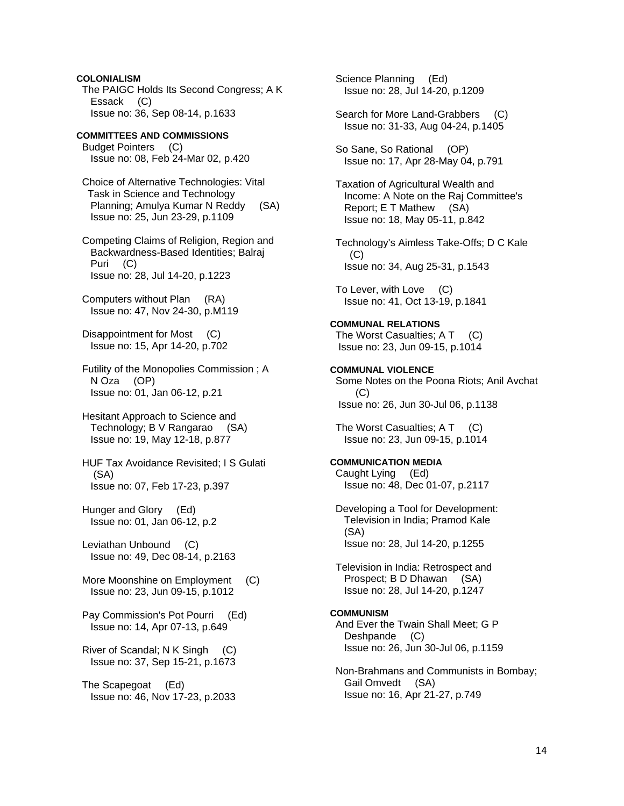**COLONIALISM**  The PAIGC Holds Its Second Congress; A K Essack (C) Issue no: 36, Sep 08-14, p.1633

#### **COMMITTEES AND COMMISSIONS**  Budget Pointers (C) Issue no: 08, Feb 24-Mar 02, p.420

 Choice of Alternative Technologies: Vital Task in Science and Technology Planning; Amulya Kumar N Reddy (SA) Issue no: 25, Jun 23-29, p.1109

 Competing Claims of Religion, Region and Backwardness-Based Identities; Balraj Puri (C) Issue no: 28, Jul 14-20, p.1223

 Computers without Plan (RA) Issue no: 47, Nov 24-30, p.M119

 Disappointment for Most (C) Issue no: 15, Apr 14-20, p.702

 Futility of the Monopolies Commission ; A N Oza (OP) Issue no: 01, Jan 06-12, p.21

 Hesitant Approach to Science and Technology; B V Rangarao (SA) Issue no: 19, May 12-18, p.877

 HUF Tax Avoidance Revisited; I S Gulati (SA) Issue no: 07, Feb 17-23, p.397

 Hunger and Glory (Ed) Issue no: 01, Jan 06-12, p.2

 Leviathan Unbound (C) Issue no: 49, Dec 08-14, p.2163

- More Moonshine on Employment (C) Issue no: 23, Jun 09-15, p.1012
- Pay Commission's Pot Pourri (Ed) Issue no: 14, Apr 07-13, p.649
- River of Scandal; N K Singh (C) Issue no: 37, Sep 15-21, p.1673

 The Scapegoat (Ed) Issue no: 46, Nov 17-23, p.2033  Science Planning (Ed) Issue no: 28, Jul 14-20, p.1209

Search for More Land-Grabbers (C) Issue no: 31-33, Aug 04-24, p.1405

 So Sane, So Rational (OP) Issue no: 17, Apr 28-May 04, p.791

 Taxation of Agricultural Wealth and Income: A Note on the Raj Committee's Report; E T Mathew (SA) Issue no: 18, May 05-11, p.842

 Technology's Aimless Take-Offs; D C Kale  $(C)$ Issue no: 34, Aug 25-31, p.1543

 To Lever, with Love (C) Issue no: 41, Oct 13-19, p.1841

# **COMMUNAL RELATIONS**

The Worst Casualties; A T (C) Issue no: 23, Jun 09-15, p.1014

# **COMMUNAL VIOLENCE**

 Some Notes on the Poona Riots; Anil Avchat (C) Issue no: 26, Jun 30-Jul 06, p.1138

The Worst Casualties; A T (C) Issue no: 23, Jun 09-15, p.1014

## **COMMUNICATION MEDIA**

 Caught Lying (Ed) Issue no: 48, Dec 01-07, p.2117

 Developing a Tool for Development: Television in India; Pramod Kale (SA) Issue no: 28, Jul 14-20, p.1255

 Television in India: Retrospect and Prospect; B D Dhawan (SA) Issue no: 28, Jul 14-20, p.1247

#### **COMMUNISM**

 And Ever the Twain Shall Meet; G P Deshpande (C) Issue no: 26, Jun 30-Jul 06, p.1159

 Non-Brahmans and Communists in Bombay; Gail Omvedt (SA) Issue no: 16, Apr 21-27, p.749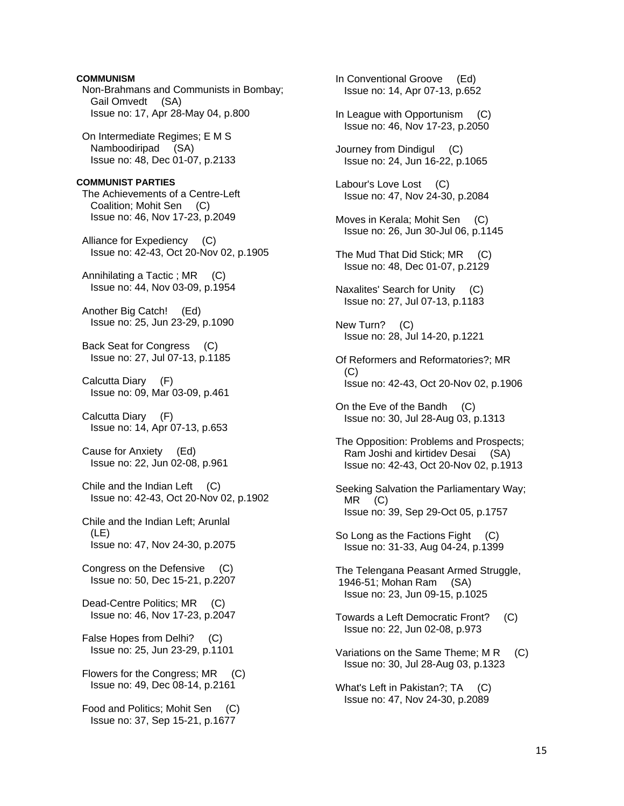# **COMMUNISM**  Non-Brahmans and Communists in Bombay; Gail Omvedt (SA) Issue no: 17, Apr 28-May 04, p.800 On Intermediate Regimes; E M S Namboodiripad (SA) Issue no: 48, Dec 01-07, p.2133 **COMMUNIST PARTIES**  The Achievements of a Centre-Left Coalition; Mohit Sen (C) Issue no: 46, Nov 17-23, p.2049 Alliance for Expediency (C) Issue no: 42-43, Oct 20-Nov 02, p.1905 Annihilating a Tactic ; MR (C) Issue no: 44, Nov 03-09, p.1954 Another Big Catch! (Ed) Issue no: 25, Jun 23-29, p.1090 Back Seat for Congress (C) Issue no: 27, Jul 07-13, p.1185 Calcutta Diary (F) Issue no: 09, Mar 03-09, p.461 Calcutta Diary (F) Issue no: 14, Apr 07-13, p.653 Cause for Anxiety (Ed) Issue no: 22, Jun 02-08, p.961 Chile and the Indian Left (C) Issue no: 42-43, Oct 20-Nov 02, p.1902 Chile and the Indian Left; Arunlal (LE) Issue no: 47, Nov 24-30, p.2075 Congress on the Defensive (C) Issue no: 50, Dec 15-21, p.2207 Dead-Centre Politics; MR (C) Issue no: 46, Nov 17-23, p.2047 False Hopes from Delhi? (C) Issue no: 25, Jun 23-29, p.1101 Flowers for the Congress; MR (C) Issue no: 49, Dec 08-14, p.2161 Food and Politics; Mohit Sen (C) Issue no: 37, Sep 15-21, p.1677

 In Conventional Groove (Ed) Issue no: 14, Apr 07-13, p.652 In League with Opportunism (C) Issue no: 46, Nov 17-23, p.2050 Journey from Dindigul (C) Issue no: 24, Jun 16-22, p.1065 Labour's Love Lost (C) Issue no: 47, Nov 24-30, p.2084 Moves in Kerala; Mohit Sen (C) Issue no: 26, Jun 30-Jul 06, p.1145 The Mud That Did Stick; MR (C) Issue no: 48, Dec 01-07, p.2129 Naxalites' Search for Unity (C) Issue no: 27, Jul 07-13, p.1183 New Turn? (C) Issue no: 28, Jul 14-20, p.1221 Of Reformers and Reformatories?; MR (C) Issue no: 42-43, Oct 20-Nov 02, p.1906 On the Eve of the Bandh (C) Issue no: 30, Jul 28-Aug 03, p.1313 The Opposition: Problems and Prospects; Ram Joshi and kirtidev Desai (SA) Issue no: 42-43, Oct 20-Nov 02, p.1913 Seeking Salvation the Parliamentary Way; MR (C) Issue no: 39, Sep 29-Oct 05, p.1757 So Long as the Factions Fight (C) Issue no: 31-33, Aug 04-24, p.1399 The Telengana Peasant Armed Struggle, 1946-51; Mohan Ram (SA) Issue no: 23, Jun 09-15, p.1025 Towards a Left Democratic Front? (C) Issue no: 22, Jun 02-08, p.973 Variations on the Same Theme; M R (C) Issue no: 30, Jul 28-Aug 03, p.1323 What's Left in Pakistan?; TA (C) Issue no: 47, Nov 24-30, p.2089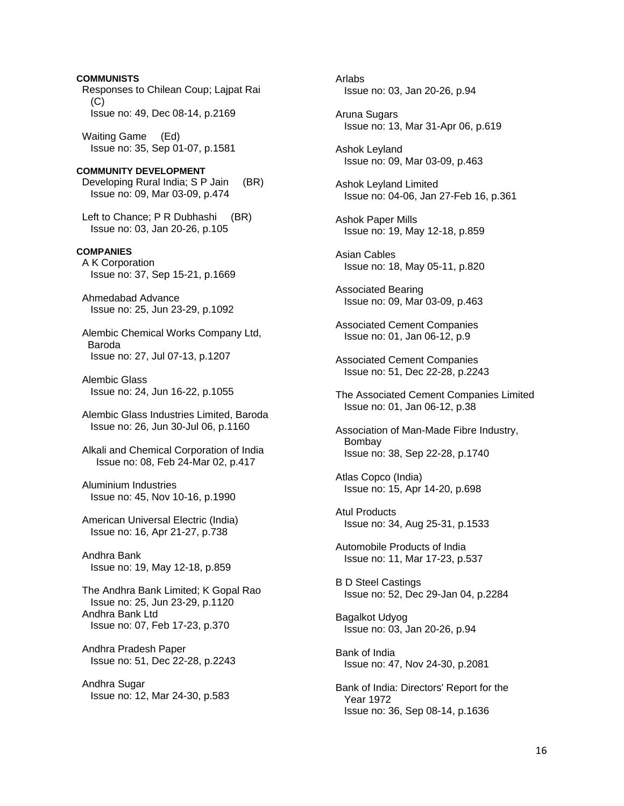Responses to Chilean Coup; Lajpat Rai  $(C)$  Issue no: 49, Dec 08-14, p.2169 Waiting Game (Ed) Issue no: 35, Sep 01-07, p.1581 **COMMUNITY DEVELOPMENT**  Developing Rural India; S P Jain (BR) Issue no: 09, Mar 03-09, p.474 Left to Chance; P R Dubhashi (BR) Issue no: 03, Jan 20-26, p.105 **COMPANIES**  A K Corporation Issue no: 37, Sep 15-21, p.1669 Ahmedabad Advance Issue no: 25, Jun 23-29, p.1092 Alembic Chemical Works Company Ltd, Baroda Issue no: 27, Jul 07-13, p.1207 Alembic Glass Issue no: 24, Jun 16-22, p.1055 Alembic Glass Industries Limited, Baroda Issue no: 26, Jun 30-Jul 06, p.1160 Alkali and Chemical Corporation of India Issue no: 08, Feb 24-Mar 02, p.417 Aluminium Industries Issue no: 45, Nov 10-16, p.1990 American Universal Electric (India) Issue no: 16, Apr 21-27, p.738 Andhra Bank Issue no: 19, May 12-18, p.859 The Andhra Bank Limited; K Gopal Rao Issue no: 25, Jun 23-29, p.1120 Andhra Bank Ltd Issue no: 07, Feb 17-23, p.370 Andhra Pradesh Paper Issue no: 51, Dec 22-28, p.2243 Andhra Sugar Issue no: 12, Mar 24-30, p.583

**COMMUNISTS** 

 Arlabs Issue no: 03, Jan 20-26, p.94

 Aruna Sugars Issue no: 13, Mar 31-Apr 06, p.619

 Ashok Leyland Issue no: 09, Mar 03-09, p.463

 Ashok Leyland Limited Issue no: 04-06, Jan 27-Feb 16, p.361

 Ashok Paper Mills Issue no: 19, May 12-18, p.859

 Asian Cables Issue no: 18, May 05-11, p.820

 Associated Bearing Issue no: 09, Mar 03-09, p.463

 Associated Cement Companies Issue no: 01, Jan 06-12, p.9

 Associated Cement Companies Issue no: 51, Dec 22-28, p.2243

 The Associated Cement Companies Limited Issue no: 01, Jan 06-12, p.38

 Association of Man-Made Fibre Industry, Bombay Issue no: 38, Sep 22-28, p.1740

 Atlas Copco (India) Issue no: 15, Apr 14-20, p.698

 Atul Products Issue no: 34, Aug 25-31, p.1533

 Automobile Products of India Issue no: 11, Mar 17-23, p.537

 B D Steel Castings Issue no: 52, Dec 29-Jan 04, p.2284

 Bagalkot Udyog Issue no: 03, Jan 20-26, p.94

 Bank of India Issue no: 47, Nov 24-30, p.2081

 Bank of India: Directors' Report for the Year 1972 Issue no: 36, Sep 08-14, p.1636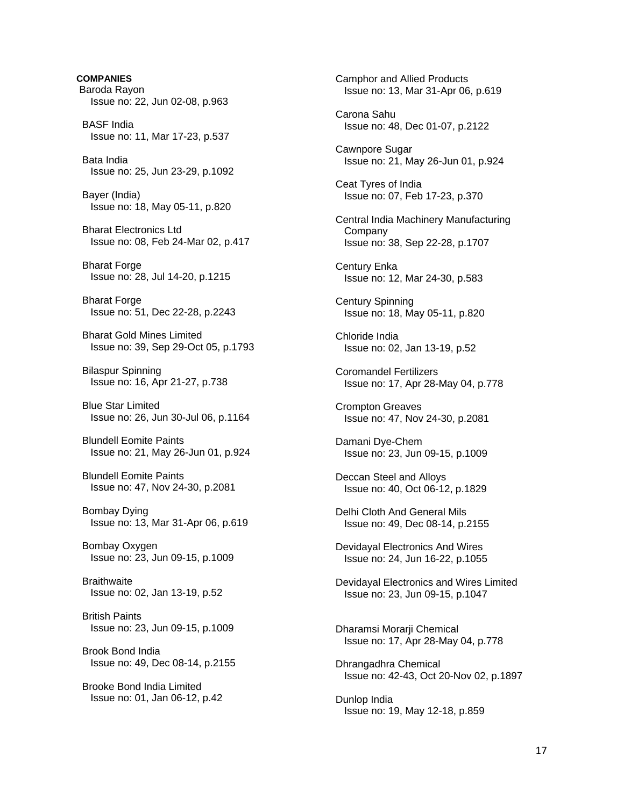**COMPANIES**  Baroda Rayon Issue no: 22, Jun 02-08, p.963 BASF India Issue no: 11, Mar 17-23, p.537 Bata India Issue no: 25, Jun 23-29, p.1092 Bayer (India) Issue no: 18, May 05-11, p.820 Bharat Electronics Ltd Issue no: 08, Feb 24-Mar 02, p.417 Bharat Forge Issue no: 28, Jul 14-20, p.1215 Bharat Forge Issue no: 51, Dec 22-28, p.2243 Bharat Gold Mines Limited Issue no: 39, Sep 29-Oct 05, p.1793 Bilaspur Spinning Issue no: 16, Apr 21-27, p.738 Blue Star Limited Issue no: 26, Jun 30-Jul 06, p.1164 Blundell Eomite Paints Issue no: 21, May 26-Jun 01, p.924 Blundell Eomite Paints Issue no: 47, Nov 24-30, p.2081 Bombay Dying Issue no: 13, Mar 31-Apr 06, p.619 Bombay Oxygen Issue no: 23, Jun 09-15, p.1009 **Braithwaite**  Issue no: 02, Jan 13-19, p.52 British Paints Issue no: 23, Jun 09-15, p.1009 Brook Bond India Issue no: 49, Dec 08-14, p.2155 Brooke Bond India Limited Issue no: 01, Jan 06-12, p.42

 Camphor and Allied Products Issue no: 13, Mar 31-Apr 06, p.619 Carona Sahu Issue no: 48, Dec 01-07, p.2122 Cawnpore Sugar Issue no: 21, May 26-Jun 01, p.924 Ceat Tyres of India Issue no: 07, Feb 17-23, p.370 Central India Machinery Manufacturing Company Issue no: 38, Sep 22-28, p.1707 Century Enka Issue no: 12, Mar 24-30, p.583 Century Spinning Issue no: 18, May 05-11, p.820 Chloride India Issue no: 02, Jan 13-19, p.52 Coromandel Fertilizers Issue no: 17, Apr 28-May 04, p.778 Crompton Greaves Issue no: 47, Nov 24-30, p.2081 Damani Dye-Chem Issue no: 23, Jun 09-15, p.1009 Deccan Steel and Alloys Issue no: 40, Oct 06-12, p.1829 Delhi Cloth And General Mils Issue no: 49, Dec 08-14, p.2155 Devidayal Electronics And Wires Issue no: 24, Jun 16-22, p.1055 Devidayal Electronics and Wires Limited Issue no: 23, Jun 09-15, p.1047 Dharamsi Morarii Chemical Issue no: 17, Apr 28-May 04, p.778 Dhrangadhra Chemical Issue no: 42-43, Oct 20-Nov 02, p.1897 Dunlop India Issue no: 19, May 12-18, p.859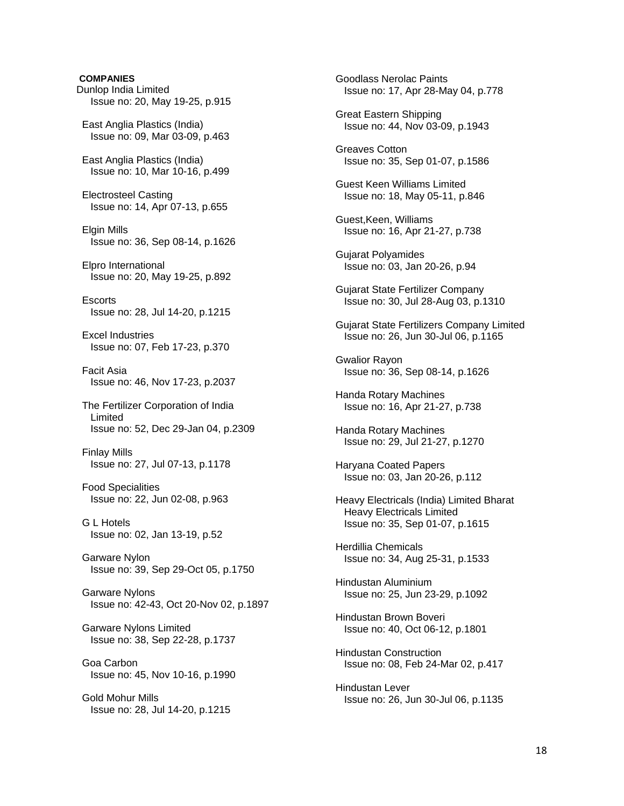# **COMPANIES**  Dunlop India Limited Issue no: 20, May 19-25, p.915 East Anglia Plastics (India) Issue no: 09, Mar 03-09, p.463 East Anglia Plastics (India) Issue no: 10, Mar 10-16, p.499 Electrosteel Casting Issue no: 14, Apr 07-13, p.655 Elgin Mills Issue no: 36, Sep 08-14, p.1626 Elpro International Issue no: 20, May 19-25, p.892 **Escorts**  Issue no: 28, Jul 14-20, p.1215 Excel Industries Issue no: 07, Feb 17-23, p.370 Facit Asia Issue no: 46, Nov 17-23, p.2037 The Fertilizer Corporation of India Limited Issue no: 52, Dec 29-Jan 04, p.2309 Finlay Mills Issue no: 27, Jul 07-13, p.1178 Food Specialities Issue no: 22, Jun 02-08, p.963 G L Hotels Issue no: 02, Jan 13-19, p.52 Garware Nylon Issue no: 39, Sep 29-Oct 05, p.1750 Garware Nylons Issue no: 42-43, Oct 20-Nov 02, p.1897 Garware Nylons Limited Issue no: 38, Sep 22-28, p.1737 Goa Carbon Issue no: 45, Nov 10-16, p.1990 Gold Mohur Mills Issue no: 28, Jul 14-20, p.1215

 Goodlass Nerolac Paints Issue no: 17, Apr 28-May 04, p.778

 Great Eastern Shipping Issue no: 44, Nov 03-09, p.1943

 Greaves Cotton Issue no: 35, Sep 01-07, p.1586

 Guest Keen Williams Limited Issue no: 18, May 05-11, p.846

 Guest,Keen, Williams Issue no: 16, Apr 21-27, p.738

 Gujarat Polyamides Issue no: 03, Jan 20-26, p.94

 Gujarat State Fertilizer Company Issue no: 30, Jul 28-Aug 03, p.1310

 Gujarat State Fertilizers Company Limited Issue no: 26, Jun 30-Jul 06, p.1165

 Gwalior Rayon Issue no: 36, Sep 08-14, p.1626

 Handa Rotary Machines Issue no: 16, Apr 21-27, p.738

 Handa Rotary Machines Issue no: 29, Jul 21-27, p.1270

 Haryana Coated Papers Issue no: 03, Jan 20-26, p.112

 Heavy Electricals (India) Limited Bharat Heavy Electricals Limited Issue no: 35, Sep 01-07, p.1615

 Herdillia Chemicals Issue no: 34, Aug 25-31, p.1533

 Hindustan Aluminium Issue no: 25, Jun 23-29, p.1092

 Hindustan Brown Boveri Issue no: 40, Oct 06-12, p.1801

 Hindustan Construction Issue no: 08, Feb 24-Mar 02, p.417

 Hindustan Lever Issue no: 26, Jun 30-Jul 06, p.1135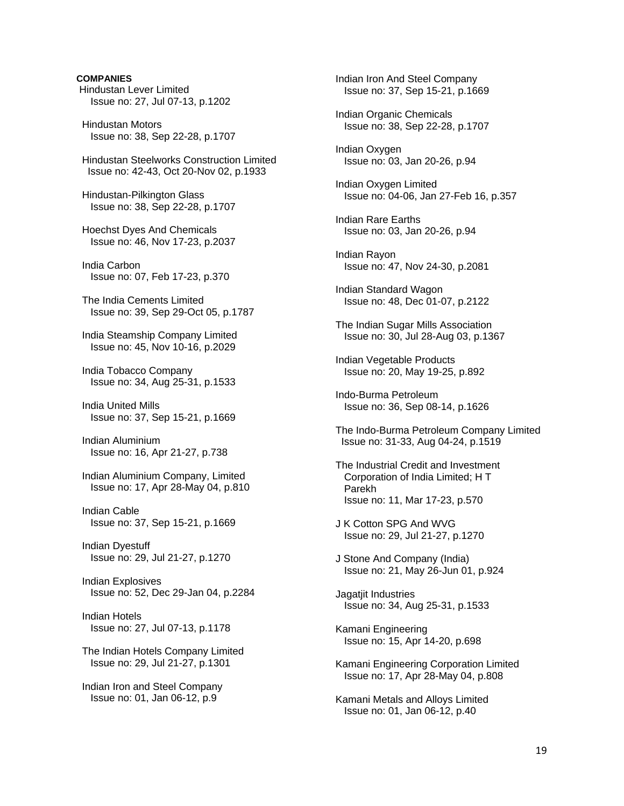## **COMPANIES**

 Hindustan Lever Limited Issue no: 27, Jul 07-13, p.1202

 Hindustan Motors Issue no: 38, Sep 22-28, p.1707

 Hindustan Steelworks Construction Limited Issue no: 42-43, Oct 20-Nov 02, p.1933

 Hindustan-Pilkington Glass Issue no: 38, Sep 22-28, p.1707

 Hoechst Dyes And Chemicals Issue no: 46, Nov 17-23, p.2037

 India Carbon Issue no: 07, Feb 17-23, p.370

 The India Cements Limited Issue no: 39, Sep 29-Oct 05, p.1787

 India Steamship Company Limited Issue no: 45, Nov 10-16, p.2029

 India Tobacco Company Issue no: 34, Aug 25-31, p.1533

 India United Mills Issue no: 37, Sep 15-21, p.1669

 Indian Aluminium Issue no: 16, Apr 21-27, p.738

 Indian Aluminium Company, Limited Issue no: 17, Apr 28-May 04, p.810

 Indian Cable Issue no: 37, Sep 15-21, p.1669

 Indian Dyestuff Issue no: 29, Jul 21-27, p.1270

 Indian Explosives Issue no: 52, Dec 29-Jan 04, p.2284

 Indian Hotels Issue no: 27, Jul 07-13, p.1178

 The Indian Hotels Company Limited Issue no: 29, Jul 21-27, p.1301

 Indian Iron and Steel Company Issue no: 01, Jan 06-12, p.9

 Indian Iron And Steel Company Issue no: 37, Sep 15-21, p.1669

 Indian Organic Chemicals Issue no: 38, Sep 22-28, p.1707

 Indian Oxygen Issue no: 03, Jan 20-26, p.94

 Indian Oxygen Limited Issue no: 04-06, Jan 27-Feb 16, p.357

 Indian Rare Earths Issue no: 03, Jan 20-26, p.94

 Indian Rayon Issue no: 47, Nov 24-30, p.2081

 Indian Standard Wagon Issue no: 48, Dec 01-07, p.2122

 The Indian Sugar Mills Association Issue no: 30, Jul 28-Aug 03, p.1367

 Indian Vegetable Products Issue no: 20, May 19-25, p.892

 Indo-Burma Petroleum Issue no: 36, Sep 08-14, p.1626

 The Indo-Burma Petroleum Company Limited Issue no: 31-33, Aug 04-24, p.1519

- The Industrial Credit and Investment Corporation of India Limited; H T Parekh Issue no: 11, Mar 17-23, p.570
- J K Cotton SPG And WVG Issue no: 29, Jul 21-27, p.1270
- J Stone And Company (India) Issue no: 21, May 26-Jun 01, p.924

 Jagatjit Industries Issue no: 34, Aug 25-31, p.1533

 Kamani Engineering Issue no: 15, Apr 14-20, p.698

 Kamani Engineering Corporation Limited Issue no: 17, Apr 28-May 04, p.808

 Kamani Metals and Alloys Limited Issue no: 01, Jan 06-12, p.40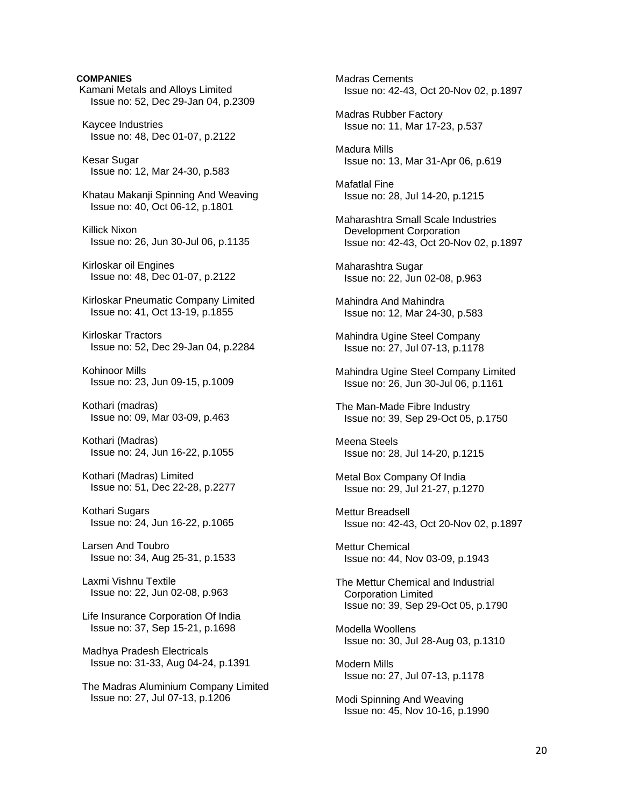# Kamani Metals and Alloys Limited Issue no: 52, Dec 29-Jan 04, p.2309 Kaycee Industries Issue no: 48, Dec 01-07, p.2122 Kesar Sugar Issue no: 12, Mar 24-30, p.583 Khatau Makanji Spinning And Weaving Issue no: 40, Oct 06-12, p.1801 Killick Nixon Issue no: 26, Jun 30-Jul 06, p.1135 Kirloskar oil Engines Issue no: 48, Dec 01-07, p.2122 Kirloskar Pneumatic Company Limited Issue no: 41, Oct 13-19, p.1855 Kirloskar Tractors Issue no: 52, Dec 29-Jan 04, p.2284 Kohinoor Mills Issue no: 23, Jun 09-15, p.1009 Kothari (madras) Issue no: 09, Mar 03-09, p.463 Kothari (Madras) Issue no: 24, Jun 16-22, p.1055 Kothari (Madras) Limited Issue no: 51, Dec 22-28, p.2277 Kothari Sugars Issue no: 24, Jun 16-22, p.1065 Larsen And Toubro Issue no: 34, Aug 25-31, p.1533 Laxmi Vishnu Textile Issue no: 22, Jun 02-08, p.963 Life Insurance Corporation Of India Issue no: 37, Sep 15-21, p.1698

**COMPANIES** 

 Madhya Pradesh Electricals Issue no: 31-33, Aug 04-24, p.1391

 The Madras Aluminium Company Limited Issue no: 27, Jul 07-13, p.1206

 Madras Cements Issue no: 42-43, Oct 20-Nov 02, p.1897

 Madras Rubber Factory Issue no: 11, Mar 17-23, p.537

 Madura Mills Issue no: 13, Mar 31-Apr 06, p.619

 Mafatlal Fine Issue no: 28, Jul 14-20, p.1215

 Maharashtra Small Scale Industries Development Corporation Issue no: 42-43, Oct 20-Nov 02, p.1897

 Maharashtra Sugar Issue no: 22, Jun 02-08, p.963

 Mahindra And Mahindra Issue no: 12, Mar 24-30, p.583

 Mahindra Ugine Steel Company Issue no: 27, Jul 07-13, p.1178

 Mahindra Ugine Steel Company Limited Issue no: 26, Jun 30-Jul 06, p.1161

 The Man-Made Fibre Industry Issue no: 39, Sep 29-Oct 05, p.1750

 Meena Steels Issue no: 28, Jul 14-20, p.1215

 Metal Box Company Of India Issue no: 29, Jul 21-27, p.1270

 Mettur Breadsell Issue no: 42-43, Oct 20-Nov 02, p.1897

 Mettur Chemical Issue no: 44, Nov 03-09, p.1943

 The Mettur Chemical and Industrial Corporation Limited Issue no: 39, Sep 29-Oct 05, p.1790

 Modella Woollens Issue no: 30, Jul 28-Aug 03, p.1310

 Modern Mills Issue no: 27, Jul 07-13, p.1178

 Modi Spinning And Weaving Issue no: 45, Nov 10-16, p.1990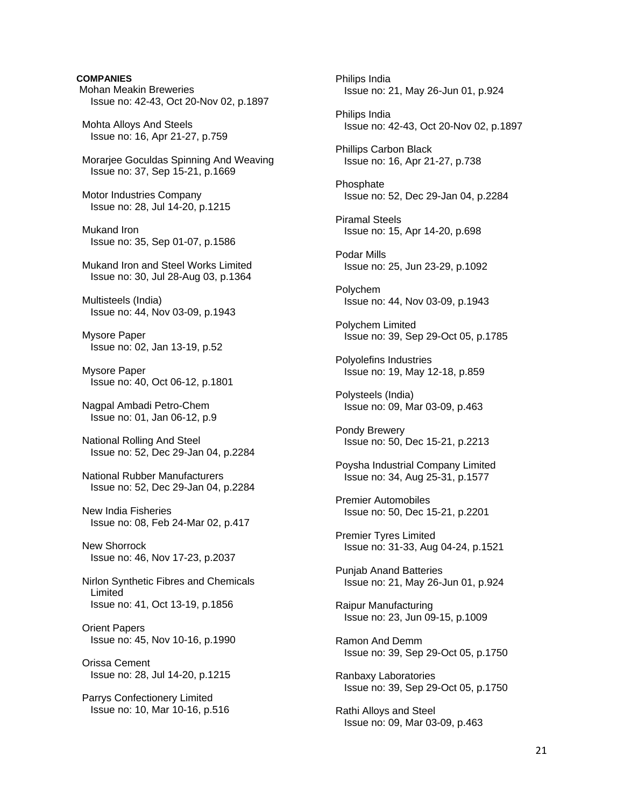## **COMPANIES**

 Mohan Meakin Breweries Issue no: 42-43, Oct 20-Nov 02, p.1897

 Mohta Alloys And Steels Issue no: 16, Apr 21-27, p.759

 Morarjee Goculdas Spinning And Weaving Issue no: 37, Sep 15-21, p.1669

 Motor Industries Company Issue no: 28, Jul 14-20, p.1215

 Mukand Iron Issue no: 35, Sep 01-07, p.1586

 Mukand Iron and Steel Works Limited Issue no: 30, Jul 28-Aug 03, p.1364

 Multisteels (India) Issue no: 44, Nov 03-09, p.1943

 Mysore Paper Issue no: 02, Jan 13-19, p.52

 Mysore Paper Issue no: 40, Oct 06-12, p.1801

 Nagpal Ambadi Petro-Chem Issue no: 01, Jan 06-12, p.9

 National Rolling And Steel Issue no: 52, Dec 29-Jan 04, p.2284

 National Rubber Manufacturers Issue no: 52, Dec 29-Jan 04, p.2284

 New India Fisheries Issue no: 08, Feb 24-Mar 02, p.417

 New Shorrock Issue no: 46, Nov 17-23, p.2037

 Nirlon Synthetic Fibres and Chemicals Limited Issue no: 41, Oct 13-19, p.1856

 Orient Papers Issue no: 45, Nov 10-16, p.1990

 Orissa Cement Issue no: 28, Jul 14-20, p.1215

 Parrys Confectionery Limited Issue no: 10, Mar 10-16, p.516  Philips India Issue no: 21, May 26-Jun 01, p.924 Philips India Issue no: 42-43, Oct 20-Nov 02, p.1897 Phillips Carbon Black Issue no: 16, Apr 21-27, p.738 Phosphate Issue no: 52, Dec 29-Jan 04, p.2284 Piramal Steels Issue no: 15, Apr 14-20, p.698 Podar Mills Issue no: 25, Jun 23-29, p.1092 Polychem Issue no: 44, Nov 03-09, p.1943 Polychem Limited Issue no: 39, Sep 29-Oct 05, p.1785 Polyolefins Industries Issue no: 19, May 12-18, p.859 Polysteels (India) Issue no: 09, Mar 03-09, p.463 Pondy Brewery Issue no: 50, Dec 15-21, p.2213 Poysha Industrial Company Limited Issue no: 34, Aug 25-31, p.1577 Premier Automobiles Issue no: 50, Dec 15-21, p.2201 Premier Tyres Limited Issue no: 31-33, Aug 04-24, p.1521 Punjab Anand Batteries Issue no: 21, May 26-Jun 01, p.924 Raipur Manufacturing Issue no: 23, Jun 09-15, p.1009 Ramon And Demm Issue no: 39, Sep 29-Oct 05, p.1750 Ranbaxy Laboratories Issue no: 39, Sep 29-Oct 05, p.1750 Rathi Alloys and Steel Issue no: 09, Mar 03-09, p.463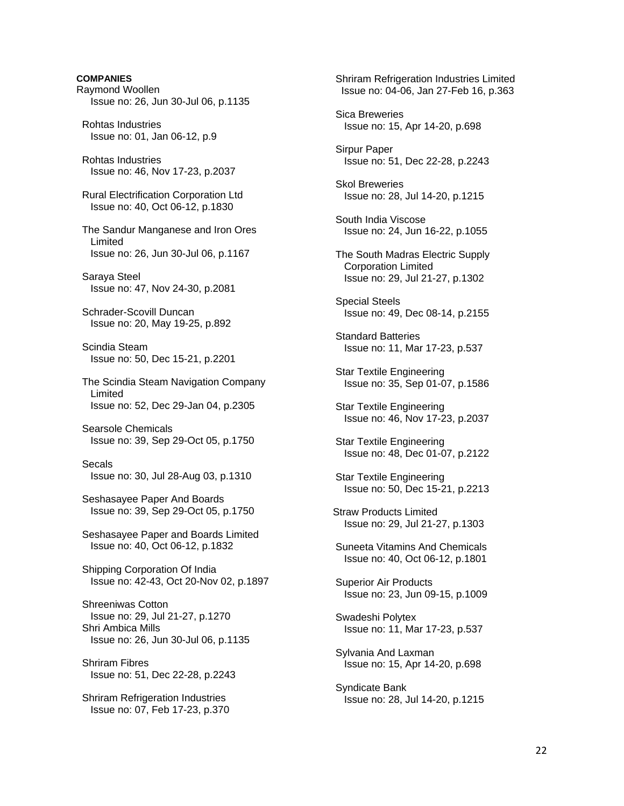# **COMPANIES**  Raymond Woollen Issue no: 26, Jun 30-Jul 06, p.1135 Rohtas Industries Issue no: 01, Jan 06-12, p.9 Rohtas Industries Issue no: 46, Nov 17-23, p.2037 Rural Electrification Corporation Ltd Issue no: 40, Oct 06-12, p.1830 The Sandur Manganese and Iron Ores Limited Issue no: 26, Jun 30-Jul 06, p.1167 Saraya Steel Issue no: 47, Nov 24-30, p.2081 Schrader-Scovill Duncan Issue no: 20, May 19-25, p.892 Scindia Steam Issue no: 50, Dec 15-21, p.2201 The Scindia Steam Navigation Company Limited Issue no: 52, Dec 29-Jan 04, p.2305 Searsole Chemicals Issue no: 39, Sep 29-Oct 05, p.1750 Secals Issue no: 30, Jul 28-Aug 03, p.1310 Seshasayee Paper And Boards Issue no: 39, Sep 29-Oct 05, p.1750 Seshasayee Paper and Boards Limited Issue no: 40, Oct 06-12, p.1832 Shipping Corporation Of India Issue no: 42-43, Oct 20-Nov 02, p.1897 Shreeniwas Cotton Issue no: 29, Jul 21-27, p.1270 Shri Ambica Mills Issue no: 26, Jun 30-Jul 06, p.1135 Shriram Fibres Issue no: 51, Dec 22-28, p.2243 Shriram Refrigeration Industries Issue no: 07, Feb 17-23, p.370

 Shriram Refrigeration Industries Limited Issue no: 04-06, Jan 27-Feb 16, p.363 Sica Breweries Issue no: 15, Apr 14-20, p.698 Sirpur Paper Issue no: 51, Dec 22-28, p.2243 Skol Breweries Issue no: 28, Jul 14-20, p.1215 South India Viscose Issue no: 24, Jun 16-22, p.1055 The South Madras Electric Supply Corporation Limited Issue no: 29, Jul 21-27, p.1302 Special Steels Issue no: 49, Dec 08-14, p.2155 Standard Batteries Issue no: 11, Mar 17-23, p.537 Star Textile Engineering Issue no: 35, Sep 01-07, p.1586 Star Textile Engineering Issue no: 46, Nov 17-23, p.2037 Star Textile Engineering Issue no: 48, Dec 01-07, p.2122 Star Textile Engineering Issue no: 50, Dec 15-21, p.2213 Straw Products Limited Issue no: 29, Jul 21-27, p.1303 Suneeta Vitamins And Chemicals Issue no: 40, Oct 06-12, p.1801 Superior Air Products Issue no: 23, Jun 09-15, p.1009 Swadeshi Polytex Issue no: 11, Mar 17-23, p.537 Sylvania And Laxman Issue no: 15, Apr 14-20, p.698 Syndicate Bank Issue no: 28, Jul 14-20, p.1215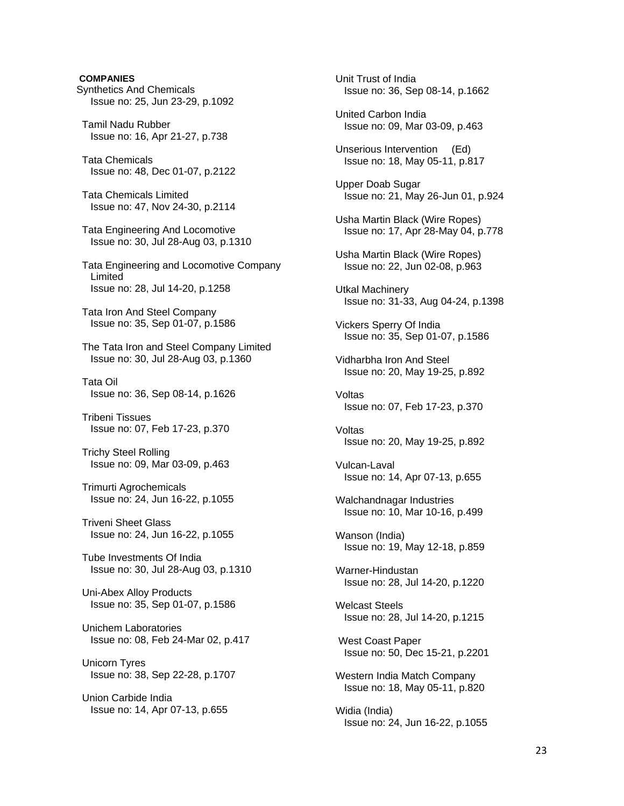## **COMPANIES**

- Synthetics And Chemicals Issue no: 25, Jun 23-29, p.1092
- Tamil Nadu Rubber Issue no: 16, Apr 21-27, p.738
- Tata Chemicals Issue no: 48, Dec 01-07, p.2122
- Tata Chemicals Limited Issue no: 47, Nov 24-30, p.2114
- Tata Engineering And Locomotive Issue no: 30, Jul 28-Aug 03, p.1310
- Tata Engineering and Locomotive Company Limited Issue no: 28, Jul 14-20, p.1258
- Tata Iron And Steel Company Issue no: 35, Sep 01-07, p.1586
- The Tata Iron and Steel Company Limited Issue no: 30, Jul 28-Aug 03, p.1360
- Tata Oil Issue no: 36, Sep 08-14, p.1626
- Tribeni Tissues Issue no: 07, Feb 17-23, p.370
- Trichy Steel Rolling Issue no: 09, Mar 03-09, p.463
- Trimurti Agrochemicals Issue no: 24, Jun 16-22, p.1055
- Triveni Sheet Glass Issue no: 24, Jun 16-22, p.1055
- Tube Investments Of India Issue no: 30, Jul 28-Aug 03, p.1310
- Uni-Abex Alloy Products Issue no: 35, Sep 01-07, p.1586
- Unichem Laboratories Issue no: 08, Feb 24-Mar 02, p.417
- Unicorn Tyres Issue no: 38, Sep 22-28, p.1707
- Union Carbide India Issue no: 14, Apr 07-13, p.655

 Unit Trust of India Issue no: 36, Sep 08-14, p.1662 United Carbon India Issue no: 09, Mar 03-09, p.463 Unserious Intervention (Ed) Issue no: 18, May 05-11, p.817 Upper Doab Sugar Issue no: 21, May 26-Jun 01, p.924 Usha Martin Black (Wire Ropes) Issue no: 17, Apr 28-May 04, p.778 Usha Martin Black (Wire Ropes) Issue no: 22, Jun 02-08, p.963 Utkal Machinery Issue no: 31-33, Aug 04-24, p.1398 Vickers Sperry Of India Issue no: 35, Sep 01-07, p.1586 Vidharbha Iron And Steel Issue no: 20, May 19-25, p.892 Voltas Issue no: 07, Feb 17-23, p.370 Voltas Issue no: 20, May 19-25, p.892 Vulcan-Laval Issue no: 14, Apr 07-13, p.655 Walchandnagar Industries Issue no: 10, Mar 10-16, p.499 Wanson (India) Issue no: 19, May 12-18, p.859 Warner-Hindustan Issue no: 28, Jul 14-20, p.1220 Welcast Steels Issue no: 28, Jul 14-20, p.1215 West Coast Paper Issue no: 50, Dec 15-21, p.2201 Western India Match Company Issue no: 18, May 05-11, p.820 Widia (India) Issue no: 24, Jun 16-22, p.1055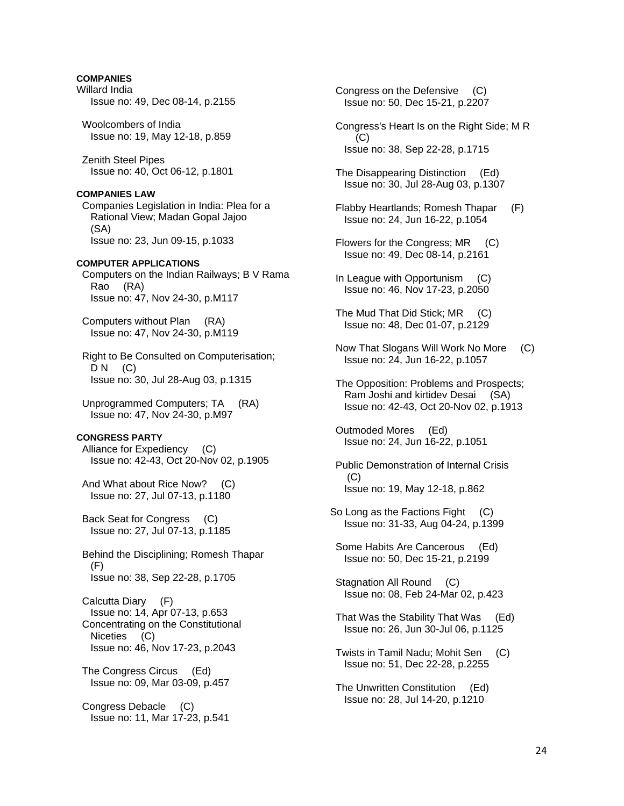## **COMPANIES**

- Willard India Issue no: 49, Dec 08-14, p.2155
- Woolcombers of India Issue no: 19, May 12-18, p.859

 Zenith Steel Pipes Issue no: 40, Oct 06-12, p.1801

#### **COMPANIES LAW**

 Companies Legislation in India: Plea for a Rational View; Madan Gopal Jajoo (SA) Issue no: 23, Jun 09-15, p.1033

#### **COMPUTER APPLICATIONS**

 Computers on the Indian Railways; B V Rama Rao (RA) Issue no: 47, Nov 24-30, p.M117

 Computers without Plan (RA) Issue no: 47, Nov 24-30, p.M119

 Right to Be Consulted on Computerisation;  $DN$  (C) Issue no: 30, Jul 28-Aug 03, p.1315

 Unprogrammed Computers; TA (RA) Issue no: 47, Nov 24-30, p.M97

## **CONGRESS PARTY**

 Alliance for Expediency (C) Issue no: 42-43, Oct 20-Nov 02, p.1905

 And What about Rice Now? (C) Issue no: 27, Jul 07-13, p.1180

 Back Seat for Congress (C) Issue no: 27, Jul 07-13, p.1185

 Behind the Disciplining; Romesh Thapar (F) Issue no: 38, Sep 22-28, p.1705

 Calcutta Diary (F) Issue no: 14, Apr 07-13, p.653 Concentrating on the Constitutional Niceties (C) Issue no: 46, Nov 17-23, p.2043

 The Congress Circus (Ed) Issue no: 09, Mar 03-09, p.457

 Congress Debacle (C) Issue no: 11, Mar 17-23, p.541  Congress on the Defensive (C) Issue no: 50, Dec 15-21, p.2207

- Congress's Heart Is on the Right Side; M R (C) Issue no: 38, Sep 22-28, p.1715
- The Disappearing Distinction (Ed) Issue no: 30, Jul 28-Aug 03, p.1307
- Flabby Heartlands; Romesh Thapar (F) Issue no: 24, Jun 16-22, p.1054
- Flowers for the Congress; MR (C) Issue no: 49, Dec 08-14, p.2161
- In League with Opportunism (C) Issue no: 46, Nov 17-23, p.2050
- The Mud That Did Stick; MR (C) Issue no: 48, Dec 01-07, p.2129
- Now That Slogans Will Work No More (C) Issue no: 24, Jun 16-22, p.1057
- The Opposition: Problems and Prospects; Ram Joshi and kirtidev Desai (SA) Issue no: 42-43, Oct 20-Nov 02, p.1913
- Outmoded Mores (Ed) Issue no: 24, Jun 16-22, p.1051
- Public Demonstration of Internal Crisis  $(C)$ Issue no: 19, May 12-18, p.862
- So Long as the Factions Fight (C) Issue no: 31-33, Aug 04-24, p.1399
- Some Habits Are Cancerous (Ed) Issue no: 50, Dec 15-21, p.2199
- Stagnation All Round (C) Issue no: 08, Feb 24-Mar 02, p.423
- That Was the Stability That Was (Ed) Issue no: 26, Jun 30-Jul 06, p.1125
- Twists in Tamil Nadu; Mohit Sen (C) Issue no: 51, Dec 22-28, p.2255
- The Unwritten Constitution (Ed) Issue no: 28, Jul 14-20, p.1210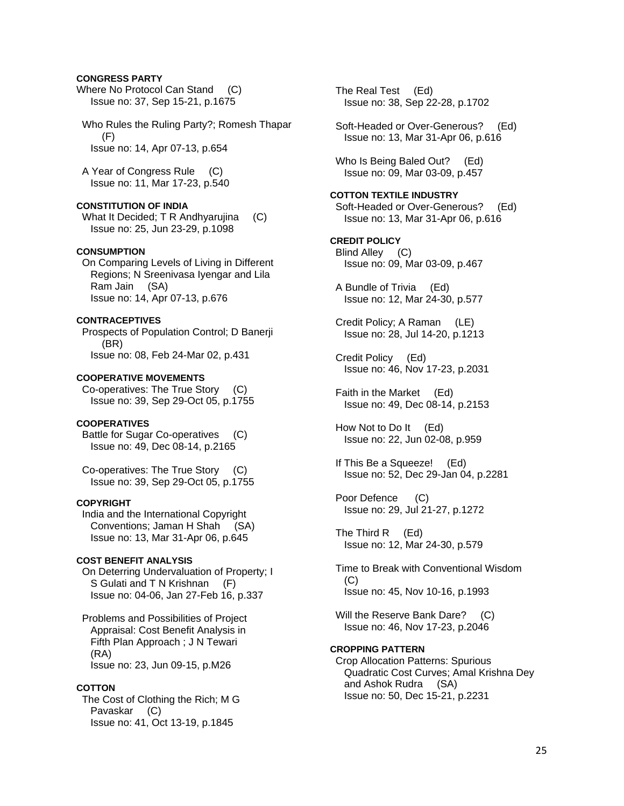### **CONGRESS PARTY**

Where No Protocol Can Stand (C) Issue no: 37, Sep 15-21, p.1675

 Who Rules the Ruling Party?; Romesh Thapar (F) Issue no: 14, Apr 07-13, p.654

 A Year of Congress Rule (C) Issue no: 11, Mar 17-23, p.540

## **CONSTITUTION OF INDIA**

What It Decided; T R Andhyarujina (C) Issue no: 25, Jun 23-29, p.1098

## **CONSUMPTION**

 On Comparing Levels of Living in Different Regions; N Sreenivasa Iyengar and Lila Ram Jain (SA) Issue no: 14, Apr 07-13, p.676

# **CONTRACEPTIVES**

 Prospects of Population Control; D Banerji (BR) Issue no: 08, Feb 24-Mar 02, p.431

### **COOPERATIVE MOVEMENTS**

 Co-operatives: The True Story (C) Issue no: 39, Sep 29-Oct 05, p.1755

#### **COOPERATIVES**

 Battle for Sugar Co-operatives (C) Issue no: 49, Dec 08-14, p.2165

 Co-operatives: The True Story (C) Issue no: 39, Sep 29-Oct 05, p.1755

#### **COPYRIGHT**

 India and the International Copyright Conventions; Jaman H Shah (SA) Issue no: 13, Mar 31-Apr 06, p.645

## **COST BENEFIT ANALYSIS**

 On Deterring Undervaluation of Property; I S Gulati and T N Krishnan (F) Issue no: 04-06, Jan 27-Feb 16, p.337

 Problems and Possibilities of Project Appraisal: Cost Benefit Analysis in Fifth Plan Approach ; J N Tewari (RA) Issue no: 23, Jun 09-15, p.M26

#### **COTTON**

 The Cost of Clothing the Rich; M G Pavaskar (C) Issue no: 41, Oct 13-19, p.1845

 The Real Test (Ed) Issue no: 38, Sep 22-28, p.1702

 Soft-Headed or Over-Generous? (Ed) Issue no: 13, Mar 31-Apr 06, p.616

 Who Is Being Baled Out? (Ed) Issue no: 09, Mar 03-09, p.457

#### **COTTON TEXTILE INDUSTRY**

 Soft-Headed or Over-Generous? (Ed) Issue no: 13, Mar 31-Apr 06, p.616

**CREDIT POLICY**  Blind Alley (C) Issue no: 09, Mar 03-09, p.467

 A Bundle of Trivia (Ed) Issue no: 12, Mar 24-30, p.577

 Credit Policy; A Raman (LE) Issue no: 28, Jul 14-20, p.1213

 Credit Policy (Ed) Issue no: 46, Nov 17-23, p.2031

 Faith in the Market (Ed) Issue no: 49, Dec 08-14, p.2153

 How Not to Do It (Ed) Issue no: 22, Jun 02-08, p.959

 If This Be a Squeeze! (Ed) Issue no: 52, Dec 29-Jan 04, p.2281

 Poor Defence (C) Issue no: 29, Jul 21-27, p.1272

 The Third R (Ed) Issue no: 12, Mar 24-30, p.579

 Time to Break with Conventional Wisdom (C) Issue no: 45, Nov 10-16, p.1993

Will the Reserve Bank Dare? (C) Issue no: 46, Nov 17-23, p.2046

## **CROPPING PATTERN**

 Crop Allocation Patterns: Spurious Quadratic Cost Curves; Amal Krishna Dey and Ashok Rudra (SA) Issue no: 50, Dec 15-21, p.2231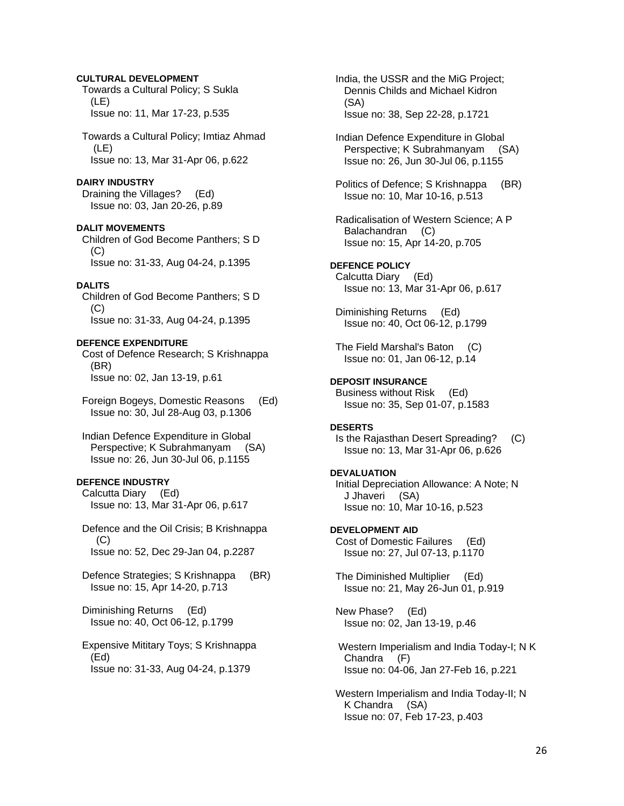### **CULTURAL DEVELOPMENT**

 Towards a Cultural Policy; S Sukla (LE) Issue no: 11, Mar 17-23, p.535

 Towards a Cultural Policy; Imtiaz Ahmad (LE) Issue no: 13, Mar 31-Apr 06, p.622

#### **DAIRY INDUSTRY**

 Draining the Villages? (Ed) Issue no: 03, Jan 20-26, p.89

#### **DALIT MOVEMENTS**

 Children of God Become Panthers; S D (C) Issue no: 31-33, Aug 04-24, p.1395

#### **DALITS**

 Children of God Become Panthers; S D  $(C)$ Issue no: 31-33, Aug 04-24, p.1395

## **DEFENCE EXPENDITURE**

 Cost of Defence Research; S Krishnappa (BR) Issue no: 02, Jan 13-19, p.61

 Foreign Bogeys, Domestic Reasons (Ed) Issue no: 30, Jul 28-Aug 03, p.1306

 Indian Defence Expenditure in Global Perspective; K Subrahmanyam (SA) Issue no: 26, Jun 30-Jul 06, p.1155

# **DEFENCE INDUSTRY**

 Calcutta Diary (Ed) Issue no: 13, Mar 31-Apr 06, p.617

 Defence and the Oil Crisis; B Krishnappa  $(C)$ Issue no: 52, Dec 29-Jan 04, p.2287

 Defence Strategies; S Krishnappa (BR) Issue no: 15, Apr 14-20, p.713

 Diminishing Returns (Ed) Issue no: 40, Oct 06-12, p.1799

 Expensive Mititary Toys; S Krishnappa (Ed) Issue no: 31-33, Aug 04-24, p.1379

 India, the USSR and the MiG Project; Dennis Childs and Michael Kidron (SA) Issue no: 38, Sep 22-28, p.1721

 Indian Defence Expenditure in Global Perspective; K Subrahmanyam (SA) Issue no: 26, Jun 30-Jul 06, p.1155

 Politics of Defence; S Krishnappa (BR) Issue no: 10, Mar 10-16, p.513

 Radicalisation of Western Science; A P Balachandran (C) Issue no: 15, Apr 14-20, p.705

**DEFENCE POLICY**  Calcutta Diary (Ed) Issue no: 13, Mar 31-Apr 06, p.617

 Diminishing Returns (Ed) Issue no: 40, Oct 06-12, p.1799

 The Field Marshal's Baton (C) Issue no: 01, Jan 06-12, p.14

# **DEPOSIT INSURANCE**

 Business without Risk (Ed) Issue no: 35, Sep 01-07, p.1583

# **DESERTS**

 Is the Rajasthan Desert Spreading? (C) Issue no: 13, Mar 31-Apr 06, p.626

### **DEVALUATION**

 Initial Depreciation Allowance: A Note; N J Jhaveri (SA) Issue no: 10, Mar 10-16, p.523

**DEVELOPMENT AID**  Cost of Domestic Failures (Ed) Issue no: 27, Jul 07-13, p.1170

 The Diminished Multiplier (Ed) Issue no: 21, May 26-Jun 01, p.919

 New Phase? (Ed) Issue no: 02, Jan 13-19, p.46

 Western Imperialism and India Today-I; N K Chandra (F) Issue no: 04-06, Jan 27-Feb 16, p.221

 Western Imperialism and India Today-II; N K Chandra (SA) Issue no: 07, Feb 17-23, p.403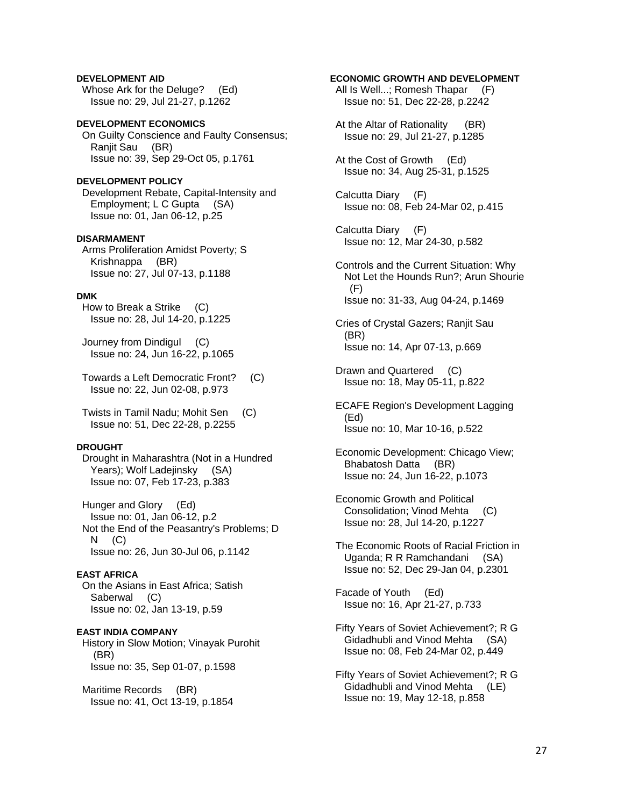**DEVELOPMENT AID**  Whose Ark for the Deluge? (Ed) Issue no: 29, Jul 21-27, p.1262

**DEVELOPMENT ECONOMICS**  On Guilty Conscience and Faulty Consensus; Ranjit Sau (BR) Issue no: 39, Sep 29-Oct 05, p.1761

**DEVELOPMENT POLICY**  Development Rebate, Capital-Intensity and Employment; L C Gupta (SA) Issue no: 01, Jan 06-12, p.25

#### **DISARMAMENT**

 Arms Proliferation Amidst Poverty; S Krishnappa (BR) Issue no: 27, Jul 07-13, p.1188

### **DMK**

 How to Break a Strike (C) Issue no: 28, Jul 14-20, p.1225

 Journey from Dindigul (C) Issue no: 24, Jun 16-22, p.1065

 Towards a Left Democratic Front? (C) Issue no: 22, Jun 02-08, p.973

 Twists in Tamil Nadu; Mohit Sen (C) Issue no: 51, Dec 22-28, p.2255

## **DROUGHT**

 Drought in Maharashtra (Not in a Hundred Years); Wolf Ladejinsky (SA) Issue no: 07, Feb 17-23, p.383

 Hunger and Glory (Ed) Issue no: 01, Jan 06-12, p.2 Not the End of the Peasantry's Problems; D  $N$   $(C)$ Issue no: 26, Jun 30-Jul 06, p.1142

#### **EAST AFRICA**

 On the Asians in East Africa; Satish Saberwal (C) Issue no: 02, Jan 13-19, p.59

**EAST INDIA COMPANY** 

 History in Slow Motion; Vinayak Purohit (BR) Issue no: 35, Sep 01-07, p.1598

 Maritime Records (BR) Issue no: 41, Oct 13-19, p.1854

# **ECONOMIC GROWTH AND DEVELOPMENT**

All Is Well...; Romesh Thapar (F) Issue no: 51, Dec 22-28, p.2242

 At the Altar of Rationality (BR) Issue no: 29, Jul 21-27, p.1285

 At the Cost of Growth (Ed) Issue no: 34, Aug 25-31, p.1525

 Calcutta Diary (F) Issue no: 08, Feb 24-Mar 02, p.415

 Calcutta Diary (F) Issue no: 12, Mar 24-30, p.582

 Controls and the Current Situation: Why Not Let the Hounds Run?; Arun Shourie  $(F)$ Issue no: 31-33, Aug 04-24, p.1469

 Cries of Crystal Gazers; Ranjit Sau (BR) Issue no: 14, Apr 07-13, p.669

 Drawn and Quartered (C) Issue no: 18, May 05-11, p.822

 ECAFE Region's Development Lagging (Ed) Issue no: 10, Mar 10-16, p.522

 Economic Development: Chicago View; Bhabatosh Datta (BR) Issue no: 24, Jun 16-22, p.1073

 Economic Growth and Political Consolidation; Vinod Mehta (C) Issue no: 28, Jul 14-20, p.1227

 The Economic Roots of Racial Friction in Uganda; R R Ramchandani (SA) Issue no: 52, Dec 29-Jan 04, p.2301

 Facade of Youth (Ed) Issue no: 16, Apr 21-27, p.733

 Fifty Years of Soviet Achievement?; R G Gidadhubli and Vinod Mehta (SA) Issue no: 08, Feb 24-Mar 02, p.449

 Fifty Years of Soviet Achievement?; R G Gidadhubli and Vinod Mehta (LE) Issue no: 19, May 12-18, p.858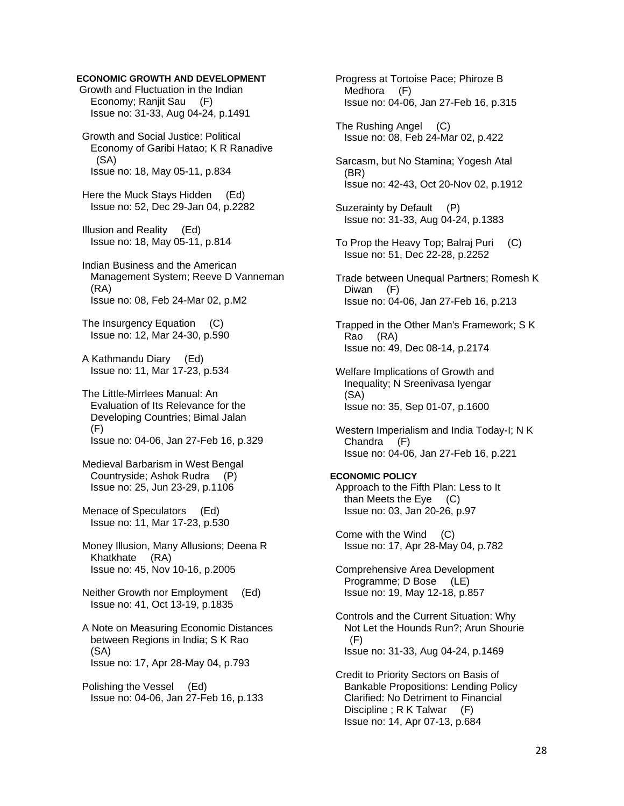## **ECONOMIC GROWTH AND DEVELOPMENT**

 Growth and Fluctuation in the Indian Economy; Ranjit Sau (F) Issue no: 31-33, Aug 04-24, p.1491

 Growth and Social Justice: Political Economy of Garibi Hatao; K R Ranadive (SA) Issue no: 18, May 05-11, p.834

 Here the Muck Stays Hidden (Ed) Issue no: 52, Dec 29-Jan 04, p.2282

 Illusion and Reality (Ed) Issue no: 18, May 05-11, p.814

 Indian Business and the American Management System; Reeve D Vanneman (RA) Issue no: 08, Feb 24-Mar 02, p.M2

 The Insurgency Equation (C) Issue no: 12, Mar 24-30, p.590

 A Kathmandu Diary (Ed) Issue no: 11, Mar 17-23, p.534

 The Little-Mirrlees Manual: An Evaluation of Its Relevance for the Developing Countries; Bimal Jalan (F) Issue no: 04-06, Jan 27-Feb 16, p.329

 Medieval Barbarism in West Bengal Countryside; Ashok Rudra (P) Issue no: 25, Jun 23-29, p.1106

 Menace of Speculators (Ed) Issue no: 11, Mar 17-23, p.530

 Money Illusion, Many Allusions; Deena R Khatkhate (RA) Issue no: 45, Nov 10-16, p.2005

 Neither Growth nor Employment (Ed) Issue no: 41, Oct 13-19, p.1835

 A Note on Measuring Economic Distances between Regions in India; S K Rao (SA) Issue no: 17, Apr 28-May 04, p.793

 Polishing the Vessel (Ed) Issue no: 04-06, Jan 27-Feb 16, p.133  Progress at Tortoise Pace; Phiroze B Medhora (F) Issue no: 04-06, Jan 27-Feb 16, p.315

 The Rushing Angel (C) Issue no: 08, Feb 24-Mar 02, p.422

 Sarcasm, but No Stamina; Yogesh Atal (BR) Issue no: 42-43, Oct 20-Nov 02, p.1912

Suzerainty by Default (P) Issue no: 31-33, Aug 04-24, p.1383

 To Prop the Heavy Top; Balraj Puri (C) Issue no: 51, Dec 22-28, p.2252

 Trade between Unequal Partners; Romesh K Diwan (F) Issue no: 04-06, Jan 27-Feb 16, p.213

 Trapped in the Other Man's Framework; S K Rao (RA) Issue no: 49, Dec 08-14, p.2174

 Welfare Implications of Growth and Inequality; N Sreenivasa Iyengar (SA) Issue no: 35, Sep 01-07, p.1600

 Western Imperialism and India Today-I; N K Chandra (F) Issue no: 04-06, Jan 27-Feb 16, p.221

#### **ECONOMIC POLICY**  Approach to the Fifth Plan: Less to It than Meets the Eye (C) Issue no: 03, Jan 20-26, p.97

 Come with the Wind (C) Issue no: 17, Apr 28-May 04, p.782

 Comprehensive Area Development Programme; D Bose (LE) Issue no: 19, May 12-18, p.857

 Controls and the Current Situation: Why Not Let the Hounds Run?; Arun Shourie (F) Issue no: 31-33, Aug 04-24, p.1469

 Credit to Priority Sectors on Basis of Bankable Propositions: Lending Policy Clarified: No Detriment to Financial Discipline ; R K Talwar (F) Issue no: 14, Apr 07-13, p.684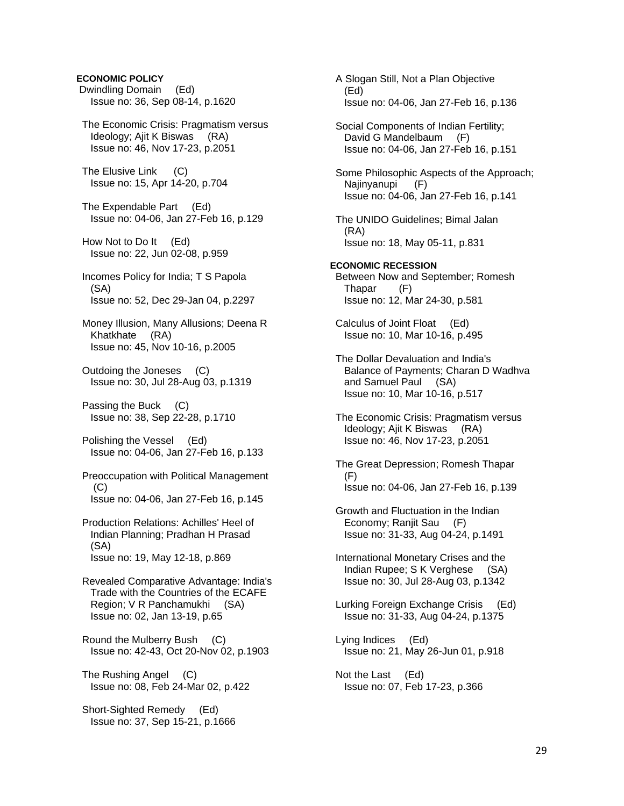# **ECONOMIC POLICY**  Dwindling Domain (Ed) Issue no: 36, Sep 08-14, p.1620 The Economic Crisis: Pragmatism versus Ideology; Ajit K Biswas (RA) Issue no: 46, Nov 17-23, p.2051 The Elusive Link (C) Issue no: 15, Apr 14-20, p.704 The Expendable Part (Ed) Issue no: 04-06, Jan 27-Feb 16, p.129 How Not to Do It (Ed) Issue no: 22, Jun 02-08, p.959 Incomes Policy for India; T S Papola (SA) Issue no: 52, Dec 29-Jan 04, p.2297 Money Illusion, Many Allusions; Deena R Khatkhate (RA) Issue no: 45, Nov 10-16, p.2005 Outdoing the Joneses (C) Issue no: 30, Jul 28-Aug 03, p.1319 Passing the Buck (C) Issue no: 38, Sep 22-28, p.1710 Polishing the Vessel (Ed) Issue no: 04-06, Jan 27-Feb 16, p.133 Preoccupation with Political Management (C) Issue no: 04-06, Jan 27-Feb 16, p.145 Production Relations: Achilles' Heel of Indian Planning; Pradhan H Prasad (SA) Issue no: 19, May 12-18, p.869 Revealed Comparative Advantage: India's Trade with the Countries of the ECAFE Region; V R Panchamukhi (SA) Issue no: 02, Jan 13-19, p.65 Round the Mulberry Bush (C) Issue no: 42-43, Oct 20-Nov 02, p.1903 The Rushing Angel (C) Issue no: 08, Feb 24-Mar 02, p.422 Short-Sighted Remedy (Ed) Issue no: 37, Sep 15-21, p.1666

 A Slogan Still, Not a Plan Objective (Ed) Issue no: 04-06, Jan 27-Feb 16, p.136 Social Components of Indian Fertility; David G Mandelbaum (F) Issue no: 04-06, Jan 27-Feb 16, p.151 Some Philosophic Aspects of the Approach; Najinyanupi (F) Issue no: 04-06, Jan 27-Feb 16, p.141 The UNIDO Guidelines; Bimal Jalan (RA) Issue no: 18, May 05-11, p.831 **ECONOMIC RECESSION**  Between Now and September; Romesh Thapar (F) Issue no: 12, Mar 24-30, p.581 Calculus of Joint Float (Ed) Issue no: 10, Mar 10-16, p.495 The Dollar Devaluation and India's Balance of Payments; Charan D Wadhva and Samuel Paul (SA) Issue no: 10, Mar 10-16, p.517 The Economic Crisis: Pragmatism versus Ideology; Ajit K Biswas (RA) Issue no: 46, Nov 17-23, p.2051 The Great Depression; Romesh Thapar (F) Issue no: 04-06, Jan 27-Feb 16, p.139 Growth and Fluctuation in the Indian Economy; Ranjit Sau (F) Issue no: 31-33, Aug 04-24, p.1491 International Monetary Crises and the Indian Rupee; S K Verghese (SA) Issue no: 30, Jul 28-Aug 03, p.1342 Lurking Foreign Exchange Crisis (Ed) Issue no: 31-33, Aug 04-24, p.1375 Lying Indices (Ed) Issue no: 21, May 26-Jun 01, p.918 Not the Last (Ed) Issue no: 07, Feb 17-23, p.366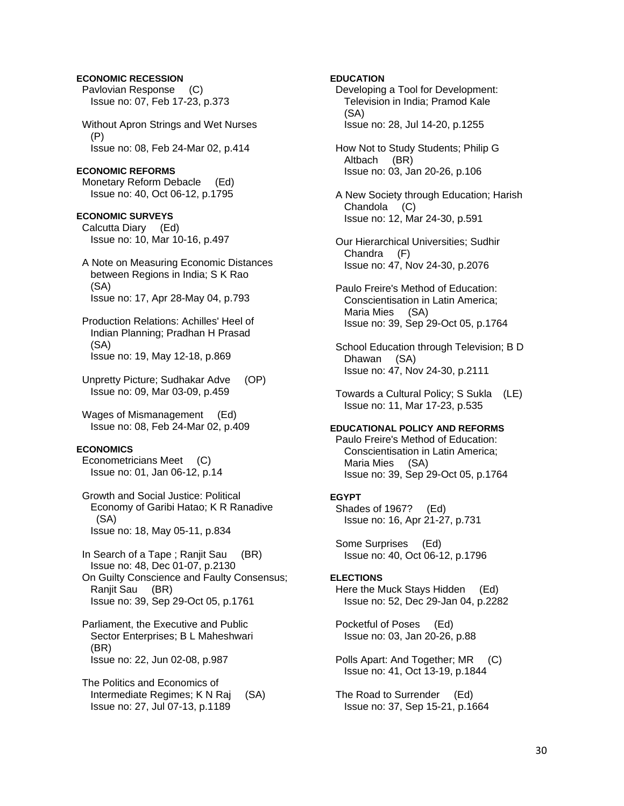## **ECONOMIC RECESSION**

 Pavlovian Response (C) Issue no: 07, Feb 17-23, p.373

 Without Apron Strings and Wet Nurses (P) Issue no: 08, Feb 24-Mar 02, p.414

#### **ECONOMIC REFORMS**

 Monetary Reform Debacle (Ed) Issue no: 40, Oct 06-12, p.1795

#### **ECONOMIC SURVEYS**

 Calcutta Diary (Ed) Issue no: 10, Mar 10-16, p.497

 A Note on Measuring Economic Distances between Regions in India; S K Rao (SA) Issue no: 17, Apr 28-May 04, p.793

 Production Relations: Achilles' Heel of Indian Planning; Pradhan H Prasad (SA) Issue no: 19, May 12-18, p.869

 Unpretty Picture; Sudhakar Adve (OP) Issue no: 09, Mar 03-09, p.459

 Wages of Mismanagement (Ed) Issue no: 08, Feb 24-Mar 02, p.409

## **ECONOMICS**

 Econometricians Meet (C) Issue no: 01, Jan 06-12, p.14

 Growth and Social Justice: Political Economy of Garibi Hatao; K R Ranadive (SA) Issue no: 18, May 05-11, p.834

 In Search of a Tape ; Ranjit Sau (BR) Issue no: 48, Dec 01-07, p.2130 On Guilty Conscience and Faulty Consensus; Ranjit Sau (BR) Issue no: 39, Sep 29-Oct 05, p.1761

 Parliament, the Executive and Public Sector Enterprises; B L Maheshwari (BR) Issue no: 22, Jun 02-08, p.987

 The Politics and Economics of Intermediate Regimes; K N Raj (SA) Issue no: 27, Jul 07-13, p.1189

#### **EDUCATION**

 Developing a Tool for Development: Television in India; Pramod Kale (SA) Issue no: 28, Jul 14-20, p.1255

- How Not to Study Students; Philip G Altbach (BR) Issue no: 03, Jan 20-26, p.106
- A New Society through Education; Harish Chandola (C) Issue no: 12, Mar 24-30, p.591

 Our Hierarchical Universities; Sudhir Chandra (F) Issue no: 47, Nov 24-30, p.2076

- Paulo Freire's Method of Education: Conscientisation in Latin America; Maria Mies (SA) Issue no: 39, Sep 29-Oct 05, p.1764
- School Education through Television; B D Dhawan (SA) Issue no: 47, Nov 24-30, p.2111
- Towards a Cultural Policy; S Sukla (LE) Issue no: 11, Mar 17-23, p.535

## **EDUCATIONAL POLICY AND REFORMS**

 Paulo Freire's Method of Education: Conscientisation in Latin America; Maria Mies (SA) Issue no: 39, Sep 29-Oct 05, p.1764

#### **EGYPT**

 Shades of 1967? (Ed) Issue no: 16, Apr 21-27, p.731

 Some Surprises (Ed) Issue no: 40, Oct 06-12, p.1796

#### **ELECTIONS**

Here the Muck Stays Hidden (Ed) Issue no: 52, Dec 29-Jan 04, p.2282

 Pocketful of Poses (Ed) Issue no: 03, Jan 20-26, p.88

- Polls Apart: And Together; MR (C) Issue no: 41, Oct 13-19, p.1844
- The Road to Surrender (Ed) Issue no: 37, Sep 15-21, p.1664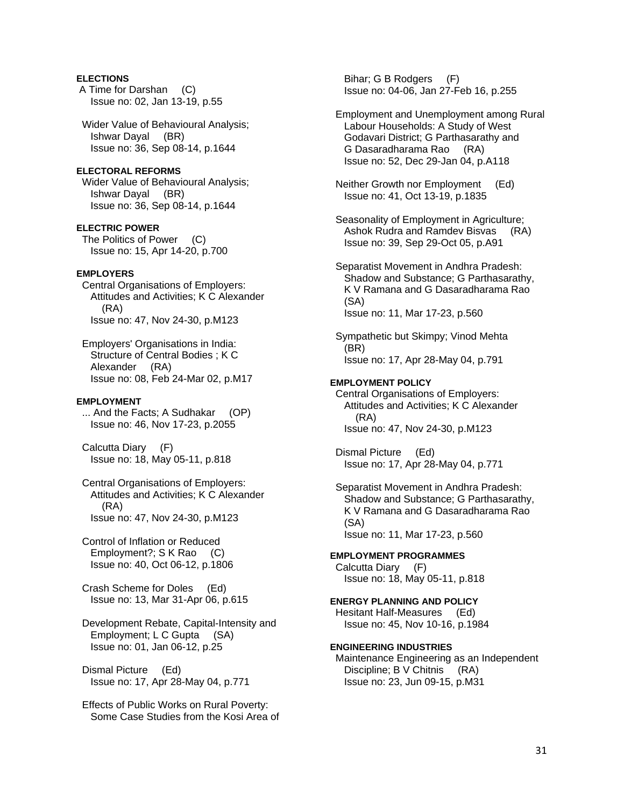## **ELECTIONS**

 A Time for Darshan (C) Issue no: 02, Jan 13-19, p.55

 Wider Value of Behavioural Analysis; Ishwar Dayal (BR) Issue no: 36, Sep 08-14, p.1644

### **ELECTORAL REFORMS**

 Wider Value of Behavioural Analysis; Ishwar Dayal (BR) Issue no: 36, Sep 08-14, p.1644

#### **ELECTRIC POWER**

The Politics of Power (C) Issue no: 15, Apr 14-20, p.700

## **EMPLOYERS**

 Central Organisations of Employers: Attitudes and Activities; K C Alexander (RA) Issue no: 47, Nov 24-30, p.M123

 Employers' Organisations in India: Structure of Central Bodies ; K C Alexander (RA) Issue no: 08, Feb 24-Mar 02, p.M17

#### **EMPLOYMENT**

 ... And the Facts; A Sudhakar (OP) Issue no: 46, Nov 17-23, p.2055

 Calcutta Diary (F) Issue no: 18, May 05-11, p.818

 Central Organisations of Employers: Attitudes and Activities; K C Alexander (RA) Issue no: 47, Nov 24-30, p.M123

 Control of Inflation or Reduced Employment?; S K Rao (C) Issue no: 40, Oct 06-12, p.1806

 Crash Scheme for Doles (Ed) Issue no: 13, Mar 31-Apr 06, p.615

 Development Rebate, Capital-Intensity and Employment; L C Gupta (SA) Issue no: 01, Jan 06-12, p.25

 Dismal Picture (Ed) Issue no: 17, Apr 28-May 04, p.771

 Effects of Public Works on Rural Poverty: Some Case Studies from the Kosi Area of

 Bihar; G B Rodgers (F) Issue no: 04-06, Jan 27-Feb 16, p.255

 Employment and Unemployment among Rural Labour Households: A Study of West Godavari District; G Parthasarathy and G Dasaradharama Rao (RA) Issue no: 52, Dec 29-Jan 04, p.A118

 Neither Growth nor Employment (Ed) Issue no: 41, Oct 13-19, p.1835

 Seasonality of Employment in Agriculture; Ashok Rudra and Ramdev Bisvas (RA) Issue no: 39, Sep 29-Oct 05, p.A91

 Separatist Movement in Andhra Pradesh: Shadow and Substance; G Parthasarathy, K V Ramana and G Dasaradharama Rao (SA) Issue no: 11, Mar 17-23, p.560

 Sympathetic but Skimpy; Vinod Mehta (BR) Issue no: 17, Apr 28-May 04, p.791

#### **EMPLOYMENT POLICY**

 Central Organisations of Employers: Attitudes and Activities; K C Alexander (RA) Issue no: 47, Nov 24-30, p.M123

 Dismal Picture (Ed) Issue no: 17, Apr 28-May 04, p.771

 Separatist Movement in Andhra Pradesh: Shadow and Substance; G Parthasarathy, K V Ramana and G Dasaradharama Rao (SA) Issue no: 11, Mar 17-23, p.560

**EMPLOYMENT PROGRAMMES** 

 Calcutta Diary (F) Issue no: 18, May 05-11, p.818

**ENERGY PLANNING AND POLICY**  Hesitant Half-Measures (Ed) Issue no: 45, Nov 10-16, p.1984

#### **ENGINEERING INDUSTRIES**

 Maintenance Engineering as an Independent Discipline; B V Chitnis (RA) Issue no: 23, Jun 09-15, p.M31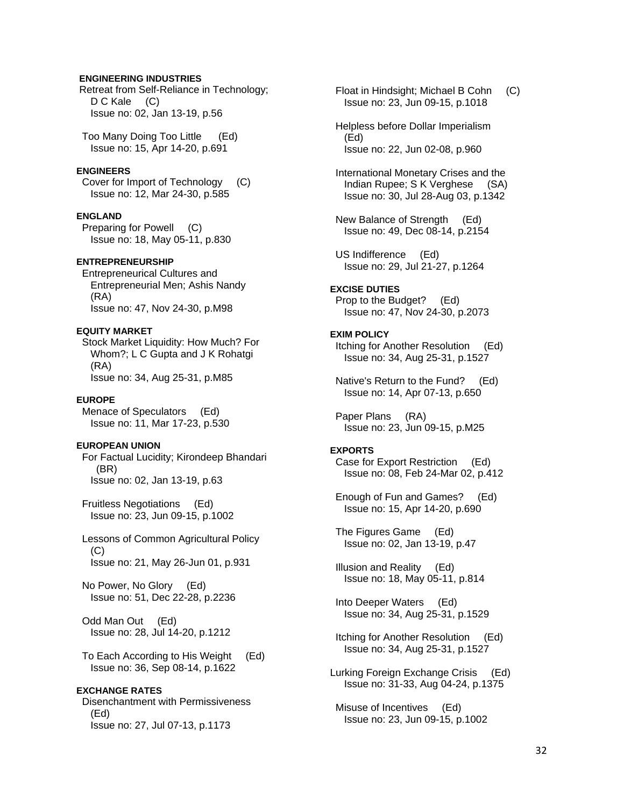### **ENGINEERING INDUSTRIES**

 Retreat from Self-Reliance in Technology; D C Kale (C) Issue no: 02, Jan 13-19, p.56

 Too Many Doing Too Little (Ed) Issue no: 15, Apr 14-20, p.691

#### **ENGINEERS**

 Cover for Import of Technology (C) Issue no: 12, Mar 24-30, p.585

#### **ENGLAND**

 Preparing for Powell (C) Issue no: 18, May 05-11, p.830

## **ENTREPRENEURSHIP**

 Entrepreneurical Cultures and Entrepreneurial Men; Ashis Nandy (RA) Issue no: 47, Nov 24-30, p.M98

## **EQUITY MARKET**

 Stock Market Liquidity: How Much? For Whom?; L C Gupta and J K Rohatgi (RA) Issue no: 34, Aug 25-31, p.M85

#### **EUROPE**

 Menace of Speculators (Ed) Issue no: 11, Mar 17-23, p.530

### **EUROPEAN UNION**

 For Factual Lucidity; Kirondeep Bhandari (BR) Issue no: 02, Jan 13-19, p.63

 Fruitless Negotiations (Ed) Issue no: 23, Jun 09-15, p.1002

 Lessons of Common Agricultural Policy  $(C)$ Issue no: 21, May 26-Jun 01, p.931

 No Power, No Glory (Ed) Issue no: 51, Dec 22-28, p.2236

 Odd Man Out (Ed) Issue no: 28, Jul 14-20, p.1212

 To Each According to His Weight (Ed) Issue no: 36, Sep 08-14, p.1622

#### **EXCHANGE RATES**

 Disenchantment with Permissiveness (Ed) Issue no: 27, Jul 07-13, p.1173

 Float in Hindsight; Michael B Cohn (C) Issue no: 23, Jun 09-15, p.1018

 Helpless before Dollar Imperialism (Ed) Issue no: 22, Jun 02-08, p.960

 International Monetary Crises and the Indian Rupee; S K Verghese (SA) Issue no: 30, Jul 28-Aug 03, p.1342

 New Balance of Strength (Ed) Issue no: 49, Dec 08-14, p.2154

 US Indifference (Ed) Issue no: 29, Jul 21-27, p.1264

#### **EXCISE DUTIES**  Prop to the Budget? (Ed) Issue no: 47, Nov 24-30, p.2073

#### **EXIM POLICY**

 Itching for Another Resolution (Ed) Issue no: 34, Aug 25-31, p.1527

 Native's Return to the Fund? (Ed) Issue no: 14, Apr 07-13, p.650

 Paper Plans (RA) Issue no: 23, Jun 09-15, p.M25

#### **EXPORTS**

 Case for Export Restriction (Ed) Issue no: 08, Feb 24-Mar 02, p.412

 Enough of Fun and Games? (Ed) Issue no: 15, Apr 14-20, p.690

 The Figures Game (Ed) Issue no: 02, Jan 13-19, p.47

 Illusion and Reality (Ed) Issue no: 18, May 05-11, p.814

 Into Deeper Waters (Ed) Issue no: 34, Aug 25-31, p.1529

 Itching for Another Resolution (Ed) Issue no: 34, Aug 25-31, p.1527

Lurking Foreign Exchange Crisis (Ed) Issue no: 31-33, Aug 04-24, p.1375

 Misuse of Incentives (Ed) Issue no: 23, Jun 09-15, p.1002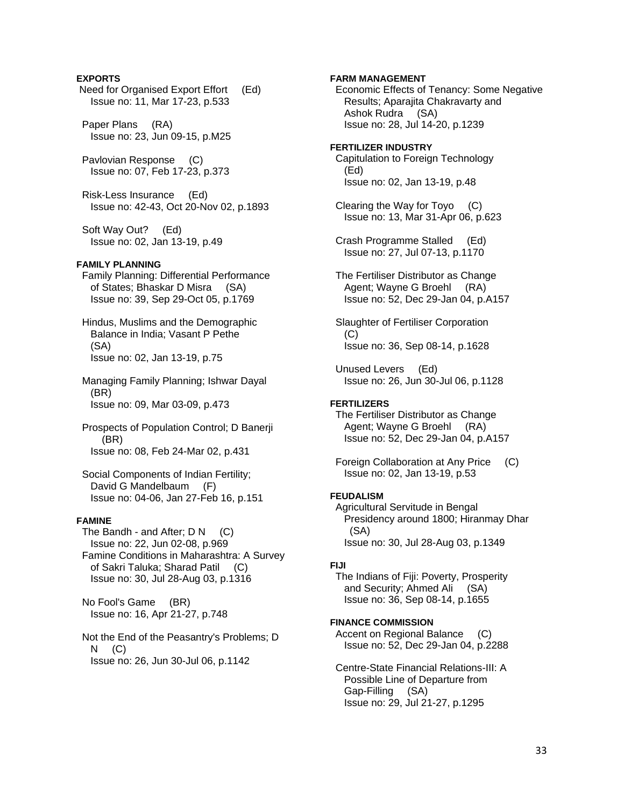## **EXPORTS**

 Need for Organised Export Effort (Ed) Issue no: 11, Mar 17-23, p.533

 Paper Plans (RA) Issue no: 23, Jun 09-15, p.M25

 Pavlovian Response (C) Issue no: 07, Feb 17-23, p.373

 Risk-Less Insurance (Ed) Issue no: 42-43, Oct 20-Nov 02, p.1893

 Soft Way Out? (Ed) Issue no: 02, Jan 13-19, p.49

### **FAMILY PLANNING**

 Family Planning: Differential Performance of States; Bhaskar D Misra (SA) Issue no: 39, Sep 29-Oct 05, p.1769

 Hindus, Muslims and the Demographic Balance in India; Vasant P Pethe (SA) Issue no: 02, Jan 13-19, p.75

 Managing Family Planning; Ishwar Dayal (BR) Issue no: 09, Mar 03-09, p.473

 Prospects of Population Control; D Banerji (BR) Issue no: 08, Feb 24-Mar 02, p.431

 Social Components of Indian Fertility; David G Mandelbaum (F) Issue no: 04-06, Jan 27-Feb 16, p.151

## **FAMINE**

The Bandh - and After;  $D N$  (C) Issue no: 22, Jun 02-08, p.969 Famine Conditions in Maharashtra: A Survey of Sakri Taluka; Sharad Patil (C) Issue no: 30, Jul 28-Aug 03, p.1316

 No Fool's Game (BR) Issue no: 16, Apr 21-27, p.748

 Not the End of the Peasantry's Problems; D N (C) Issue no: 26, Jun 30-Jul 06, p.1142

**FARM MANAGEMENT**  Economic Effects of Tenancy: Some Negative Results; Aparajita Chakravarty and Ashok Rudra (SA) Issue no: 28, Jul 14-20, p.1239 **FERTILIZER INDUSTRY**  Capitulation to Foreign Technology (Ed) Issue no: 02, Jan 13-19, p.48 Clearing the Way for Toyo (C) Issue no: 13, Mar 31-Apr 06, p.623 Crash Programme Stalled (Ed) Issue no: 27, Jul 07-13, p.1170 The Fertiliser Distributor as Change Agent; Wayne G Broehl (RA) Issue no: 52, Dec 29-Jan 04, p.A157 Slaughter of Fertiliser Corporation (C) Issue no: 36, Sep 08-14, p.1628 Unused Levers (Ed) Issue no: 26, Jun 30-Jul 06, p.1128 **FERTILIZERS**  The Fertiliser Distributor as Change Agent; Wayne G Broehl (RA) Issue no: 52, Dec 29-Jan 04, p.A157 Foreign Collaboration at Any Price (C) Issue no: 02, Jan 13-19, p.53

## **FEUDALISM**

 Agricultural Servitude in Bengal Presidency around 1800; Hiranmay Dhar (SA) Issue no: 30, Jul 28-Aug 03, p.1349

## **FIJI**

 The Indians of Fiji: Poverty, Prosperity and Security; Ahmed Ali (SA) Issue no: 36, Sep 08-14, p.1655

### **FINANCE COMMISSION**

 Accent on Regional Balance (C) Issue no: 52, Dec 29-Jan 04, p.2288

 Centre-State Financial Relations-III: A Possible Line of Departure from Gap-Filling (SA) Issue no: 29, Jul 21-27, p.1295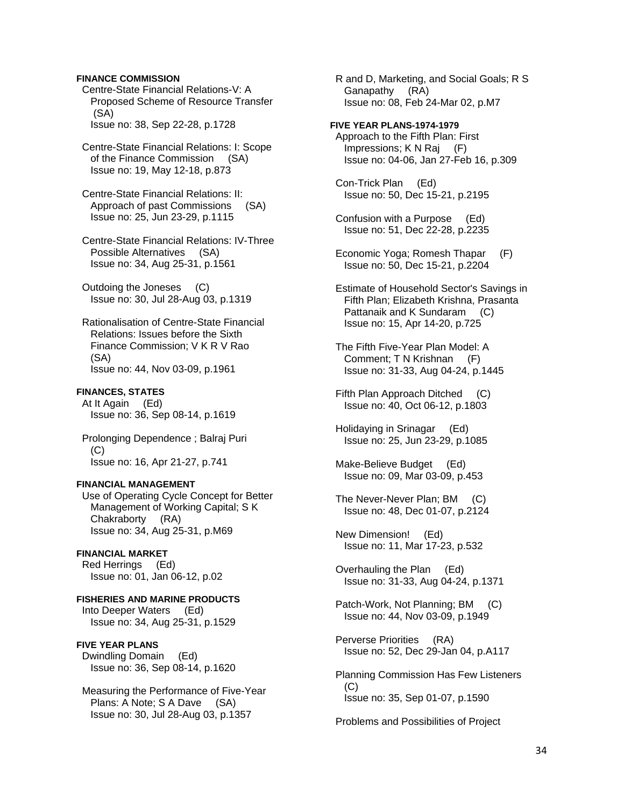#### **FINANCE COMMISSION**

 Centre-State Financial Relations-V: A Proposed Scheme of Resource Transfer (SA) Issue no: 38, Sep 22-28, p.1728

 Centre-State Financial Relations: I: Scope of the Finance Commission (SA) Issue no: 19, May 12-18, p.873

 Centre-State Financial Relations: II: Approach of past Commissions (SA) Issue no: 25, Jun 23-29, p.1115

 Centre-State Financial Relations: IV-Three Possible Alternatives (SA) Issue no: 34, Aug 25-31, p.1561

 Outdoing the Joneses (C) Issue no: 30, Jul 28-Aug 03, p.1319

 Rationalisation of Centre-State Financial Relations: Issues before the Sixth Finance Commission; V K R V Rao (SA) Issue no: 44, Nov 03-09, p.1961

## **FINANCES, STATES**

 At It Again (Ed) Issue no: 36, Sep 08-14, p.1619

 Prolonging Dependence ; Balraj Puri (C) Issue no: 16, Apr 21-27, p.741

### **FINANCIAL MANAGEMENT**

 Use of Operating Cycle Concept for Better Management of Working Capital; S K Chakraborty (RA) Issue no: 34, Aug 25-31, p.M69

**FINANCIAL MARKET**  Red Herrings (Ed)

Issue no: 01, Jan 06-12, p.02

**FISHERIES AND MARINE PRODUCTS**  Into Deeper Waters (Ed) Issue no: 34, Aug 25-31, p.1529

#### **FIVE YEAR PLANS**

 Dwindling Domain (Ed) Issue no: 36, Sep 08-14, p.1620

 Measuring the Performance of Five-Year Plans: A Note; S A Dave (SA) Issue no: 30, Jul 28-Aug 03, p.1357

 R and D, Marketing, and Social Goals; R S Ganapathy (RA) Issue no: 08, Feb 24-Mar 02, p.M7

#### **FIVE YEAR PLANS-1974-1979**

 Approach to the Fifth Plan: First Impressions; K N Raj (F) Issue no: 04-06, Jan 27-Feb 16, p.309

 Con-Trick Plan (Ed) Issue no: 50, Dec 15-21, p.2195

 Confusion with a Purpose (Ed) Issue no: 51, Dec 22-28, p.2235

 Economic Yoga; Romesh Thapar (F) Issue no: 50, Dec 15-21, p.2204

 Estimate of Household Sector's Savings in Fifth Plan; Elizabeth Krishna, Prasanta Pattanaik and K Sundaram (C) Issue no: 15, Apr 14-20, p.725

 The Fifth Five-Year Plan Model: A Comment; T N Krishnan (F) Issue no: 31-33, Aug 04-24, p.1445

 Fifth Plan Approach Ditched (C) Issue no: 40, Oct 06-12, p.1803

 Holidaying in Srinagar (Ed) Issue no: 25, Jun 23-29, p.1085

 Make-Believe Budget (Ed) Issue no: 09, Mar 03-09, p.453

 The Never-Never Plan; BM (C) Issue no: 48, Dec 01-07, p.2124

 New Dimension! (Ed) Issue no: 11, Mar 17-23, p.532

 Overhauling the Plan (Ed) Issue no: 31-33, Aug 04-24, p.1371

 Patch-Work, Not Planning; BM (C) Issue no: 44, Nov 03-09, p.1949

 Perverse Priorities (RA) Issue no: 52, Dec 29-Jan 04, p.A117

 Planning Commission Has Few Listeners (C) Issue no: 35, Sep 01-07, p.1590

Problems and Possibilities of Project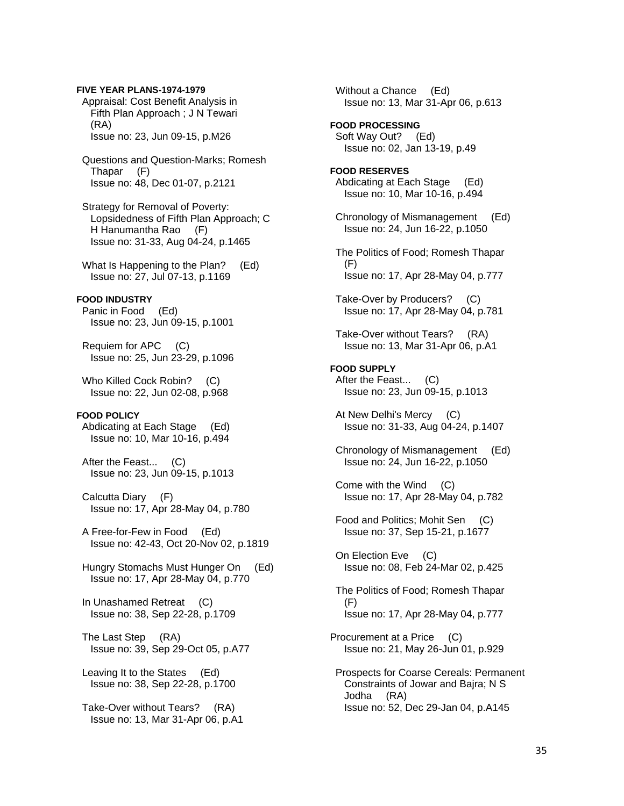Appraisal: Cost Benefit Analysis in Fifth Plan Approach ; J N Tewari (RA) Issue no: 23, Jun 09-15, p.M26 Questions and Question-Marks; Romesh Thapar (F) Issue no: 48, Dec 01-07, p.2121 Strategy for Removal of Poverty: Lopsidedness of Fifth Plan Approach; C H Hanumantha Rao (F) Issue no: 31-33, Aug 04-24, p.1465 What Is Happening to the Plan? (Ed) Issue no: 27, Jul 07-13, p.1169 **FOOD INDUSTRY**  Panic in Food (Ed) Issue no: 23, Jun 09-15, p.1001 Requiem for APC (C) Issue no: 25, Jun 23-29, p.1096 Who Killed Cock Robin? (C) Issue no: 22, Jun 02-08, p.968 **FOOD POLICY**  Abdicating at Each Stage (Ed) Issue no: 10, Mar 10-16, p.494 After the Feast... (C) Issue no: 23, Jun 09-15, p.1013 Calcutta Diary (F) Issue no: 17, Apr 28-May 04, p.780 A Free-for-Few in Food (Ed) Issue no: 42-43, Oct 20-Nov 02, p.1819 Hungry Stomachs Must Hunger On (Ed) Issue no: 17, Apr 28-May 04, p.770 In Unashamed Retreat (C) Issue no: 38, Sep 22-28, p.1709 The Last Step (RA) Issue no: 39, Sep 29-Oct 05, p.A77 Leaving It to the States (Ed) Issue no: 38, Sep 22-28, p.1700 Take-Over without Tears? (RA) Issue no: 13, Mar 31-Apr 06, p.A1

**FIVE YEAR PLANS-1974-1979** 

 Without a Chance (Ed) Issue no: 13, Mar 31-Apr 06, p.613 **FOOD PROCESSING**  Soft Way Out? (Ed) Issue no: 02, Jan 13-19, p.49 **FOOD RESERVES**  Abdicating at Each Stage (Ed) Issue no: 10, Mar 10-16, p.494 Chronology of Mismanagement (Ed) Issue no: 24, Jun 16-22, p.1050 The Politics of Food; Romesh Thapar (F) Issue no: 17, Apr 28-May 04, p.777 Take-Over by Producers? (C) Issue no: 17, Apr 28-May 04, p.781 Take-Over without Tears? (RA) Issue no: 13, Mar 31-Apr 06, p.A1 **FOOD SUPPLY**  After the Feast... (C) Issue no: 23, Jun 09-15, p.1013 At New Delhi's Mercy (C) Issue no: 31-33, Aug 04-24, p.1407 Chronology of Mismanagement (Ed) Issue no: 24, Jun 16-22, p.1050 Come with the Wind (C) Issue no: 17, Apr 28-May 04, p.782 Food and Politics; Mohit Sen (C) Issue no: 37, Sep 15-21, p.1677 On Election Eve (C) Issue no: 08, Feb 24-Mar 02, p.425 The Politics of Food; Romesh Thapar (F) Issue no: 17, Apr 28-May 04, p.777 Procurement at a Price (C) Issue no: 21, May 26-Jun 01, p.929 Prospects for Coarse Cereals: Permanent Constraints of Jowar and Bajra; N S Jodha (RA) Issue no: 52, Dec 29-Jan 04, p.A145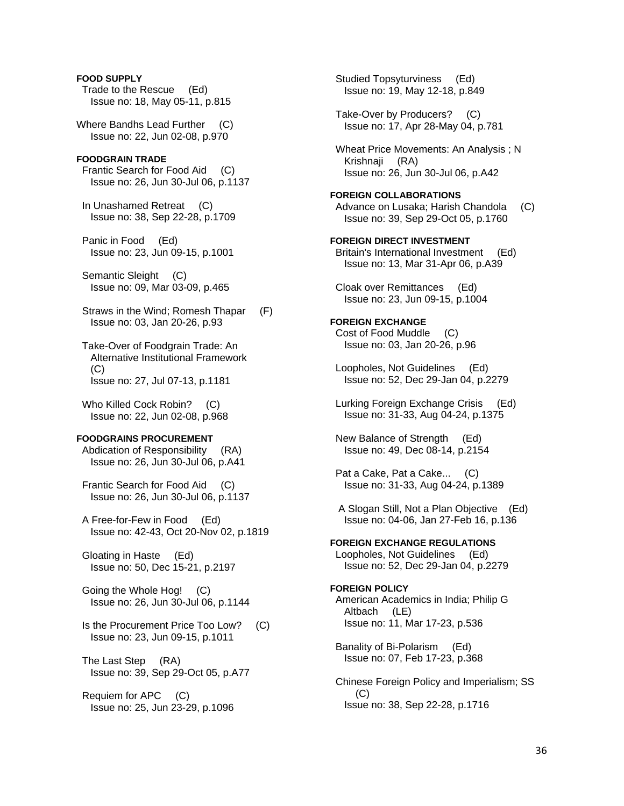**FOOD SUPPLY**  Trade to the Rescue (Ed) Issue no: 18, May 05-11, p.815 Where Bandhs Lead Further (C) Issue no: 22, Jun 02-08, p.970 **FOODGRAIN TRADE**  Frantic Search for Food Aid (C) Issue no: 26, Jun 30-Jul 06, p.1137 In Unashamed Retreat (C) Issue no: 38, Sep 22-28, p.1709 Panic in Food (Ed) Issue no: 23, Jun 09-15, p.1001 Semantic Sleight (C) Issue no: 09, Mar 03-09, p.465 Straws in the Wind; Romesh Thapar (F) Issue no: 03, Jan 20-26, p.93 Take-Over of Foodgrain Trade: An Alternative Institutional Framework (C) Issue no: 27, Jul 07-13, p.1181 Who Killed Cock Robin? (C) Issue no: 22, Jun 02-08, p.968 **FOODGRAINS PROCUREMENT**  Abdication of Responsibility (RA) Issue no: 26, Jun 30-Jul 06, p.A41 Frantic Search for Food Aid (C) Issue no: 26, Jun 30-Jul 06, p.1137 A Free-for-Few in Food (Ed) Issue no: 42-43, Oct 20-Nov 02, p.1819 Gloating in Haste (Ed) Issue no: 50, Dec 15-21, p.2197 Going the Whole Hog! (C) Issue no: 26, Jun 30-Jul 06, p.1144 Is the Procurement Price Too Low? (C) Issue no: 23, Jun 09-15, p.1011 The Last Step (RA) Issue no: 39, Sep 29-Oct 05, p.A77 Requiem for APC (C) Issue no: 25, Jun 23-29, p.1096

 Studied Topsyturviness (Ed) Issue no: 19, May 12-18, p.849 Take-Over by Producers? (C) Issue no: 17, Apr 28-May 04, p.781 Wheat Price Movements: An Analysis ; N Krishnaji (RA) Issue no: 26, Jun 30-Jul 06, p.A42 **FOREIGN COLLABORATIONS**  Advance on Lusaka; Harish Chandola (C) Issue no: 39, Sep 29-Oct 05, p.1760 **FOREIGN DIRECT INVESTMENT**  Britain's International Investment (Ed) Issue no: 13, Mar 31-Apr 06, p.A39 Cloak over Remittances (Ed) Issue no: 23, Jun 09-15, p.1004 **FOREIGN EXCHANGE**  Cost of Food Muddle (C) Issue no: 03, Jan 20-26, p.96 Loopholes, Not Guidelines (Ed) Issue no: 52, Dec 29-Jan 04, p.2279 Lurking Foreign Exchange Crisis (Ed) Issue no: 31-33, Aug 04-24, p.1375 New Balance of Strength (Ed) Issue no: 49, Dec 08-14, p.2154 Pat a Cake, Pat a Cake... (C) Issue no: 31-33, Aug 04-24, p.1389 A Slogan Still, Not a Plan Objective (Ed) Issue no: 04-06, Jan 27-Feb 16, p.136 **FOREIGN EXCHANGE REGULATIONS**  Loopholes, Not Guidelines (Ed) Issue no: 52, Dec 29-Jan 04, p.2279 **FOREIGN POLICY**  American Academics in India; Philip G Altbach (LE) Issue no: 11, Mar 17-23, p.536 Banality of Bi-Polarism (Ed) Issue no: 07, Feb 17-23, p.368 Chinese Foreign Policy and Imperialism; SS (C) Issue no: 38, Sep 22-28, p.1716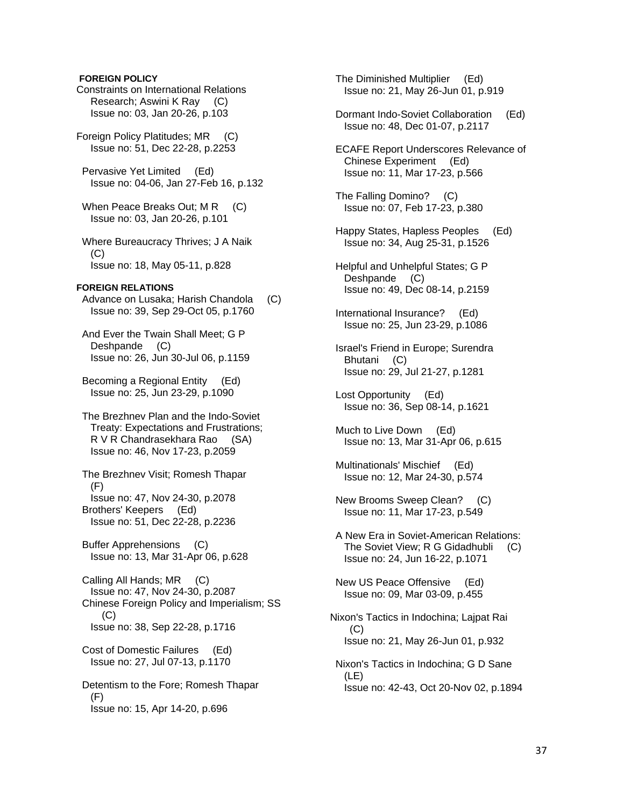### **FOREIGN POLICY**

Constraints on International Relations Research; Aswini K Ray (C) Issue no: 03, Jan 20-26, p.103

Foreign Policy Platitudes; MR (C) Issue no: 51, Dec 22-28, p.2253

 Pervasive Yet Limited (Ed) Issue no: 04-06, Jan 27-Feb 16, p.132

When Peace Breaks Out; M R (C) Issue no: 03, Jan 20-26, p.101

 Where Bureaucracy Thrives; J A Naik  $(C)$ Issue no: 18, May 05-11, p.828

### **FOREIGN RELATIONS**

 Advance on Lusaka; Harish Chandola (C) Issue no: 39, Sep 29-Oct 05, p.1760

 And Ever the Twain Shall Meet; G P Deshpande (C) Issue no: 26, Jun 30-Jul 06, p.1159

 Becoming a Regional Entity (Ed) Issue no: 25, Jun 23-29, p.1090

 The Brezhnev Plan and the Indo-Soviet Treaty: Expectations and Frustrations; R V R Chandrasekhara Rao (SA) Issue no: 46, Nov 17-23, p.2059

 The Brezhnev Visit; Romesh Thapar (F) Issue no: 47, Nov 24-30, p.2078 Brothers' Keepers (Ed) Issue no: 51, Dec 22-28, p.2236

 Buffer Apprehensions (C) Issue no: 13, Mar 31-Apr 06, p.628

 Calling All Hands; MR (C) Issue no: 47, Nov 24-30, p.2087 Chinese Foreign Policy and Imperialism; SS (C) Issue no: 38, Sep 22-28, p.1716

 Cost of Domestic Failures (Ed) Issue no: 27, Jul 07-13, p.1170

 Detentism to the Fore; Romesh Thapar (F) Issue no: 15, Apr 14-20, p.696

 The Diminished Multiplier (Ed) Issue no: 21, May 26-Jun 01, p.919

 Dormant Indo-Soviet Collaboration (Ed) Issue no: 48, Dec 01-07, p.2117

 ECAFE Report Underscores Relevance of Chinese Experiment (Ed) Issue no: 11, Mar 17-23, p.566

 The Falling Domino? (C) Issue no: 07, Feb 17-23, p.380

- Happy States, Hapless Peoples (Ed) Issue no: 34, Aug 25-31, p.1526
- Helpful and Unhelpful States; G P Deshpande (C) Issue no: 49, Dec 08-14, p.2159
- International Insurance? (Ed) Issue no: 25, Jun 23-29, p.1086
- Israel's Friend in Europe; Surendra Bhutani (C) Issue no: 29, Jul 21-27, p.1281
- Lost Opportunity (Ed) Issue no: 36, Sep 08-14, p.1621
- Much to Live Down (Ed) Issue no: 13, Mar 31-Apr 06, p.615

 Multinationals' Mischief (Ed) Issue no: 12, Mar 24-30, p.574

- New Brooms Sweep Clean? (C) Issue no: 11, Mar 17-23, p.549
- A New Era in Soviet-American Relations: The Soviet View; R G Gidadhubli (C) Issue no: 24, Jun 16-22, p.1071

 New US Peace Offensive (Ed) Issue no: 09, Mar 03-09, p.455

Nixon's Tactics in Indochina; Lajpat Rai  $(C)$ Issue no: 21, May 26-Jun 01, p.932

 Nixon's Tactics in Indochina; G D Sane (LE) Issue no: 42-43, Oct 20-Nov 02, p.1894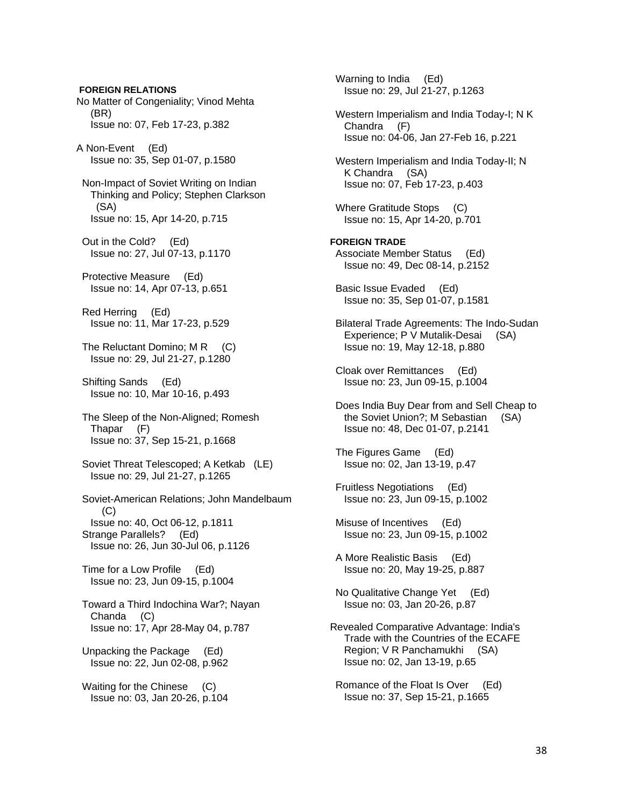**FOREIGN RELATIONS** No Matter of Congeniality; Vinod Mehta (BR) Issue no: 07, Feb 17-23, p.382 A Non-Event (Ed) Issue no: 35, Sep 01-07, p.1580 Non-Impact of Soviet Writing on Indian Thinking and Policy; Stephen Clarkson (SA) Issue no: 15, Apr 14-20, p.715 Out in the Cold? (Ed) Issue no: 27, Jul 07-13, p.1170 Protective Measure (Ed) Issue no: 14, Apr 07-13, p.651 Red Herring (Ed) Issue no: 11, Mar 17-23, p.529 The Reluctant Domino; M R (C) Issue no: 29, Jul 21-27, p.1280 Shifting Sands (Ed) Issue no: 10, Mar 10-16, p.493 The Sleep of the Non-Aligned; Romesh Thapar (F) Issue no: 37, Sep 15-21, p.1668 Soviet Threat Telescoped; A Ketkab (LE) Issue no: 29, Jul 21-27, p.1265 Soviet-American Relations; John Mandelbaum (C) Issue no: 40, Oct 06-12, p.1811 Strange Parallels? (Ed) Issue no: 26, Jun 30-Jul 06, p.1126 Time for a Low Profile (Ed) Issue no: 23, Jun 09-15, p.1004 Toward a Third Indochina War?; Nayan Chanda (C) Issue no: 17, Apr 28-May 04, p.787 Unpacking the Package (Ed) Issue no: 22, Jun 02-08, p.962 Waiting for the Chinese (C) Issue no: 03, Jan 20-26, p.104

 Warning to India (Ed) Issue no: 29, Jul 21-27, p.1263 Western Imperialism and India Today-I; N K Chandra (F) Issue no: 04-06, Jan 27-Feb 16, p.221 Western Imperialism and India Today-II; N K Chandra (SA) Issue no: 07, Feb 17-23, p.403 Where Gratitude Stops (C) Issue no: 15, Apr 14-20, p.701 **FOREIGN TRADE**  Associate Member Status (Ed) Issue no: 49, Dec 08-14, p.2152 Basic Issue Evaded (Ed) Issue no: 35, Sep 01-07, p.1581 Bilateral Trade Agreements: The Indo-Sudan Experience; P V Mutalik-Desai (SA) Issue no: 19, May 12-18, p.880 Cloak over Remittances (Ed) Issue no: 23, Jun 09-15, p.1004 Does India Buy Dear from and Sell Cheap to the Soviet Union?; M Sebastian (SA) Issue no: 48, Dec 01-07, p.2141 The Figures Game (Ed) Issue no: 02, Jan 13-19, p.47 Fruitless Negotiations (Ed) Issue no: 23, Jun 09-15, p.1002 Misuse of Incentives (Ed) Issue no: 23, Jun 09-15, p.1002 A More Realistic Basis (Ed) Issue no: 20, May 19-25, p.887 No Qualitative Change Yet (Ed) Issue no: 03, Jan 20-26, p.87 Revealed Comparative Advantage: India's Trade with the Countries of the ECAFE Region; V R Panchamukhi (SA) Issue no: 02, Jan 13-19, p.65 Romance of the Float Is Over (Ed) Issue no: 37, Sep 15-21, p.1665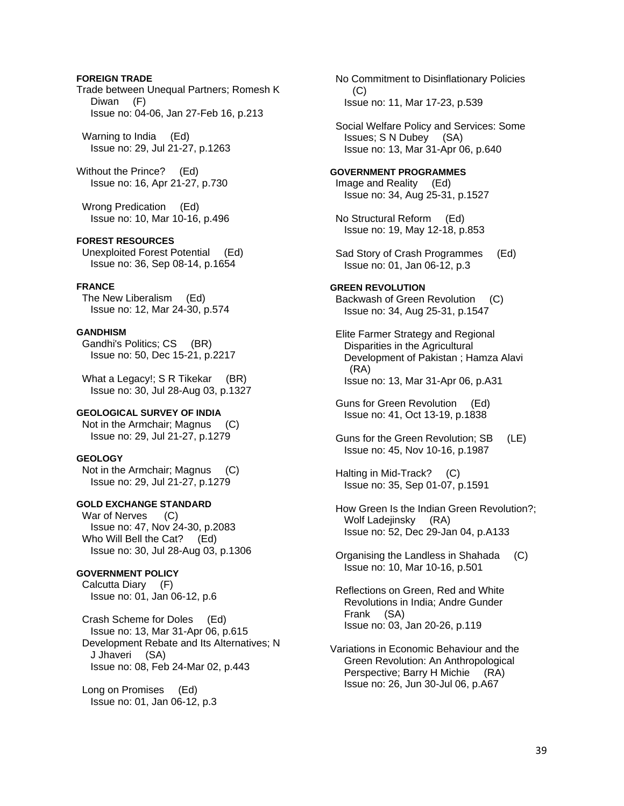### **FOREIGN TRADE**

Trade between Unequal Partners; Romesh K Diwan (F) Issue no: 04-06, Jan 27-Feb 16, p.213

 Warning to India (Ed) Issue no: 29, Jul 21-27, p.1263

Without the Prince? (Ed) Issue no: 16, Apr 21-27, p.730

 Wrong Predication (Ed) Issue no: 10, Mar 10-16, p.496

## **FOREST RESOURCES**

 Unexploited Forest Potential (Ed) Issue no: 36, Sep 08-14, p.1654

### **FRANCE**

 The New Liberalism (Ed) Issue no: 12, Mar 24-30, p.574

# **GANDHISM**

 Gandhi's Politics; CS (BR) Issue no: 50, Dec 15-21, p.2217

What a Legacy!; S R Tikekar (BR) Issue no: 30, Jul 28-Aug 03, p.1327

### **GEOLOGICAL SURVEY OF INDIA**

 Not in the Armchair; Magnus (C) Issue no: 29, Jul 21-27, p.1279

# **GEOLOGY**

 Not in the Armchair; Magnus (C) Issue no: 29, Jul 21-27, p.1279

# **GOLD EXCHANGE STANDARD**

War of Nerves (C) Issue no: 47, Nov 24-30, p.2083 Who Will Bell the Cat? (Ed) Issue no: 30, Jul 28-Aug 03, p.1306

# **GOVERNMENT POLICY**

 Calcutta Diary (F) Issue no: 01, Jan 06-12, p.6

 Crash Scheme for Doles (Ed) Issue no: 13, Mar 31-Apr 06, p.615 Development Rebate and Its Alternatives; N J Jhaveri (SA) Issue no: 08, Feb 24-Mar 02, p.443

 Long on Promises (Ed) Issue no: 01, Jan 06-12, p.3  No Commitment to Disinflationary Policies  $(C)$ Issue no: 11, Mar 17-23, p.539

 Social Welfare Policy and Services: Some Issues; S N Dubey (SA) Issue no: 13, Mar 31-Apr 06, p.640

### **GOVERNMENT PROGRAMMES**

 Image and Reality (Ed) Issue no: 34, Aug 25-31, p.1527

 No Structural Reform (Ed) Issue no: 19, May 12-18, p.853

 Sad Story of Crash Programmes (Ed) Issue no: 01, Jan 06-12, p.3

### **GREEN REVOLUTION**

 Backwash of Green Revolution (C) Issue no: 34, Aug 25-31, p.1547

 Elite Farmer Strategy and Regional Disparities in the Agricultural Development of Pakistan ; Hamza Alavi (RA) Issue no: 13, Mar 31-Apr 06, p.A31

 Guns for Green Revolution (Ed) Issue no: 41, Oct 13-19, p.1838

 Guns for the Green Revolution; SB (LE) Issue no: 45, Nov 10-16, p.1987

 Halting in Mid-Track? (C) Issue no: 35, Sep 01-07, p.1591

 How Green Is the Indian Green Revolution?; Wolf Ladejinsky (RA) Issue no: 52, Dec 29-Jan 04, p.A133

 Organising the Landless in Shahada (C) Issue no: 10, Mar 10-16, p.501

 Reflections on Green, Red and White Revolutions in India; Andre Gunder Frank (SA) Issue no: 03, Jan 20-26, p.119

Variations in Economic Behaviour and the Green Revolution: An Anthropological Perspective; Barry H Michie (RA) Issue no: 26, Jun 30-Jul 06, p.A67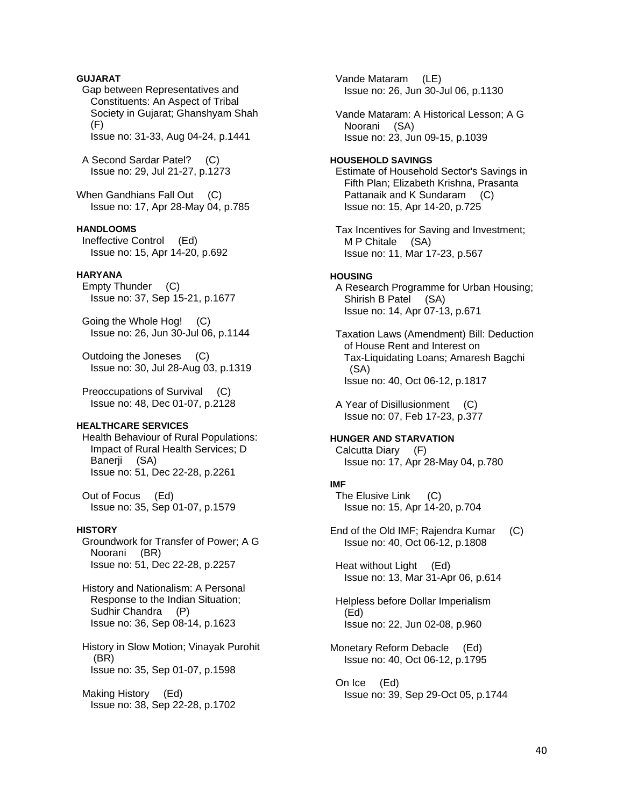# **GUJARAT**

 Gap between Representatives and Constituents: An Aspect of Tribal Society in Gujarat; Ghanshyam Shah (F)

Issue no: 31-33, Aug 04-24, p.1441

 A Second Sardar Patel? (C) Issue no: 29, Jul 21-27, p.1273

When Gandhians Fall Out (C) Issue no: 17, Apr 28-May 04, p.785

# **HANDLOOMS**

 Ineffective Control (Ed) Issue no: 15, Apr 14-20, p.692

#### **HARYANA**

 Empty Thunder (C) Issue no: 37, Sep 15-21, p.1677

 Going the Whole Hog! (C) Issue no: 26, Jun 30-Jul 06, p.1144

 Outdoing the Joneses (C) Issue no: 30, Jul 28-Aug 03, p.1319

 Preoccupations of Survival (C) Issue no: 48, Dec 01-07, p.2128

### **HEALTHCARE SERVICES**

 Health Behaviour of Rural Populations: Impact of Rural Health Services; D Banerji (SA) Issue no: 51, Dec 22-28, p.2261

 Out of Focus (Ed) Issue no: 35, Sep 01-07, p.1579

### **HISTORY**

 Groundwork for Transfer of Power; A G Noorani (BR) Issue no: 51, Dec 22-28, p.2257

 History and Nationalism: A Personal Response to the Indian Situation; Sudhir Chandra (P) Issue no: 36, Sep 08-14, p.1623

 History in Slow Motion; Vinayak Purohit (BR) Issue no: 35, Sep 01-07, p.1598

 Making History (Ed) Issue no: 38, Sep 22-28, p.1702  Vande Mataram (LE) Issue no: 26, Jun 30-Jul 06, p.1130

 Vande Mataram: A Historical Lesson; A G Noorani (SA) Issue no: 23, Jun 09-15, p.1039

### **HOUSEHOLD SAVINGS**

 Estimate of Household Sector's Savings in Fifth Plan; Elizabeth Krishna, Prasanta Pattanaik and K Sundaram (C) Issue no: 15, Apr 14-20, p.725

 Tax Incentives for Saving and Investment; M P Chitale (SA) Issue no: 11, Mar 17-23, p.567

#### **HOUSING**

 A Research Programme for Urban Housing; Shirish B Patel (SA) Issue no: 14, Apr 07-13, p.671

 Taxation Laws (Amendment) Bill: Deduction of House Rent and Interest on Tax-Liquidating Loans; Amaresh Bagchi (SA) Issue no: 40, Oct 06-12, p.1817

 A Year of Disillusionment (C) Issue no: 07, Feb 17-23, p.377

# **HUNGER AND STARVATION**

 Calcutta Diary (F) Issue no: 17, Apr 28-May 04, p.780

### **IMF**

 The Elusive Link (C) Issue no: 15, Apr 14-20, p.704

End of the Old IMF; Rajendra Kumar (C) Issue no: 40, Oct 06-12, p.1808

 Heat without Light (Ed) Issue no: 13, Mar 31-Apr 06, p.614

 Helpless before Dollar Imperialism (Ed) Issue no: 22, Jun 02-08, p.960

Monetary Reform Debacle (Ed) Issue no: 40, Oct 06-12, p.1795

 On Ice (Ed) Issue no: 39, Sep 29-Oct 05, p.1744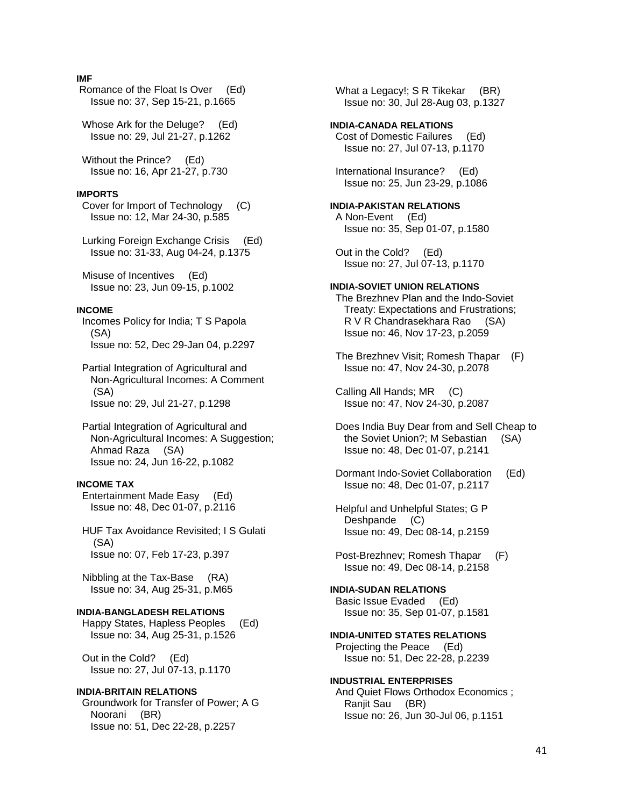### **IMF**

 Romance of the Float Is Over (Ed) Issue no: 37, Sep 15-21, p.1665

 Whose Ark for the Deluge? (Ed) Issue no: 29, Jul 21-27, p.1262

 Without the Prince? (Ed) Issue no: 16, Apr 21-27, p.730

#### **IMPORTS**

 Cover for Import of Technology (C) Issue no: 12, Mar 24-30, p.585

 Lurking Foreign Exchange Crisis (Ed) Issue no: 31-33, Aug 04-24, p.1375

 Misuse of Incentives (Ed) Issue no: 23, Jun 09-15, p.1002

# **INCOME**

 Incomes Policy for India; T S Papola (SA) Issue no: 52, Dec 29-Jan 04, p.2297

 Partial Integration of Agricultural and Non-Agricultural Incomes: A Comment (SA) Issue no: 29, Jul 21-27, p.1298

 Partial Integration of Agricultural and Non-Agricultural Incomes: A Suggestion; Ahmad Raza (SA) Issue no: 24, Jun 16-22, p.1082

#### **INCOME TAX**

 Entertainment Made Easy (Ed) Issue no: 48, Dec 01-07, p.2116

 HUF Tax Avoidance Revisited; I S Gulati (SA) Issue no: 07, Feb 17-23, p.397

 Nibbling at the Tax-Base (RA) Issue no: 34, Aug 25-31, p.M65

### **INDIA-BANGLADESH RELATIONS**

 Happy States, Hapless Peoples (Ed) Issue no: 34, Aug 25-31, p.1526

 Out in the Cold? (Ed) Issue no: 27, Jul 07-13, p.1170

# **INDIA-BRITAIN RELATIONS**

 Groundwork for Transfer of Power; A G Noorani (BR) Issue no: 51, Dec 22-28, p.2257

What a Legacy!; S R Tikekar (BR) Issue no: 30, Jul 28-Aug 03, p.1327

# **INDIA-CANADA RELATIONS**  Cost of Domestic Failures (Ed)

 Issue no: 27, Jul 07-13, p.1170 International Insurance? (Ed)

Issue no: 25, Jun 23-29, p.1086

# **INDIA-PAKISTAN RELATIONS**

 A Non-Event (Ed) Issue no: 35, Sep 01-07, p.1580

 Out in the Cold? (Ed) Issue no: 27, Jul 07-13, p.1170

# **INDIA-SOVIET UNION RELATIONS**

 The Brezhnev Plan and the Indo-Soviet Treaty: Expectations and Frustrations; R V R Chandrasekhara Rao (SA) Issue no: 46, Nov 17-23, p.2059

 The Brezhnev Visit; Romesh Thapar (F) Issue no: 47, Nov 24-30, p.2078

 Calling All Hands; MR (C) Issue no: 47, Nov 24-30, p.2087

 Does India Buy Dear from and Sell Cheap to the Soviet Union?; M Sebastian (SA) Issue no: 48, Dec 01-07, p.2141

- Dormant Indo-Soviet Collaboration (Ed) Issue no: 48, Dec 01-07, p.2117
- Helpful and Unhelpful States; G P Deshpande (C) Issue no: 49, Dec 08-14, p.2159
- Post-Brezhnev; Romesh Thapar (F) Issue no: 49, Dec 08-14, p.2158

### **INDIA-SUDAN RELATIONS**  Basic Issue Evaded (Ed) Issue no: 35, Sep 01-07, p.1581

**INDIA-UNITED STATES RELATIONS**  Projecting the Peace (Ed)

Issue no: 51, Dec 22-28, p.2239

### **INDUSTRIAL ENTERPRISES**

 And Quiet Flows Orthodox Economics ; Ranjit Sau (BR) Issue no: 26, Jun 30-Jul 06, p.1151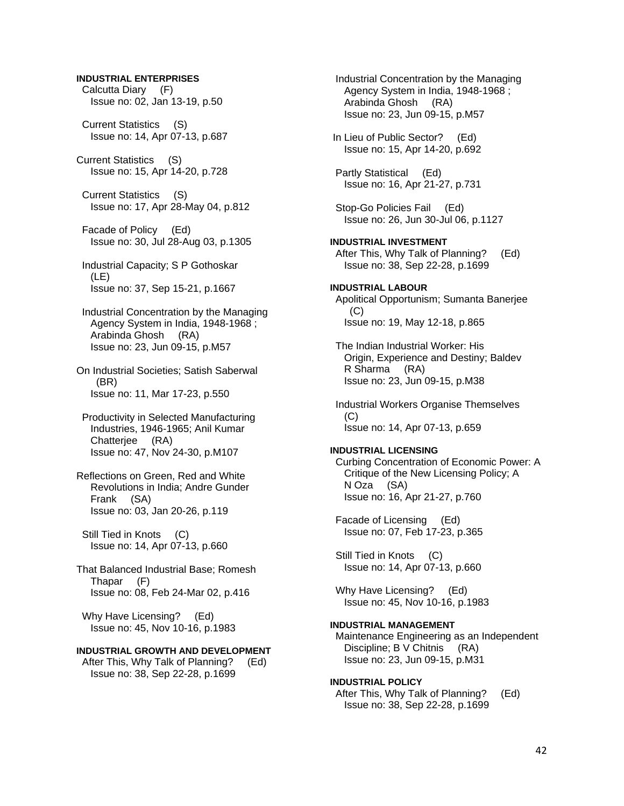### **INDUSTRIAL ENTERPRISES**

 Calcutta Diary (F) Issue no: 02, Jan 13-19, p.50

 Current Statistics (S) Issue no: 14, Apr 07-13, p.687

Current Statistics (S) Issue no: 15, Apr 14-20, p.728

 Current Statistics (S) Issue no: 17, Apr 28-May 04, p.812

 Facade of Policy (Ed) Issue no: 30, Jul 28-Aug 03, p.1305

 Industrial Capacity; S P Gothoskar (LE) Issue no: 37, Sep 15-21, p.1667

 Industrial Concentration by the Managing Agency System in India, 1948-1968 ; Arabinda Ghosh (RA) Issue no: 23, Jun 09-15, p.M57

On Industrial Societies; Satish Saberwal (BR) Issue no: 11, Mar 17-23, p.550

 Productivity in Selected Manufacturing Industries, 1946-1965; Anil Kumar Chatterjee (RA) Issue no: 47, Nov 24-30, p.M107

Reflections on Green, Red and White Revolutions in India; Andre Gunder Frank (SA) Issue no: 03, Jan 20-26, p.119

 Still Tied in Knots (C) Issue no: 14, Apr 07-13, p.660

That Balanced Industrial Base; Romesh Thapar (F) Issue no: 08, Feb 24-Mar 02, p.416

Why Have Licensing? (Ed) Issue no: 45, Nov 10-16, p.1983

# **INDUSTRIAL GROWTH AND DEVELOPMENT**

 After This, Why Talk of Planning? (Ed) Issue no: 38, Sep 22-28, p.1699

 Industrial Concentration by the Managing Agency System in India, 1948-1968 ; Arabinda Ghosh (RA) Issue no: 23, Jun 09-15, p.M57 In Lieu of Public Sector? (Ed) Issue no: 15, Apr 14-20, p.692 Partly Statistical (Ed) Issue no: 16, Apr 21-27, p.731 Stop-Go Policies Fail (Ed) Issue no: 26, Jun 30-Jul 06, p.1127 **INDUSTRIAL INVESTMENT**  After This, Why Talk of Planning? (Ed) Issue no: 38, Sep 22-28, p.1699

**INDUSTRIAL LABOUR**  Apolitical Opportunism; Sumanta Banerjee  $(C)$ Issue no: 19, May 12-18, p.865

 The Indian Industrial Worker: His Origin, Experience and Destiny; Baldev R Sharma (RA) Issue no: 23, Jun 09-15, p.M38

 Industrial Workers Organise Themselves (C) Issue no: 14, Apr 07-13, p.659

#### **INDUSTRIAL LICENSING**

 Curbing Concentration of Economic Power: A Critique of the New Licensing Policy; A N Oza (SA) Issue no: 16, Apr 21-27, p.760

 Facade of Licensing (Ed) Issue no: 07, Feb 17-23, p.365

 Still Tied in Knots (C) Issue no: 14, Apr 07-13, p.660

Why Have Licensing? (Ed) Issue no: 45, Nov 10-16, p.1983

### **INDUSTRIAL MANAGEMENT**

 Maintenance Engineering as an Independent Discipline; B V Chitnis (RA) Issue no: 23, Jun 09-15, p.M31

### **INDUSTRIAL POLICY**

 After This, Why Talk of Planning? (Ed) Issue no: 38, Sep 22-28, p.1699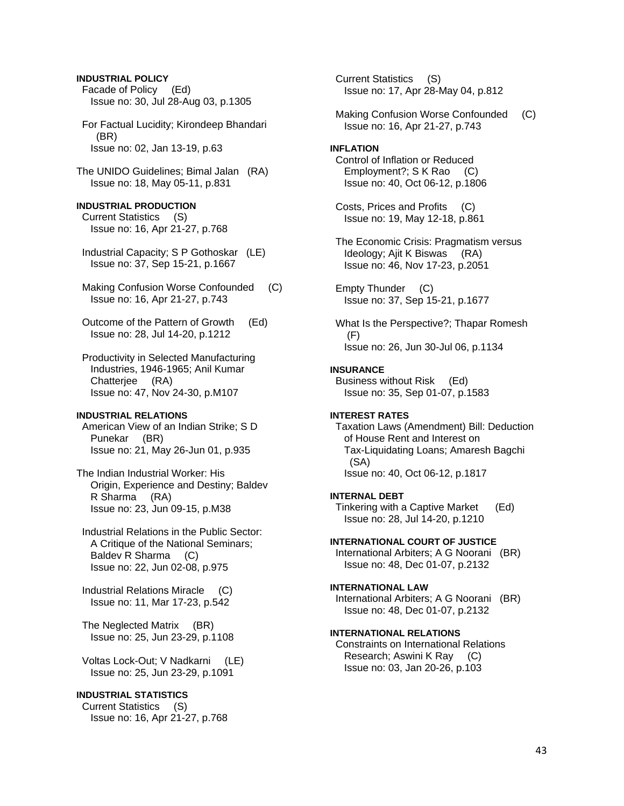# Facade of Policy (Ed) Issue no: 30, Jul 28-Aug 03, p.1305 For Factual Lucidity; Kirondeep Bhandari (BR) Issue no: 02, Jan 13-19, p.63 The UNIDO Guidelines; Bimal Jalan (RA) Issue no: 18, May 05-11, p.831 **INDUSTRIAL PRODUCTION**  Current Statistics (S) Issue no: 16, Apr 21-27, p.768 Industrial Capacity; S P Gothoskar (LE) Issue no: 37, Sep 15-21, p.1667 Making Confusion Worse Confounded (C) Issue no: 16, Apr 21-27, p.743 Outcome of the Pattern of Growth (Ed) Issue no: 28, Jul 14-20, p.1212 Productivity in Selected Manufacturing Industries, 1946-1965; Anil Kumar Chatterjee (RA) Issue no: 47, Nov 24-30, p.M107 **INDUSTRIAL RELATIONS**  American View of an Indian Strike; S D Punekar (BR) Issue no: 21, May 26-Jun 01, p.935 The Indian Industrial Worker: His Origin, Experience and Destiny; Baldev R Sharma (RA) Issue no: 23, Jun 09-15, p.M38 Industrial Relations in the Public Sector: A Critique of the National Seminars; Baldev R Sharma (C) Issue no: 22, Jun 02-08, p.975 Industrial Relations Miracle (C) Issue no: 11, Mar 17-23, p.542 The Neglected Matrix (BR) Issue no: 25, Jun 23-29, p.1108 Voltas Lock-Out; V Nadkarni (LE) Issue no: 25, Jun 23-29, p.1091 **INDUSTRIAL STATISTICS**  Current Statistics (S) Issue no: 16, Apr 21-27, p.768

**INDUSTRIAL POLICY** 

 Current Statistics (S) Issue no: 17, Apr 28-May 04, p.812 Making Confusion Worse Confounded (C) Issue no: 16, Apr 21-27, p.743 **INFLATION**  Control of Inflation or Reduced Employment?; S K Rao (C) Issue no: 40, Oct 06-12, p.1806 Costs, Prices and Profits (C) Issue no: 19, May 12-18, p.861 The Economic Crisis: Pragmatism versus Ideology; Ajit K Biswas (RA) Issue no: 46, Nov 17-23, p.2051 Empty Thunder (C) Issue no: 37, Sep 15-21, p.1677 What Is the Perspective?; Thapar Romesh (F) Issue no: 26, Jun 30-Jul 06, p.1134 **INSURANCE**  Business without Risk (Ed) Issue no: 35, Sep 01-07, p.1583 **INTEREST RATES**  Taxation Laws (Amendment) Bill: Deduction of House Rent and Interest on Tax-Liquidating Loans; Amaresh Bagchi (SA) Issue no: 40, Oct 06-12, p.1817 **INTERNAL DEBT**  Tinkering with a Captive Market (Ed) Issue no: 28, Jul 14-20, p.1210 **INTERNATIONAL COURT OF JUSTICE**  International Arbiters; A G Noorani (BR) Issue no: 48, Dec 01-07, p.2132 **INTERNATIONAL LAW**  International Arbiters; A G Noorani (BR) Issue no: 48, Dec 01-07, p.2132 **INTERNATIONAL RELATIONS**  Constraints on International Relations Research; Aswini K Ray (C) Issue no: 03, Jan 20-26, p.103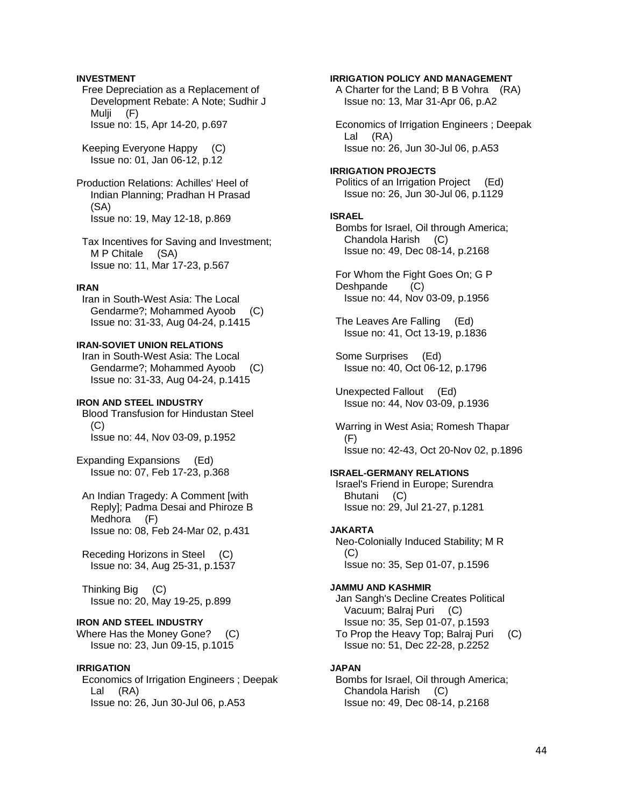### **INVESTMENT**

 Free Depreciation as a Replacement of Development Rebate: A Note; Sudhir J Mulji (F) Issue no: 15, Apr 14-20, p.697

 Keeping Everyone Happy (C) Issue no: 01, Jan 06-12, p.12

Production Relations: Achilles' Heel of Indian Planning; Pradhan H Prasad (SA) Issue no: 19, May 12-18, p.869

 Tax Incentives for Saving and Investment; M P Chitale (SA) Issue no: 11, Mar 17-23, p.567

### **IRAN**

 Iran in South-West Asia: The Local Gendarme?; Mohammed Ayoob (C) Issue no: 31-33, Aug 04-24, p.1415

# **IRAN-SOVIET UNION RELATIONS**

 Iran in South-West Asia: The Local Gendarme?; Mohammed Ayoob (C) Issue no: 31-33, Aug 04-24, p.1415

### **IRON AND STEEL INDUSTRY**

 Blood Transfusion for Hindustan Steel (C) Issue no: 44, Nov 03-09, p.1952

Expanding Expansions (Ed) Issue no: 07, Feb 17-23, p.368

 An Indian Tragedy: A Comment [with Reply]; Padma Desai and Phiroze B Medhora (F) Issue no: 08, Feb 24-Mar 02, p.431

 Receding Horizons in Steel (C) Issue no: 34, Aug 25-31, p.1537

 Thinking Big (C) Issue no: 20, May 19-25, p.899

# **IRON AND STEEL INDUSTRY**

Where Has the Money Gone? (C) Issue no: 23, Jun 09-15, p.1015

### **IRRIGATION**

 Economics of Irrigation Engineers ; Deepak Lal (RA) Issue no: 26, Jun 30-Jul 06, p.A53

#### **IRRIGATION POLICY AND MANAGEMENT**

 A Charter for the Land; B B Vohra (RA) Issue no: 13, Mar 31-Apr 06, p.A2

 Economics of Irrigation Engineers ; Deepak Lal (RA) Issue no: 26, Jun 30-Jul 06, p.A53

### **IRRIGATION PROJECTS**  Politics of an Irrigation Project (Ed) Issue no: 26, Jun 30-Jul 06, p.1129

### **ISRAEL**

 Bombs for Israel, Oil through America; Chandola Harish (C) Issue no: 49, Dec 08-14, p.2168

 For Whom the Fight Goes On; G P Deshpande (C) Issue no: 44, Nov 03-09, p.1956

 The Leaves Are Falling (Ed) Issue no: 41, Oct 13-19, p.1836

 Some Surprises (Ed) Issue no: 40, Oct 06-12, p.1796

 Unexpected Fallout (Ed) Issue no: 44, Nov 03-09, p.1936

 Warring in West Asia; Romesh Thapar  $(F)$ Issue no: 42-43, Oct 20-Nov 02, p.1896

### **ISRAEL-GERMANY RELATIONS**

 Israel's Friend in Europe; Surendra Bhutani (C) Issue no: 29, Jul 21-27, p.1281

### **JAKARTA**

 Neo-Colonially Induced Stability; M R  $(C)$ Issue no: 35, Sep 01-07, p.1596

### **JAMMU AND KASHMIR**

 Jan Sangh's Decline Creates Political Vacuum; Balraj Puri (C) Issue no: 35, Sep 01-07, p.1593 To Prop the Heavy Top; Balraj Puri (C) Issue no: 51, Dec 22-28, p.2252

### **JAPAN**

 Bombs for Israel, Oil through America; Chandola Harish (C) Issue no: 49, Dec 08-14, p.2168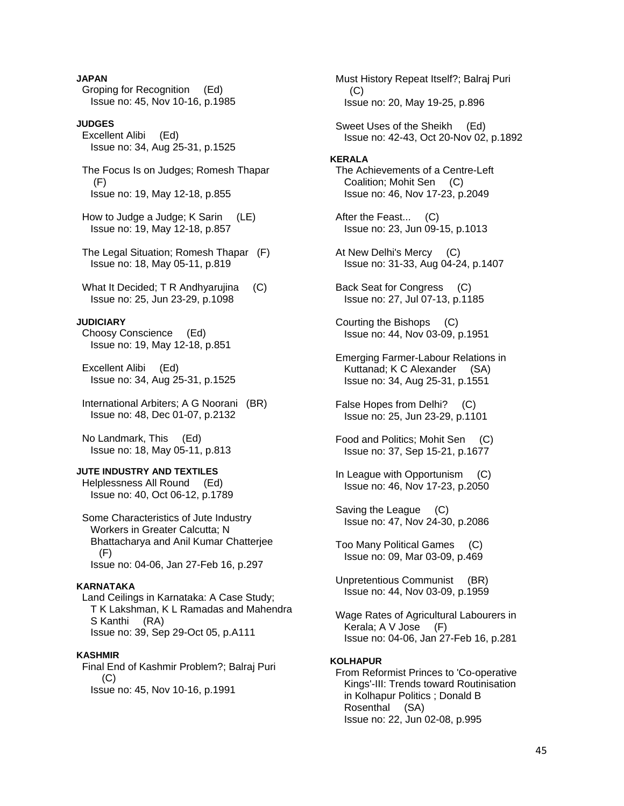### **JAPAN**

 Groping for Recognition (Ed) Issue no: 45, Nov 10-16, p.1985

# **JUDGES**

 Excellent Alibi (Ed) Issue no: 34, Aug 25-31, p.1525

 The Focus Is on Judges; Romesh Thapar (F) Issue no: 19, May 12-18, p.855

 How to Judge a Judge; K Sarin (LE) Issue no: 19, May 12-18, p.857

 The Legal Situation; Romesh Thapar (F) Issue no: 18, May 05-11, p.819

What It Decided: T R Andhvaruiina (C) Issue no: 25, Jun 23-29, p.1098

### **JUDICIARY**

 Choosy Conscience (Ed) Issue no: 19, May 12-18, p.851

 Excellent Alibi (Ed) Issue no: 34, Aug 25-31, p.1525

 International Arbiters; A G Noorani (BR) Issue no: 48, Dec 01-07, p.2132

 No Landmark, This (Ed) Issue no: 18, May 05-11, p.813

# **JUTE INDUSTRY AND TEXTILES**

 Helplessness All Round (Ed) Issue no: 40, Oct 06-12, p.1789

 Some Characteristics of Jute Industry Workers in Greater Calcutta; N Bhattacharya and Anil Kumar Chatterjee (F) Issue no: 04-06, Jan 27-Feb 16, p.297

### **KARNATAKA**

 Land Ceilings in Karnataka: A Case Study; T K Lakshman, K L Ramadas and Mahendra S Kanthi (RA) Issue no: 39, Sep 29-Oct 05, p.A111

### **KASHMIR**

 Final End of Kashmir Problem?; Balraj Puri  $(C)$ Issue no: 45, Nov 10-16, p.1991

 Must History Repeat Itself?; Balraj Puri (C) Issue no: 20, May 19-25, p.896

 Sweet Uses of the Sheikh (Ed) Issue no: 42-43, Oct 20-Nov 02, p.1892

#### **KERALA**

 The Achievements of a Centre-Left Coalition; Mohit Sen (C) Issue no: 46, Nov 17-23, p.2049

 After the Feast... (C) Issue no: 23, Jun 09-15, p.1013

 At New Delhi's Mercy (C) Issue no: 31-33, Aug 04-24, p.1407

 Back Seat for Congress (C) Issue no: 27, Jul 07-13, p.1185

 Courting the Bishops (C) Issue no: 44, Nov 03-09, p.1951

 Emerging Farmer-Labour Relations in Kuttanad; K C Alexander (SA) Issue no: 34, Aug 25-31, p.1551

 False Hopes from Delhi? (C) Issue no: 25, Jun 23-29, p.1101

 Food and Politics; Mohit Sen (C) Issue no: 37, Sep 15-21, p.1677

 In League with Opportunism (C) Issue no: 46, Nov 17-23, p.2050

 Saving the League (C) Issue no: 47, Nov 24-30, p.2086

 Too Many Political Games (C) Issue no: 09, Mar 03-09, p.469

 Unpretentious Communist (BR) Issue no: 44, Nov 03-09, p.1959

 Wage Rates of Agricultural Labourers in Kerala; A V Jose (F) Issue no: 04-06, Jan 27-Feb 16, p.281

#### **KOLHAPUR**

 From Reformist Princes to 'Co-operative Kings'-III: Trends toward Routinisation in Kolhapur Politics ; Donald B Rosenthal (SA) Issue no: 22, Jun 02-08, p.995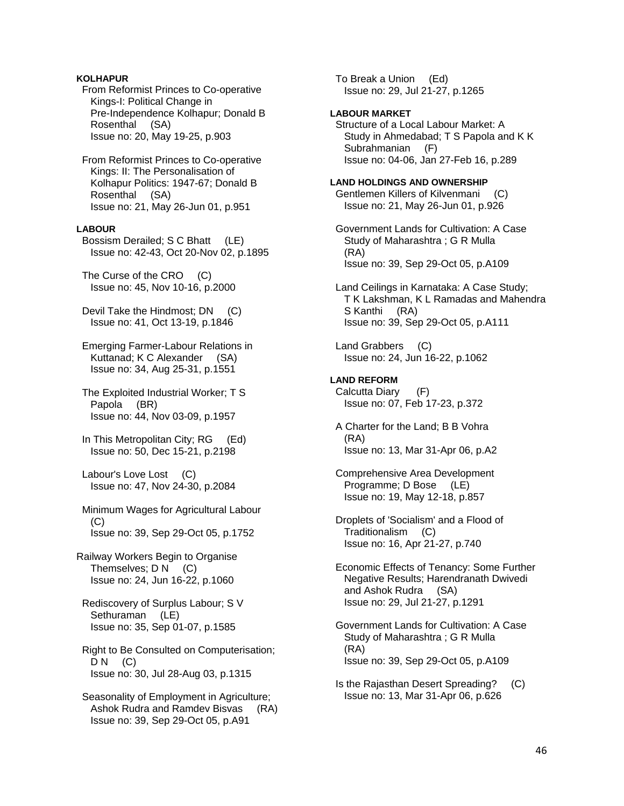# **KOLHAPUR**

 From Reformist Princes to Co-operative Kings-I: Political Change in Pre-Independence Kolhapur; Donald B Rosenthal (SA) Issue no: 20, May 19-25, p.903

 From Reformist Princes to Co-operative Kings: II: The Personalisation of Kolhapur Politics: 1947-67; Donald B Rosenthal (SA) Issue no: 21, May 26-Jun 01, p.951

### **LABOUR**

 Bossism Derailed; S C Bhatt (LE) Issue no: 42-43, Oct 20-Nov 02, p.1895

 The Curse of the CRO (C) Issue no: 45, Nov 10-16, p.2000

 Devil Take the Hindmost; DN (C) Issue no: 41, Oct 13-19, p.1846

 Emerging Farmer-Labour Relations in Kuttanad; K C Alexander (SA) Issue no: 34, Aug 25-31, p.1551

 The Exploited Industrial Worker; T S Papola (BR) Issue no: 44, Nov 03-09, p.1957

 In This Metropolitan City; RG (Ed) Issue no: 50, Dec 15-21, p.2198

 Labour's Love Lost (C) Issue no: 47, Nov 24-30, p.2084

 Minimum Wages for Agricultural Labour  $(C)$ Issue no: 39, Sep 29-Oct 05, p.1752

Railway Workers Begin to Organise Themselves; D N (C) Issue no: 24, Jun 16-22, p.1060

 Rediscovery of Surplus Labour; S V Sethuraman (LE) Issue no: 35, Sep 01-07, p.1585

 Right to Be Consulted on Computerisation;  $DN$  (C) Issue no: 30, Jul 28-Aug 03, p.1315

 Seasonality of Employment in Agriculture; Ashok Rudra and Ramdev Bisvas (RA) Issue no: 39, Sep 29-Oct 05, p.A91

 To Break a Union (Ed) Issue no: 29, Jul 21-27, p.1265

### **LABOUR MARKET**

 Structure of a Local Labour Market: A Study in Ahmedabad; T S Papola and K K Subrahmanian (F) Issue no: 04-06, Jan 27-Feb 16, p.289

#### **LAND HOLDINGS AND OWNERSHIP**

 Gentlemen Killers of Kilvenmani (C) Issue no: 21, May 26-Jun 01, p.926

 Government Lands for Cultivation: A Case Study of Maharashtra ; G R Mulla (RA) Issue no: 39, Sep 29-Oct 05, p.A109

 Land Ceilings in Karnataka: A Case Study; T K Lakshman, K L Ramadas and Mahendra S Kanthi (RA) Issue no: 39, Sep 29-Oct 05, p.A111

 Land Grabbers (C) Issue no: 24, Jun 16-22, p.1062

# **LAND REFORM**

 Calcutta Diary (F) Issue no: 07, Feb 17-23, p.372

- A Charter for the Land; B B Vohra (RA) Issue no: 13, Mar 31-Apr 06, p.A2
- Comprehensive Area Development Programme; D Bose (LE) Issue no: 19, May 12-18, p.857
- Droplets of 'Socialism' and a Flood of Traditionalism (C) Issue no: 16, Apr 21-27, p.740

 Economic Effects of Tenancy: Some Further Negative Results; Harendranath Dwivedi and Ashok Rudra (SA) Issue no: 29, Jul 21-27, p.1291

 Government Lands for Cultivation: A Case Study of Maharashtra ; G R Mulla (RA) Issue no: 39, Sep 29-Oct 05, p.A109

 Is the Rajasthan Desert Spreading? (C) Issue no: 13, Mar 31-Apr 06, p.626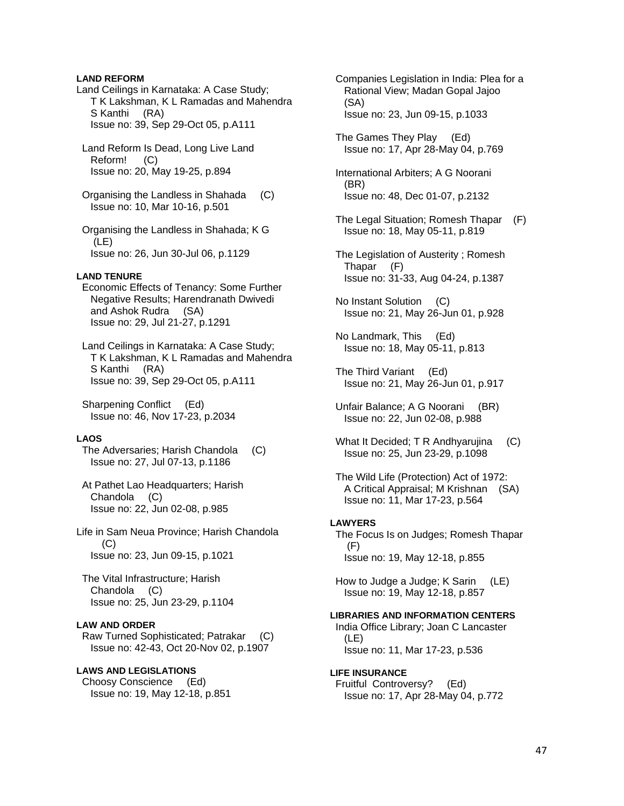### **LAND REFORM**

Land Ceilings in Karnataka: A Case Study; T K Lakshman, K L Ramadas and Mahendra S Kanthi (RA) Issue no: 39, Sep 29-Oct 05, p.A111

 Land Reform Is Dead, Long Live Land Reform! (C) Issue no: 20, May 19-25, p.894

 Organising the Landless in Shahada (C) Issue no: 10, Mar 10-16, p.501

 Organising the Landless in Shahada; K G (LE) Issue no: 26, Jun 30-Jul 06, p.1129

#### **LAND TENURE**

 Economic Effects of Tenancy: Some Further Negative Results; Harendranath Dwivedi and Ashok Rudra (SA) Issue no: 29, Jul 21-27, p.1291

 Land Ceilings in Karnataka: A Case Study; T K Lakshman, K L Ramadas and Mahendra S Kanthi (RA) Issue no: 39, Sep 29-Oct 05, p.A111

 Sharpening Conflict (Ed) Issue no: 46, Nov 17-23, p.2034

### **LAOS**

 The Adversaries; Harish Chandola (C) Issue no: 27, Jul 07-13, p.1186

 At Pathet Lao Headquarters; Harish Chandola (C) Issue no: 22, Jun 02-08, p.985

Life in Sam Neua Province; Harish Chandola (C) Issue no: 23, Jun 09-15, p.1021

 The Vital Infrastructure; Harish Chandola (C) Issue no: 25, Jun 23-29, p.1104

### **LAW AND ORDER**

 Raw Turned Sophisticated; Patrakar (C) Issue no: 42-43, Oct 20-Nov 02, p.1907

### **LAWS AND LEGISLATIONS**

 Choosy Conscience (Ed) Issue no: 19, May 12-18, p.851  Companies Legislation in India: Plea for a Rational View; Madan Gopal Jajoo (SA) Issue no: 23, Jun 09-15, p.1033

 The Games They Play (Ed) Issue no: 17, Apr 28-May 04, p.769

 International Arbiters; A G Noorani (BR) Issue no: 48, Dec 01-07, p.2132

- The Legal Situation; Romesh Thapar (F) Issue no: 18, May 05-11, p.819
- The Legislation of Austerity ; Romesh Thapar (F) Issue no: 31-33, Aug 04-24, p.1387
- No Instant Solution (C) Issue no: 21, May 26-Jun 01, p.928

 No Landmark, This (Ed) Issue no: 18, May 05-11, p.813

 The Third Variant (Ed) Issue no: 21, May 26-Jun 01, p.917

 Unfair Balance; A G Noorani (BR) Issue no: 22, Jun 02-08, p.988

What It Decided; T R Andhyarujina (C) Issue no: 25, Jun 23-29, p.1098

 The Wild Life (Protection) Act of 1972: A Critical Appraisal; M Krishnan (SA) Issue no: 11, Mar 17-23, p.564

#### **LAWYERS**

 The Focus Is on Judges; Romesh Thapar (F) Issue no: 19, May 12-18, p.855

 How to Judge a Judge; K Sarin (LE) Issue no: 19, May 12-18, p.857

### **LIBRARIES AND INFORMATION CENTERS**

 India Office Library; Joan C Lancaster (LE) Issue no: 11, Mar 17-23, p.536

# **LIFE INSURANCE**

 Fruitful Controversy? (Ed) Issue no: 17, Apr 28-May 04, p.772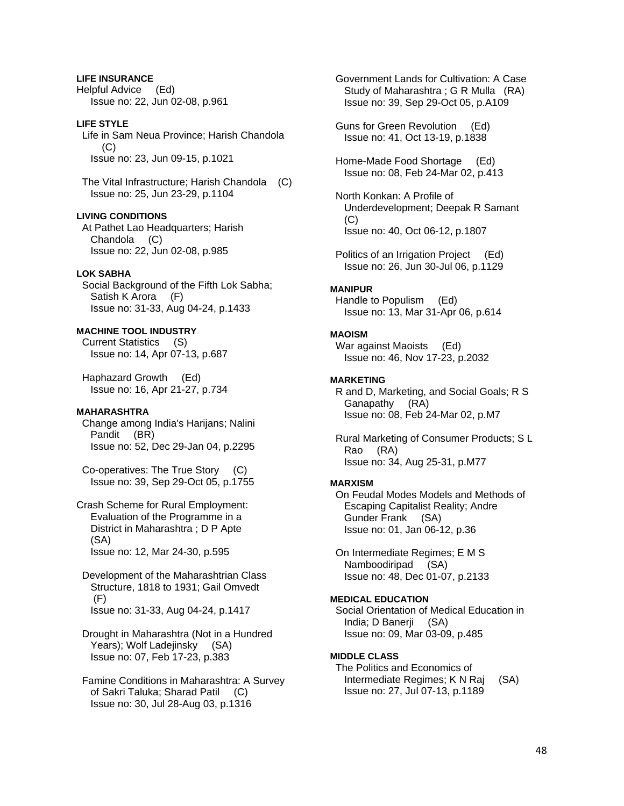**LIFE INSURANCE**  Helpful Advice (Ed) Issue no: 22, Jun 02-08, p.961

**LIFE STYLE**  Life in Sam Neua Province; Harish Chandola  $(C)$ Issue no: 23, Jun 09-15, p.1021

 The Vital Infrastructure; Harish Chandola (C) Issue no: 25, Jun 23-29, p.1104

**LIVING CONDITIONS** 

 At Pathet Lao Headquarters; Harish Chandola (C) Issue no: 22, Jun 02-08, p.985

# **LOK SABHA**

 Social Background of the Fifth Lok Sabha; Satish K Arora (F) Issue no: 31-33, Aug 04-24, p.1433

# **MACHINE TOOL INDUSTRY**

 Current Statistics (S) Issue no: 14, Apr 07-13, p.687

 Haphazard Growth (Ed) Issue no: 16, Apr 21-27, p.734

#### **MAHARASHTRA**

 Change among India's Harijans; Nalini Pandit (BR) Issue no: 52, Dec 29-Jan 04, p.2295

 Co-operatives: The True Story (C) Issue no: 39, Sep 29-Oct 05, p.1755

Crash Scheme for Rural Employment: Evaluation of the Programme in a District in Maharashtra ; D P Apte (SA) Issue no: 12, Mar 24-30, p.595

 Development of the Maharashtrian Class Structure, 1818 to 1931; Gail Omvedt (F) Issue no: 31-33, Aug 04-24, p.1417

 Drought in Maharashtra (Not in a Hundred Years); Wolf Ladejinsky (SA) Issue no: 07, Feb 17-23, p.383

 Famine Conditions in Maharashtra: A Survey of Sakri Taluka; Sharad Patil (C) Issue no: 30, Jul 28-Aug 03, p.1316

 Government Lands for Cultivation: A Case Study of Maharashtra ; G R Mulla (RA) Issue no: 39, Sep 29-Oct 05, p.A109

 Guns for Green Revolution (Ed) Issue no: 41, Oct 13-19, p.1838

 Home-Made Food Shortage (Ed) Issue no: 08, Feb 24-Mar 02, p.413

 North Konkan: A Profile of Underdevelopment; Deepak R Samant  $(C)$ Issue no: 40, Oct 06-12, p.1807

 Politics of an Irrigation Project (Ed) Issue no: 26, Jun 30-Jul 06, p.1129

### **MANIPUR**

 Handle to Populism (Ed) Issue no: 13, Mar 31-Apr 06, p.614

# **MAOISM**

 War against Maoists (Ed) Issue no: 46, Nov 17-23, p.2032

### **MARKETING**

 R and D, Marketing, and Social Goals; R S Ganapathy (RA) Issue no: 08, Feb 24-Mar 02, p.M7

 Rural Marketing of Consumer Products; S L Rao (RA) Issue no: 34, Aug 25-31, p.M77

#### **MARXISM**

 On Feudal Modes Models and Methods of Escaping Capitalist Reality; Andre Gunder Frank (SA) Issue no: 01, Jan 06-12, p.36

 On Intermediate Regimes; E M S Namboodiripad (SA) Issue no: 48, Dec 01-07, p.2133

### **MEDICAL EDUCATION**

 Social Orientation of Medical Education in India; D Banerji (SA) Issue no: 09, Mar 03-09, p.485

# **MIDDLE CLASS**

 The Politics and Economics of Intermediate Regimes; K N Raj (SA) Issue no: 27, Jul 07-13, p.1189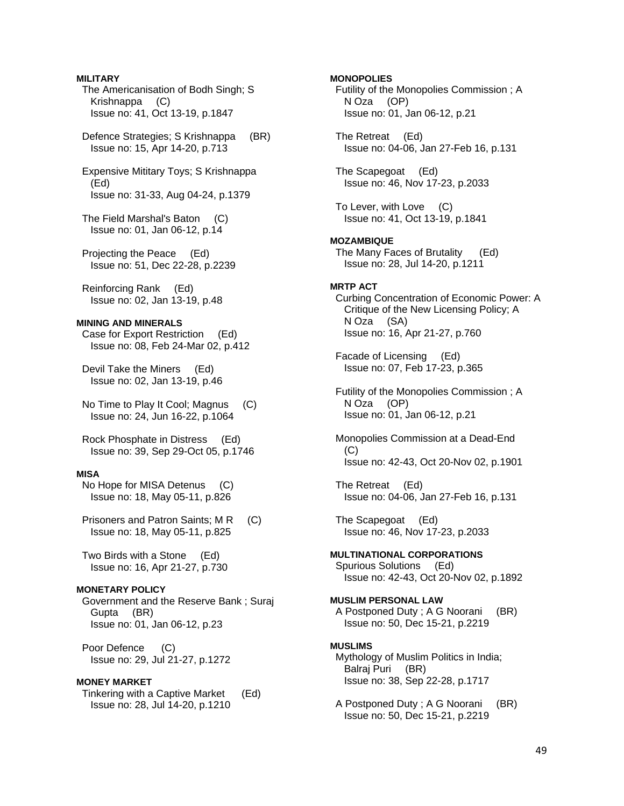The Americanisation of Bodh Singh; S Krishnappa (C) Issue no: 41, Oct 13-19, p.1847 Defence Strategies; S Krishnappa (BR) Issue no: 15, Apr 14-20, p.713 Expensive Mititary Toys; S Krishnappa (Ed) Issue no: 31-33, Aug 04-24, p.1379 The Field Marshal's Baton (C) Issue no: 01, Jan 06-12, p.14 Projecting the Peace (Ed) Issue no: 51, Dec 22-28, p.2239 Reinforcing Rank (Ed) Issue no: 02, Jan 13-19, p.48 **MINING AND MINERALS**  Case for Export Restriction (Ed) Issue no: 08, Feb 24-Mar 02, p.412 Devil Take the Miners (Ed) Issue no: 02, Jan 13-19, p.46 No Time to Play It Cool; Magnus (C) Issue no: 24, Jun 16-22, p.1064 Rock Phosphate in Distress (Ed) Issue no: 39, Sep 29-Oct 05, p.1746 **MISA**  No Hope for MISA Detenus (C) Issue no: 18, May 05-11, p.826 Prisoners and Patron Saints; M R (C) Issue no: 18, May 05-11, p.825 Two Birds with a Stone (Ed) Issue no: 16, Apr 21-27, p.730 **MONETARY POLICY**  Government and the Reserve Bank ; Suraj Gupta (BR) Issue no: 01, Jan 06-12, p.23 Poor Defence (C) Issue no: 29, Jul 21-27, p.1272 **MONEY MARKET**  Tinkering with a Captive Market (Ed) Issue no: 28, Jul 14-20, p.1210

**MILITARY** 

**MONOPOLIES**  Futility of the Monopolies Commission ; A N Oza (OP) Issue no: 01, Jan 06-12, p.21 The Retreat (Ed) Issue no: 04-06, Jan 27-Feb 16, p.131 The Scapegoat (Ed) Issue no: 46, Nov 17-23, p.2033 To Lever, with Love (C) Issue no: 41, Oct 13-19, p.1841 **MOZAMBIQUE**  The Many Faces of Brutality (Ed) Issue no: 28, Jul 14-20, p.1211 **MRTP ACT**  Curbing Concentration of Economic Power: A Critique of the New Licensing Policy; A N Oza (SA) Issue no: 16, Apr 21-27, p.760 Facade of Licensing (Ed) Issue no: 07, Feb 17-23, p.365 Futility of the Monopolies Commission ; A N Oza (OP) Issue no: 01, Jan 06-12, p.21 Monopolies Commission at a Dead-End  $(C)$  Issue no: 42-43, Oct 20-Nov 02, p.1901 The Retreat (Ed) Issue no: 04-06, Jan 27-Feb 16, p.131 The Scapegoat (Ed) Issue no: 46, Nov 17-23, p.2033 **MULTINATIONAL CORPORATIONS**  Spurious Solutions (Ed) Issue no: 42-43, Oct 20-Nov 02, p.1892 **MUSLIM PERSONAL LAW**  A Postponed Duty ; A G Noorani (BR) Issue no: 50, Dec 15-21, p.2219 **MUSLIMS**  Mythology of Muslim Politics in India; Balraj Puri (BR) Issue no: 38, Sep 22-28, p.1717 A Postponed Duty ; A G Noorani (BR) Issue no: 50, Dec 15-21, p.2219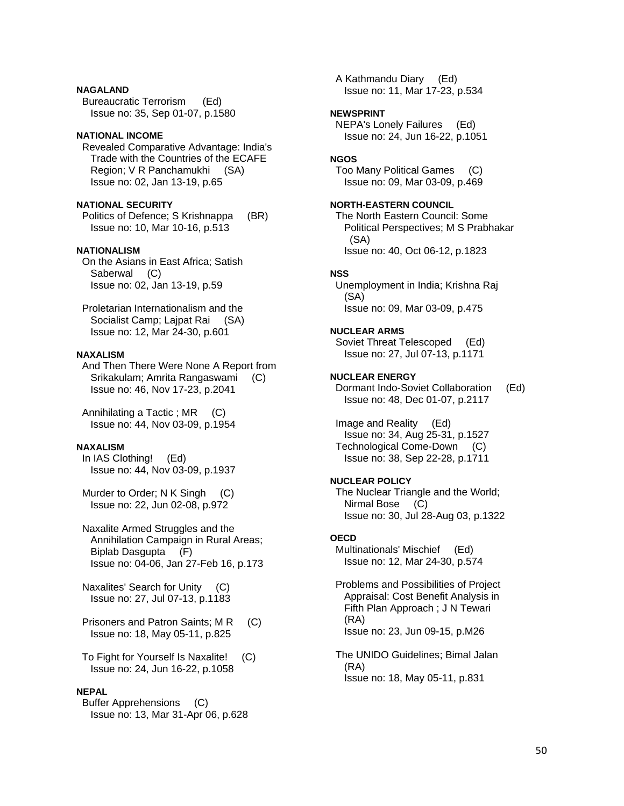### **NAGALAND**

 Bureaucratic Terrorism (Ed) Issue no: 35, Sep 01-07, p.1580

# **NATIONAL INCOME**

 Revealed Comparative Advantage: India's Trade with the Countries of the ECAFE Region; V R Panchamukhi (SA) Issue no: 02, Jan 13-19, p.65

# **NATIONAL SECURITY**

 Politics of Defence; S Krishnappa (BR) Issue no: 10, Mar 10-16, p.513

# **NATIONALISM**

 On the Asians in East Africa; Satish Saberwal (C) Issue no: 02, Jan 13-19, p.59

 Proletarian Internationalism and the Socialist Camp; Lajpat Rai (SA) Issue no: 12, Mar 24-30, p.601

# **NAXALISM**

 And Then There Were None A Report from Srikakulam; Amrita Rangaswami (C) Issue no: 46, Nov 17-23, p.2041

Annihilating a Tactic ; MR (C) Issue no: 44, Nov 03-09, p.1954

# **NAXALISM**

 In IAS Clothing! (Ed) Issue no: 44, Nov 03-09, p.1937

Murder to Order; N K Singh (C) Issue no: 22, Jun 02-08, p.972

 Naxalite Armed Struggles and the Annihilation Campaign in Rural Areas; Biplab Dasgupta (F) Issue no: 04-06, Jan 27-Feb 16, p.173

 Naxalites' Search for Unity (C) Issue no: 27, Jul 07-13, p.1183

Prisoners and Patron Saints; M R (C) Issue no: 18, May 05-11, p.825

 To Fight for Yourself Is Naxalite! (C) Issue no: 24, Jun 16-22, p.1058

# **NEPAL**

 Buffer Apprehensions (C) Issue no: 13, Mar 31-Apr 06, p.628  A Kathmandu Diary (Ed) Issue no: 11, Mar 17-23, p.534

# **NEWSPRINT**

 NEPA's Lonely Failures (Ed) Issue no: 24, Jun 16-22, p.1051

# **NGOS**

 Too Many Political Games (C) Issue no: 09, Mar 03-09, p.469

# **NORTH-EASTERN COUNCIL**

 The North Eastern Council: Some Political Perspectives; M S Prabhakar (SA) Issue no: 40, Oct 06-12, p.1823

# **NSS**

 Unemployment in India; Krishna Raj (SA) Issue no: 09, Mar 03-09, p.475

# **NUCLEAR ARMS**

 Soviet Threat Telescoped (Ed) Issue no: 27, Jul 07-13, p.1171

### **NUCLEAR ENERGY**  Dormant Indo-Soviet Collaboration (Ed) Issue no: 48, Dec 01-07, p.2117

 Image and Reality (Ed) Issue no: 34, Aug 25-31, p.1527 Technological Come-Down (C) Issue no: 38, Sep 22-28, p.1711

# **NUCLEAR POLICY**

 The Nuclear Triangle and the World; Nirmal Bose (C) Issue no: 30, Jul 28-Aug 03, p.1322

# **OECD**

 Multinationals' Mischief (Ed) Issue no: 12, Mar 24-30, p.574

 Problems and Possibilities of Project Appraisal: Cost Benefit Analysis in Fifth Plan Approach ; J N Tewari (RA) Issue no: 23, Jun 09-15, p.M26

 The UNIDO Guidelines; Bimal Jalan (RA) Issue no: 18, May 05-11, p.831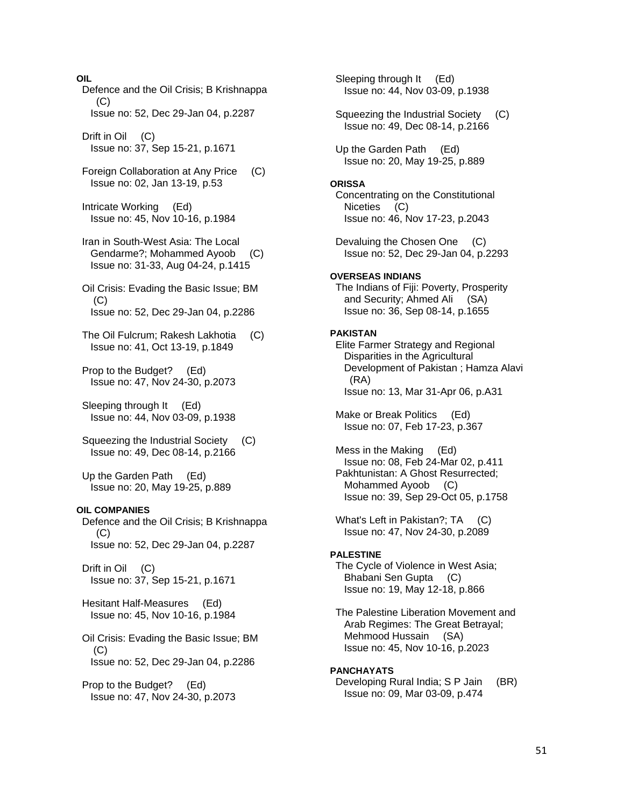**OIL**  Defence and the Oil Crisis; B Krishnappa  $(C)$  Issue no: 52, Dec 29-Jan 04, p.2287 Drift in Oil (C) Issue no: 37, Sep 15-21, p.1671 Foreign Collaboration at Any Price (C) Issue no: 02, Jan 13-19, p.53 Intricate Working (Ed) Issue no: 45, Nov 10-16, p.1984 Iran in South-West Asia: The Local Gendarme?; Mohammed Ayoob (C) Issue no: 31-33, Aug 04-24, p.1415 Oil Crisis: Evading the Basic Issue; BM (C) Issue no: 52, Dec 29-Jan 04, p.2286 The Oil Fulcrum; Rakesh Lakhotia (C) Issue no: 41, Oct 13-19, p.1849 Prop to the Budget? (Ed) Issue no: 47, Nov 24-30, p.2073 Sleeping through It (Ed) Issue no: 44, Nov 03-09, p.1938 Squeezing the Industrial Society (C) Issue no: 49, Dec 08-14, p.2166 Up the Garden Path (Ed) Issue no: 20, May 19-25, p.889 **OIL COMPANIES**  Defence and the Oil Crisis; B Krishnappa (C) Issue no: 52, Dec 29-Jan 04, p.2287 Drift in Oil (C) Issue no: 37, Sep 15-21, p.1671 Hesitant Half-Measures (Ed) Issue no: 45, Nov 10-16, p.1984 Oil Crisis: Evading the Basic Issue; BM (C) Issue no: 52, Dec 29-Jan 04, p.2286 Prop to the Budget? (Ed) Issue no: 47, Nov 24-30, p.2073

 Sleeping through It (Ed) Issue no: 44, Nov 03-09, p.1938 Squeezing the Industrial Society (C) Issue no: 49, Dec 08-14, p.2166 Up the Garden Path (Ed) Issue no: 20, May 19-25, p.889 **ORISSA**  Concentrating on the Constitutional Niceties (C) Issue no: 46, Nov 17-23, p.2043 Devaluing the Chosen One (C) Issue no: 52, Dec 29-Jan 04, p.2293 **OVERSEAS INDIANS**  The Indians of Fiji: Poverty, Prosperity and Security; Ahmed Ali (SA) Issue no: 36, Sep 08-14, p.1655 **PAKISTAN**  Elite Farmer Strategy and Regional Disparities in the Agricultural Development of Pakistan ; Hamza Alavi (RA) Issue no: 13, Mar 31-Apr 06, p.A31 Make or Break Politics (Ed) Issue no: 07, Feb 17-23, p.367 Mess in the Making (Ed) Issue no: 08, Feb 24-Mar 02, p.411 Pakhtunistan: A Ghost Resurrected; Mohammed Ayoob (C) Issue no: 39, Sep 29-Oct 05, p.1758 What's Left in Pakistan?; TA (C) Issue no: 47, Nov 24-30, p.2089 **PALESTINE**  The Cycle of Violence in West Asia; Bhabani Sen Gupta (C) Issue no: 19, May 12-18, p.866 The Palestine Liberation Movement and Arab Regimes: The Great Betrayal; Mehmood Hussain (SA) Issue no: 45, Nov 10-16, p.2023 **PANCHAYATS**  Developing Rural India; S P Jain (BR) Issue no: 09, Mar 03-09, p.474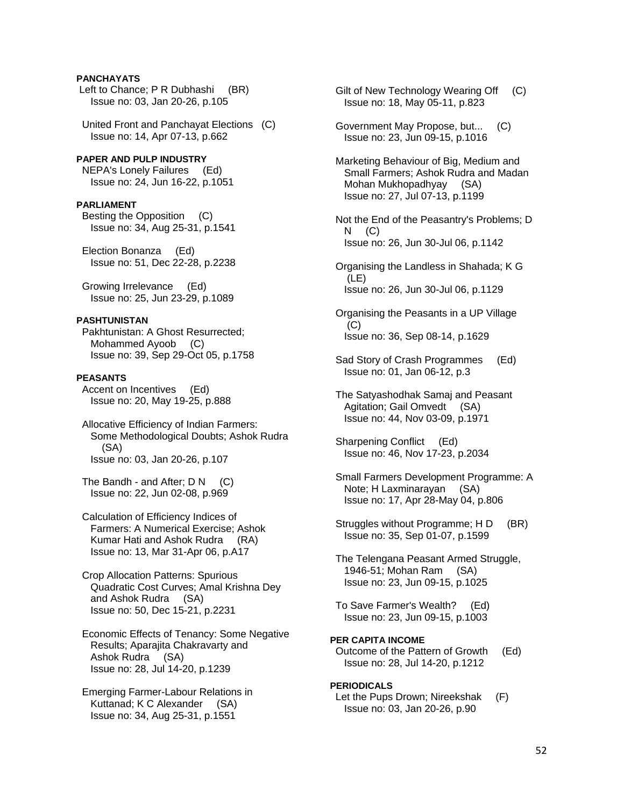### **PANCHAYATS**

Left to Chance; P R Dubhashi (BR) Issue no: 03, Jan 20-26, p.105

 United Front and Panchayat Elections (C) Issue no: 14, Apr 07-13, p.662

# **PAPER AND PULP INDUSTRY**

 NEPA's Lonely Failures (Ed) Issue no: 24, Jun 16-22, p.1051

### **PARLIAMENT**

 Besting the Opposition (C) Issue no: 34, Aug 25-31, p.1541

 Election Bonanza (Ed) Issue no: 51, Dec 22-28, p.2238

 Growing Irrelevance (Ed) Issue no: 25, Jun 23-29, p.1089

# **PASHTUNISTAN**

 Pakhtunistan: A Ghost Resurrected; Mohammed Ayoob (C) Issue no: 39, Sep 29-Oct 05, p.1758

### **PEASANTS**

 Accent on Incentives (Ed) Issue no: 20, May 19-25, p.888

 Allocative Efficiency of Indian Farmers: Some Methodological Doubts; Ashok Rudra (SA) Issue no: 03, Jan 20-26, p.107

The Bandh - and After;  $D N$  (C) Issue no: 22, Jun 02-08, p.969

 Calculation of Efficiency Indices of Farmers: A Numerical Exercise; Ashok Kumar Hati and Ashok Rudra (RA) Issue no: 13, Mar 31-Apr 06, p.A17

 Crop Allocation Patterns: Spurious Quadratic Cost Curves; Amal Krishna Dey and Ashok Rudra (SA) Issue no: 50, Dec 15-21, p.2231

 Economic Effects of Tenancy: Some Negative Results; Aparajita Chakravarty and Ashok Rudra (SA) Issue no: 28, Jul 14-20, p.1239

 Emerging Farmer-Labour Relations in Kuttanad; K C Alexander (SA) Issue no: 34, Aug 25-31, p.1551

Gilt of New Technology Wearing Off (C) Issue no: 18, May 05-11, p.823

 Government May Propose, but... (C) Issue no: 23, Jun 09-15, p.1016

 Marketing Behaviour of Big, Medium and Small Farmers; Ashok Rudra and Madan Mohan Mukhopadhyay (SA) Issue no: 27, Jul 07-13, p.1199

 Not the End of the Peasantry's Problems; D N (C) Issue no: 26, Jun 30-Jul 06, p.1142

 Organising the Landless in Shahada; K G (LE) Issue no: 26, Jun 30-Jul 06, p.1129

 Organising the Peasants in a UP Village (C) Issue no: 36, Sep 08-14, p.1629

 Sad Story of Crash Programmes (Ed) Issue no: 01, Jan 06-12, p.3

 The Satyashodhak Samaj and Peasant Agitation; Gail Omvedt (SA) Issue no: 44, Nov 03-09, p.1971

 Sharpening Conflict (Ed) Issue no: 46, Nov 17-23, p.2034

 Small Farmers Development Programme: A Note; H Laxminarayan (SA) Issue no: 17, Apr 28-May 04, p.806

Struggles without Programme; H D (BR) Issue no: 35, Sep 01-07, p.1599

 The Telengana Peasant Armed Struggle, 1946-51; Mohan Ram (SA) Issue no: 23, Jun 09-15, p.1025

 To Save Farmer's Wealth? (Ed) Issue no: 23, Jun 09-15, p.1003

**PER CAPITA INCOME**  Outcome of the Pattern of Growth (Ed) Issue no: 28, Jul 14-20, p.1212

**PERIODICALS** 

 Let the Pups Drown; Nireekshak (F) Issue no: 03, Jan 20-26, p.90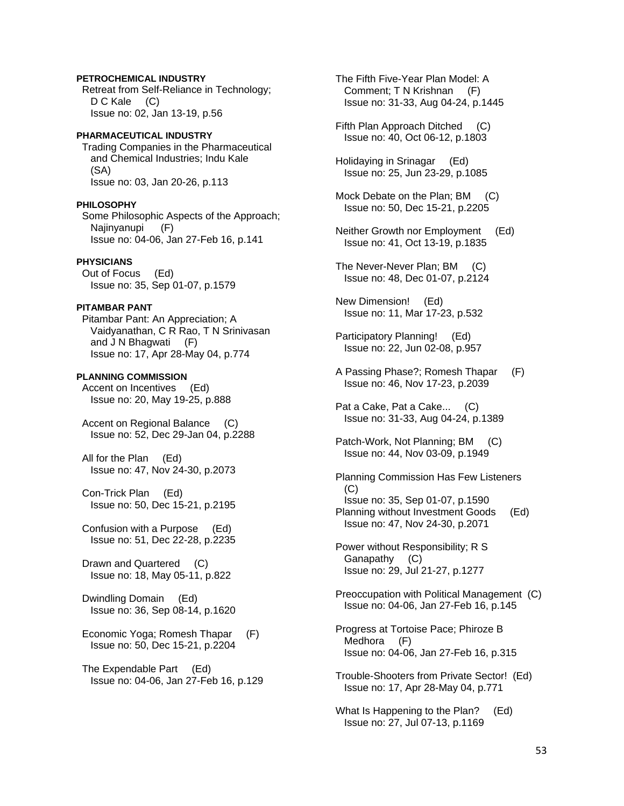### **PETROCHEMICAL INDUSTRY**

 Retreat from Self-Reliance in Technology; D C Kale (C) Issue no: 02, Jan 13-19, p.56

# **PHARMACEUTICAL INDUSTRY**  Trading Companies in the Pharmaceutical

 and Chemical Industries; Indu Kale (SA) Issue no: 03, Jan 20-26, p.113

### **PHILOSOPHY**

 Some Philosophic Aspects of the Approach; Najinyanupi (F) Issue no: 04-06, Jan 27-Feb 16, p.141

# **PHYSICIANS**

 Out of Focus (Ed) Issue no: 35, Sep 01-07, p.1579

# **PITAMBAR PANT**

 Pitambar Pant: An Appreciation; A Vaidyanathan, C R Rao, T N Srinivasan and J N Bhagwati (F) Issue no: 17, Apr 28-May 04, p.774

### **PLANNING COMMISSION**

 Accent on Incentives (Ed) Issue no: 20, May 19-25, p.888

 Accent on Regional Balance (C) Issue no: 52, Dec 29-Jan 04, p.2288

 All for the Plan (Ed) Issue no: 47, Nov 24-30, p.2073

 Con-Trick Plan (Ed) Issue no: 50, Dec 15-21, p.2195

 Confusion with a Purpose (Ed) Issue no: 51, Dec 22-28, p.2235

 Drawn and Quartered (C) Issue no: 18, May 05-11, p.822

 Dwindling Domain (Ed) Issue no: 36, Sep 08-14, p.1620

 Economic Yoga; Romesh Thapar (F) Issue no: 50, Dec 15-21, p.2204

 The Expendable Part (Ed) Issue no: 04-06, Jan 27-Feb 16, p.129  The Fifth Five-Year Plan Model: A Comment; T N Krishnan (F) Issue no: 31-33, Aug 04-24, p.1445

 Fifth Plan Approach Ditched (C) Issue no: 40, Oct 06-12, p.1803

 Holidaying in Srinagar (Ed) Issue no: 25, Jun 23-29, p.1085

Mock Debate on the Plan; BM (C) Issue no: 50, Dec 15-21, p.2205

- Neither Growth nor Employment (Ed) Issue no: 41, Oct 13-19, p.1835
- The Never-Never Plan; BM (C) Issue no: 48, Dec 01-07, p.2124

 New Dimension! (Ed) Issue no: 11, Mar 17-23, p.532

 Participatory Planning! (Ed) Issue no: 22, Jun 02-08, p.957

 A Passing Phase?; Romesh Thapar (F) Issue no: 46, Nov 17-23, p.2039

 Pat a Cake, Pat a Cake... (C) Issue no: 31-33, Aug 04-24, p.1389

 Patch-Work, Not Planning; BM (C) Issue no: 44, Nov 03-09, p.1949

 Planning Commission Has Few Listeners (C) Issue no: 35, Sep 01-07, p.1590 Planning without Investment Goods (Ed) Issue no: 47, Nov 24-30, p.2071

 Power without Responsibility; R S Ganapathy (C) Issue no: 29, Jul 21-27, p.1277

 Preoccupation with Political Management (C) Issue no: 04-06, Jan 27-Feb 16, p.145

 Progress at Tortoise Pace; Phiroze B Medhora (F) Issue no: 04-06, Jan 27-Feb 16, p.315

 Trouble-Shooters from Private Sector! (Ed) Issue no: 17, Apr 28-May 04, p.771

 What Is Happening to the Plan? (Ed) Issue no: 27, Jul 07-13, p.1169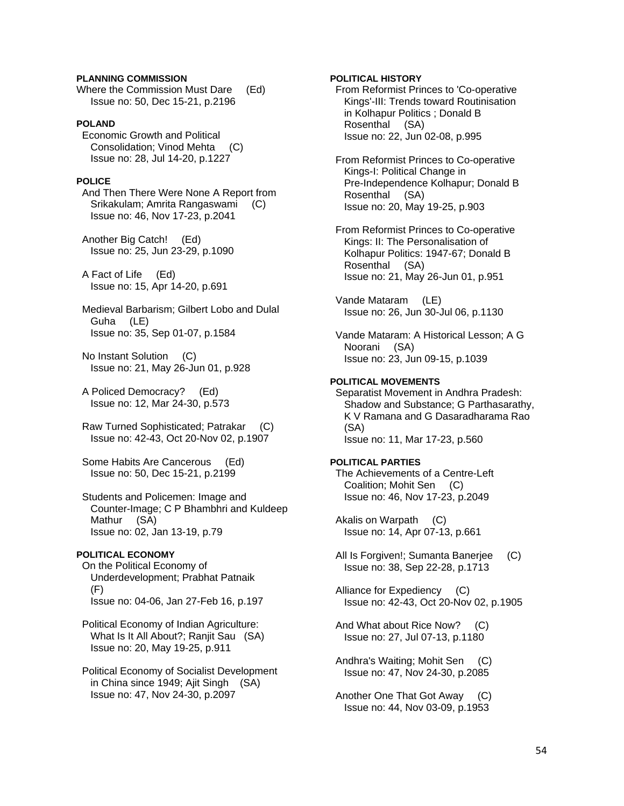### **PLANNING COMMISSION**

Where the Commission Must Dare (Ed) Issue no: 50, Dec 15-21, p.2196

## **POLAND**

 Economic Growth and Political Consolidation; Vinod Mehta (C) Issue no: 28, Jul 14-20, p.1227

# **POLICE**

 And Then There Were None A Report from Srikakulam; Amrita Rangaswami (C) Issue no: 46, Nov 17-23, p.2041

 Another Big Catch! (Ed) Issue no: 25, Jun 23-29, p.1090

 A Fact of Life (Ed) Issue no: 15, Apr 14-20, p.691

 Medieval Barbarism; Gilbert Lobo and Dulal Guha (LE) Issue no: 35, Sep 01-07, p.1584

 No Instant Solution (C) Issue no: 21, May 26-Jun 01, p.928

 A Policed Democracy? (Ed) Issue no: 12, Mar 24-30, p.573

 Raw Turned Sophisticated; Patrakar (C) Issue no: 42-43, Oct 20-Nov 02, p.1907

 Some Habits Are Cancerous (Ed) Issue no: 50, Dec 15-21, p.2199

 Students and Policemen: Image and Counter-Image; C P Bhambhri and Kuldeep Mathur (SA) Issue no: 02, Jan 13-19, p.79

### **POLITICAL ECONOMY**

 On the Political Economy of Underdevelopment; Prabhat Patnaik (F) Issue no: 04-06, Jan 27-Feb 16, p.197

 Political Economy of Indian Agriculture: What Is It All About?; Ranjit Sau (SA) Issue no: 20, May 19-25, p.911

 Political Economy of Socialist Development in China since 1949; Ajit Singh (SA) Issue no: 47, Nov 24-30, p.2097

### **POLITICAL HISTORY**

 From Reformist Princes to 'Co-operative Kings'-III: Trends toward Routinisation in Kolhapur Politics ; Donald B Rosenthal (SA) Issue no: 22, Jun 02-08, p.995

 From Reformist Princes to Co-operative Kings-I: Political Change in Pre-Independence Kolhapur; Donald B Rosenthal (SA) Issue no: 20, May 19-25, p.903

 From Reformist Princes to Co-operative Kings: II: The Personalisation of Kolhapur Politics: 1947-67; Donald B Rosenthal (SA) Issue no: 21, May 26-Jun 01, p.951

 Vande Mataram (LE) Issue no: 26, Jun 30-Jul 06, p.1130

 Vande Mataram: A Historical Lesson; A G Noorani (SA) Issue no: 23, Jun 09-15, p.1039

### **POLITICAL MOVEMENTS**

 Separatist Movement in Andhra Pradesh: Shadow and Substance; G Parthasarathy, K V Ramana and G Dasaradharama Rao (SA) Issue no: 11, Mar 17-23, p.560

# **POLITICAL PARTIES**

 The Achievements of a Centre-Left Coalition; Mohit Sen (C) Issue no: 46, Nov 17-23, p.2049

 Akalis on Warpath (C) Issue no: 14, Apr 07-13, p.661

All Is Forgiven!; Sumanta Baneriee (C) Issue no: 38, Sep 22-28, p.1713

 Alliance for Expediency (C) Issue no: 42-43, Oct 20-Nov 02, p.1905

 And What about Rice Now? (C) Issue no: 27, Jul 07-13, p.1180

 Andhra's Waiting; Mohit Sen (C) Issue no: 47, Nov 24-30, p.2085

 Another One That Got Away (C) Issue no: 44, Nov 03-09, p.1953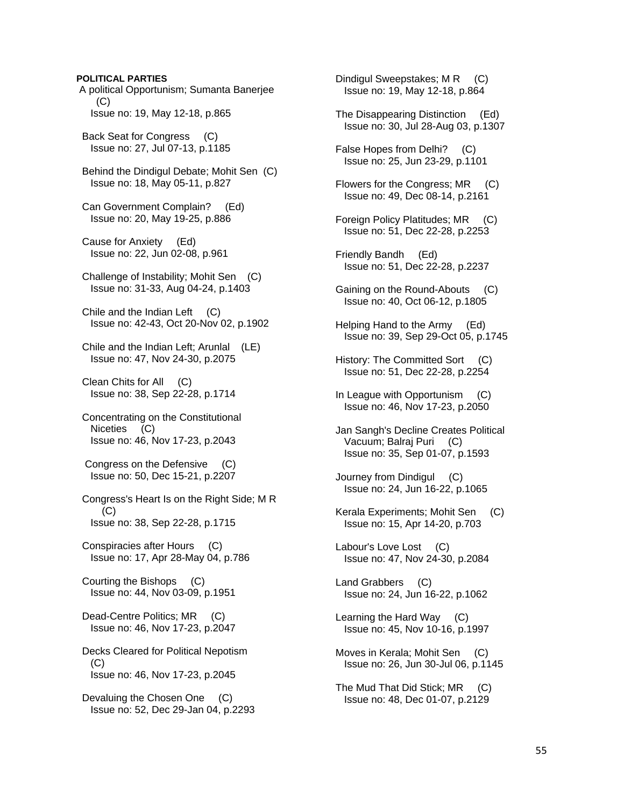### **POLITICAL PARTIES**

 A political Opportunism; Sumanta Banerjee  $(C)$ Issue no: 19, May 12-18, p.865

 Back Seat for Congress (C) Issue no: 27, Jul 07-13, p.1185

 Behind the Dindigul Debate; Mohit Sen (C) Issue no: 18, May 05-11, p.827

 Can Government Complain? (Ed) Issue no: 20, May 19-25, p.886

 Cause for Anxiety (Ed) Issue no: 22, Jun 02-08, p.961

 Challenge of Instability; Mohit Sen (C) Issue no: 31-33, Aug 04-24, p.1403

 Chile and the Indian Left (C) Issue no: 42-43, Oct 20-Nov 02, p.1902

 Chile and the Indian Left; Arunlal (LE) Issue no: 47, Nov 24-30, p.2075

 Clean Chits for All (C) Issue no: 38, Sep 22-28, p.1714

 Concentrating on the Constitutional Niceties (C) Issue no: 46, Nov 17-23, p.2043

 Congress on the Defensive (C) Issue no: 50, Dec 15-21, p.2207

 Congress's Heart Is on the Right Side; M R  $(C)$ Issue no: 38, Sep 22-28, p.1715

 Conspiracies after Hours (C) Issue no: 17, Apr 28-May 04, p.786

 Courting the Bishops (C) Issue no: 44, Nov 03-09, p.1951

Dead-Centre Politics; MR (C) Issue no: 46, Nov 17-23, p.2047

 Decks Cleared for Political Nepotism (C) Issue no: 46, Nov 17-23, p.2045

 Devaluing the Chosen One (C) Issue no: 52, Dec 29-Jan 04, p.2293 Dindigul Sweepstakes; M R (C) Issue no: 19, May 12-18, p.864

- The Disappearing Distinction (Ed) Issue no: 30, Jul 28-Aug 03, p.1307
- False Hopes from Delhi? (C) Issue no: 25, Jun 23-29, p.1101
- Flowers for the Congress; MR (C) Issue no: 49, Dec 08-14, p.2161
- Foreign Policy Platitudes; MR (C) Issue no: 51, Dec 22-28, p.2253
- Friendly Bandh (Ed) Issue no: 51, Dec 22-28, p.2237
- Gaining on the Round-Abouts (C) Issue no: 40, Oct 06-12, p.1805
- Helping Hand to the Army (Ed) Issue no: 39, Sep 29-Oct 05, p.1745
- History: The Committed Sort (C) Issue no: 51, Dec 22-28, p.2254
- In League with Opportunism (C) Issue no: 46, Nov 17-23, p.2050
- Jan Sangh's Decline Creates Political Vacuum; Balraj Puri (C) Issue no: 35, Sep 01-07, p.1593
- Journey from Dindigul (C) Issue no: 24, Jun 16-22, p.1065
- Kerala Experiments; Mohit Sen (C) Issue no: 15, Apr 14-20, p.703
- Labour's Love Lost (C) Issue no: 47, Nov 24-30, p.2084

 Land Grabbers (C) Issue no: 24, Jun 16-22, p.1062

- Learning the Hard Way (C) Issue no: 45, Nov 10-16, p.1997
- Moves in Kerala; Mohit Sen (C) Issue no: 26, Jun 30-Jul 06, p.1145
- The Mud That Did Stick; MR (C) Issue no: 48, Dec 01-07, p.2129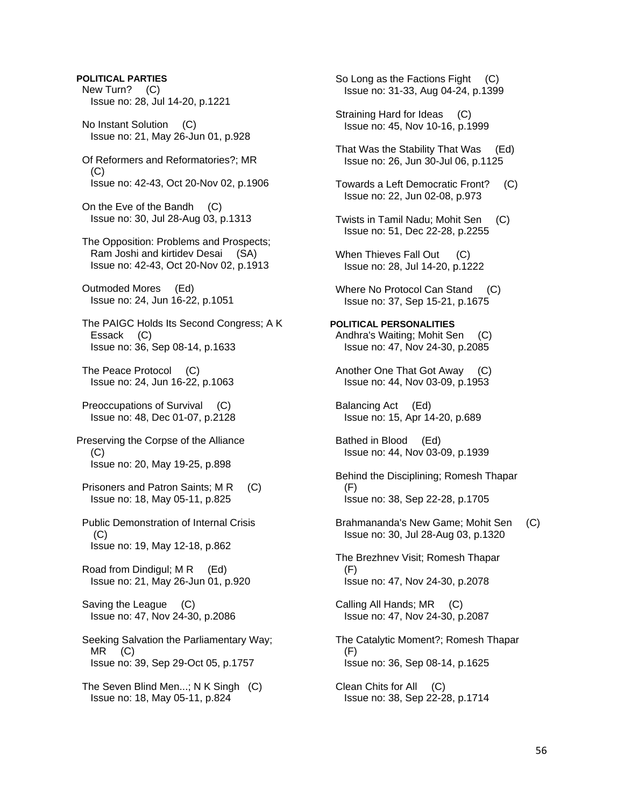### **POLITICAL PARTIES**

 New Turn? (C) Issue no: 28, Jul 14-20, p.1221

 No Instant Solution (C) Issue no: 21, May 26-Jun 01, p.928

 Of Reformers and Reformatories?; MR (C) Issue no: 42-43, Oct 20-Nov 02, p.1906

 On the Eve of the Bandh (C) Issue no: 30, Jul 28-Aug 03, p.1313

 The Opposition: Problems and Prospects; Ram Joshi and kirtidev Desai (SA) Issue no: 42-43, Oct 20-Nov 02, p.1913

 Outmoded Mores (Ed) Issue no: 24, Jun 16-22, p.1051

 The PAIGC Holds Its Second Congress; A K Essack (C) Issue no: 36, Sep 08-14, p.1633

 The Peace Protocol (C) Issue no: 24, Jun 16-22, p.1063

 Preoccupations of Survival (C) Issue no: 48, Dec 01-07, p.2128

Preserving the Corpse of the Alliance (C) Issue no: 20, May 19-25, p.898

Prisoners and Patron Saints; M R (C) Issue no: 18, May 05-11, p.825

 Public Demonstration of Internal Crisis (C) Issue no: 19, May 12-18, p.862

 Road from Dindigul; M R (Ed) Issue no: 21, May 26-Jun 01, p.920

 Saving the League (C) Issue no: 47, Nov 24-30, p.2086

 Seeking Salvation the Parliamentary Way; MR (C) Issue no: 39, Sep 29-Oct 05, p.1757

 The Seven Blind Men...; N K Singh (C) Issue no: 18, May 05-11, p.824

So Long as the Factions Fight (C) Issue no: 31-33, Aug 04-24, p.1399

 Straining Hard for Ideas (C) Issue no: 45, Nov 10-16, p.1999

 That Was the Stability That Was (Ed) Issue no: 26, Jun 30-Jul 06, p.1125

 Towards a Left Democratic Front? (C) Issue no: 22, Jun 02-08, p.973

 Twists in Tamil Nadu; Mohit Sen (C) Issue no: 51, Dec 22-28, p.2255

When Thieves Fall Out (C) Issue no: 28, Jul 14-20, p.1222

Where No Protocol Can Stand (C) Issue no: 37, Sep 15-21, p.1675

**POLITICAL PERSONALITIES**  Andhra's Waiting; Mohit Sen (C) Issue no: 47, Nov 24-30, p.2085

 Another One That Got Away (C) Issue no: 44, Nov 03-09, p.1953

 Balancing Act (Ed) Issue no: 15, Apr 14-20, p.689

 Bathed in Blood (Ed) Issue no: 44, Nov 03-09, p.1939

 Behind the Disciplining; Romesh Thapar (F) Issue no: 38, Sep 22-28, p.1705

 Brahmananda's New Game; Mohit Sen (C) Issue no: 30, Jul 28-Aug 03, p.1320

 The Brezhnev Visit; Romesh Thapar (F) Issue no: 47, Nov 24-30, p.2078

 Calling All Hands; MR (C) Issue no: 47, Nov 24-30, p.2087

 The Catalytic Moment?; Romesh Thapar (F) Issue no: 36, Sep 08-14, p.1625

 Clean Chits for All (C) Issue no: 38, Sep 22-28, p.1714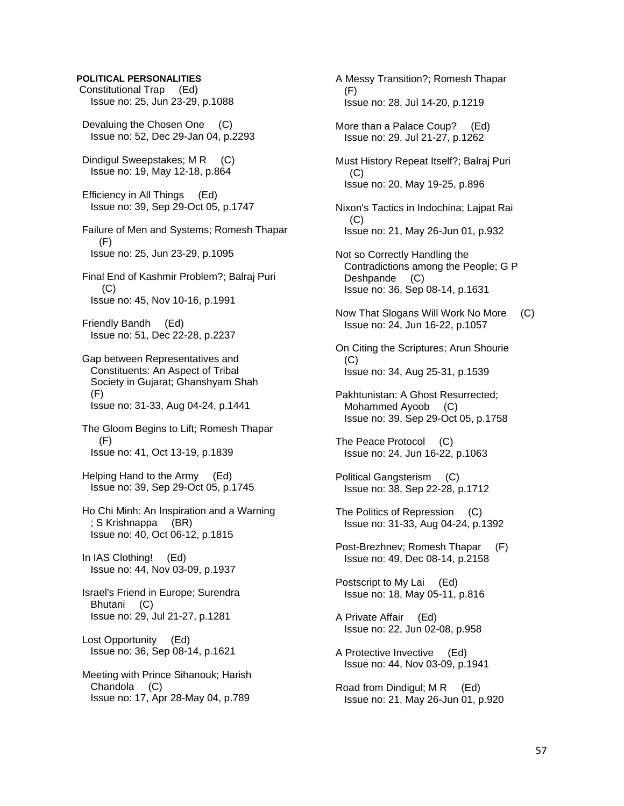### **POLITICAL PERSONALITIES**

- Constitutional Trap (Ed) Issue no: 25, Jun 23-29, p.1088
- Devaluing the Chosen One (C) Issue no: 52, Dec 29-Jan 04, p.2293
- Dindigul Sweepstakes; M R (C) Issue no: 19, May 12-18, p.864
- Efficiency in All Things (Ed) Issue no: 39, Sep 29-Oct 05, p.1747
- Failure of Men and Systems; Romesh Thapar (F) Issue no: 25, Jun 23-29, p.1095
- Final End of Kashmir Problem?; Balraj Puri (C) Issue no: 45, Nov 10-16, p.1991
- Friendly Bandh (Ed) Issue no: 51, Dec 22-28, p.2237
- Gap between Representatives and Constituents: An Aspect of Tribal Society in Gujarat; Ghanshyam Shah (F) Issue no: 31-33, Aug 04-24, p.1441
- The Gloom Begins to Lift; Romesh Thapar (F) Issue no: 41, Oct 13-19, p.1839
- Helping Hand to the Army (Ed) Issue no: 39, Sep 29-Oct 05, p.1745
- Ho Chi Minh: An Inspiration and a Warning ; S Krishnappa (BR) Issue no: 40, Oct 06-12, p.1815
- In IAS Clothing! (Ed) Issue no: 44, Nov 03-09, p.1937
- Israel's Friend in Europe; Surendra Bhutani (C) Issue no: 29, Jul 21-27, p.1281
- Lost Opportunity (Ed) Issue no: 36, Sep 08-14, p.1621
- Meeting with Prince Sihanouk; Harish Chandola (C) Issue no: 17, Apr 28-May 04, p.789
- A Messy Transition?; Romesh Thapar (F) Issue no: 28, Jul 14-20, p.1219
- More than a Palace Coup? (Ed) Issue no: 29, Jul 21-27, p.1262
- Must History Repeat Itself?; Balraj Puri (C) Issue no: 20, May 19-25, p.896
- Nixon's Tactics in Indochina; Lajpat Rai  $(C)$ Issue no: 21, May 26-Jun 01, p.932
- Not so Correctly Handling the Contradictions among the People; G P Deshpande (C) Issue no: 36, Sep 08-14, p.1631
- Now That Slogans Will Work No More (C) Issue no: 24, Jun 16-22, p.1057
- On Citing the Scriptures; Arun Shourie  $(C)$ Issue no: 34, Aug 25-31, p.1539
- Pakhtunistan: A Ghost Resurrected; Mohammed Ayoob (C) Issue no: 39, Sep 29-Oct 05, p.1758
- The Peace Protocol (C) Issue no: 24, Jun 16-22, p.1063
- Political Gangsterism (C) Issue no: 38, Sep 22-28, p.1712
- The Politics of Repression (C) Issue no: 31-33, Aug 04-24, p.1392
- Post-Brezhnev; Romesh Thapar (F) Issue no: 49, Dec 08-14, p.2158
- Postscript to My Lai (Ed) Issue no: 18, May 05-11, p.816
- A Private Affair (Ed) Issue no: 22, Jun 02-08, p.958
- A Protective Invective (Ed) Issue no: 44, Nov 03-09, p.1941
- Road from Dindigul; M R (Ed) Issue no: 21, May 26-Jun 01, p.920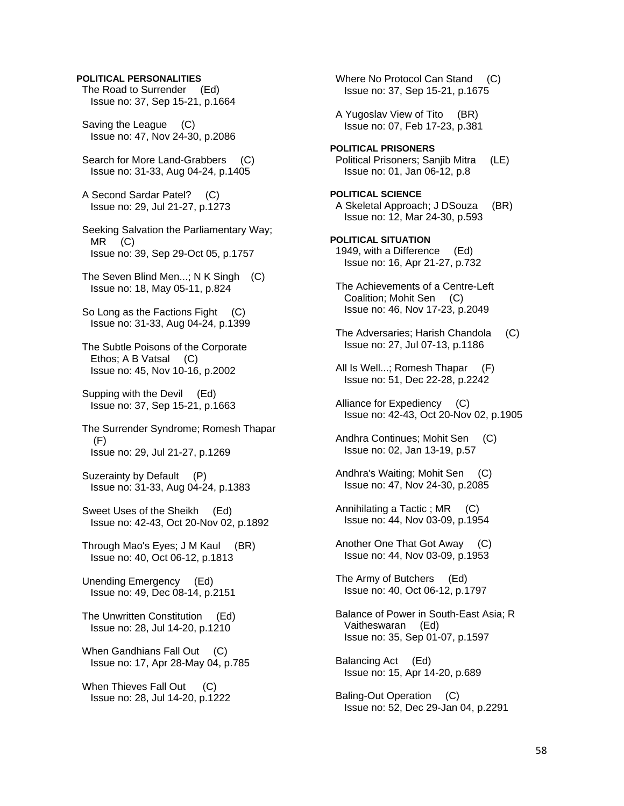### **POLITICAL PERSONALITIES**

 The Road to Surrender (Ed) Issue no: 37, Sep 15-21, p.1664

 Saving the League (C) Issue no: 47, Nov 24-30, p.2086

 Search for More Land-Grabbers (C) Issue no: 31-33, Aug 04-24, p.1405

 A Second Sardar Patel? (C) Issue no: 29, Jul 21-27, p.1273

 Seeking Salvation the Parliamentary Way; MR (C) Issue no: 39, Sep 29-Oct 05, p.1757

 The Seven Blind Men...; N K Singh (C) Issue no: 18, May 05-11, p.824

So Long as the Factions Fight (C) Issue no: 31-33, Aug 04-24, p.1399

 The Subtle Poisons of the Corporate Ethos; A B Vatsal (C) Issue no: 45, Nov 10-16, p.2002

 Supping with the Devil (Ed) Issue no: 37, Sep 15-21, p.1663

 The Surrender Syndrome; Romesh Thapar (F) Issue no: 29, Jul 21-27, p.1269

 Suzerainty by Default (P) Issue no: 31-33, Aug 04-24, p.1383

 Sweet Uses of the Sheikh (Ed) Issue no: 42-43, Oct 20-Nov 02, p.1892

 Through Mao's Eyes; J M Kaul (BR) Issue no: 40, Oct 06-12, p.1813

 Unending Emergency (Ed) Issue no: 49, Dec 08-14, p.2151

 The Unwritten Constitution (Ed) Issue no: 28, Jul 14-20, p.1210

When Gandhians Fall Out (C) Issue no: 17, Apr 28-May 04, p.785

When Thieves Fall Out (C) Issue no: 28, Jul 14-20, p.1222

Where No Protocol Can Stand (C) Issue no: 37, Sep 15-21, p.1675 A Yugoslav View of Tito (BR) Issue no: 07, Feb 17-23, p.381 **POLITICAL PRISONERS**  Political Prisoners; Sanjib Mitra (LE) Issue no: 01, Jan 06-12, p.8 **POLITICAL SCIENCE**  A Skeletal Approach; J DSouza (BR) Issue no: 12, Mar 24-30, p.593 **POLITICAL SITUATION**  1949, with a Difference (Ed) Issue no: 16, Apr 21-27, p.732 The Achievements of a Centre-Left Coalition; Mohit Sen (C) Issue no: 46, Nov 17-23, p.2049 The Adversaries: Harish Chandola (C) Issue no: 27, Jul 07-13, p.1186 All Is Well...; Romesh Thapar (F) Issue no: 51, Dec 22-28, p.2242 Alliance for Expediency (C) Issue no: 42-43, Oct 20-Nov 02, p.1905

Andhra Continues; Mohit Sen (C) Issue no: 02, Jan 13-19, p.57

 Andhra's Waiting; Mohit Sen (C) Issue no: 47, Nov 24-30, p.2085

 Annihilating a Tactic ; MR (C) Issue no: 44, Nov 03-09, p.1954

 Another One That Got Away (C) Issue no: 44, Nov 03-09, p.1953

 The Army of Butchers (Ed) Issue no: 40, Oct 06-12, p.1797

 Balance of Power in South-East Asia; R Vaitheswaran (Ed) Issue no: 35, Sep 01-07, p.1597

 Balancing Act (Ed) Issue no: 15, Apr 14-20, p.689

 Baling-Out Operation (C) Issue no: 52, Dec 29-Jan 04, p.2291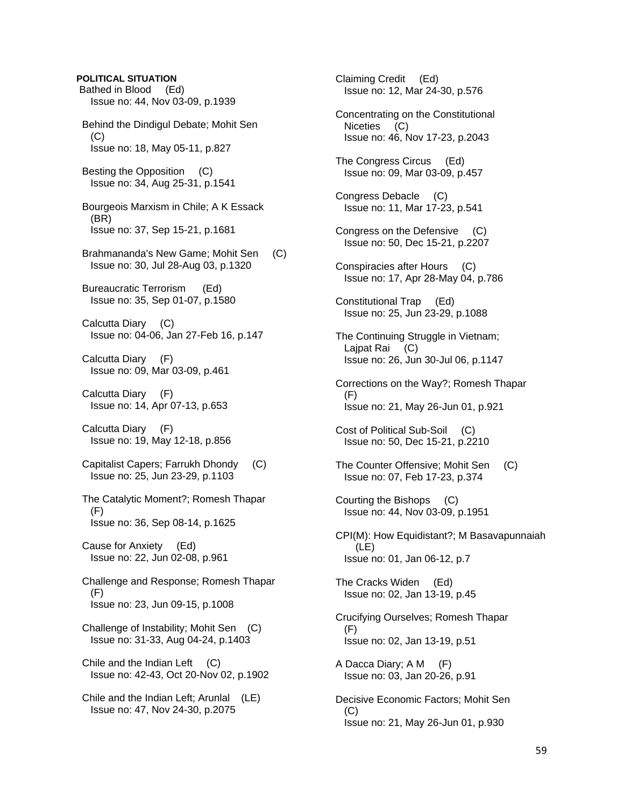# **POLITICAL SITUATION**  Bathed in Blood (Ed) Issue no: 44, Nov 03-09, p.1939 Behind the Dindigul Debate; Mohit Sen  $(C)$  Issue no: 18, May 05-11, p.827 Besting the Opposition (C) Issue no: 34, Aug 25-31, p.1541 Bourgeois Marxism in Chile; A K Essack (BR) Issue no: 37, Sep 15-21, p.1681 Brahmananda's New Game; Mohit Sen (C) Issue no: 30, Jul 28-Aug 03, p.1320 Bureaucratic Terrorism (Ed) Issue no: 35, Sep 01-07, p.1580 Calcutta Diary (C) Issue no: 04-06, Jan 27-Feb 16, p.147 Calcutta Diary (F) Issue no: 09, Mar 03-09, p.461 Calcutta Diary (F) Issue no: 14, Apr 07-13, p.653 Calcutta Diary (F) Issue no: 19, May 12-18, p.856 Capitalist Capers; Farrukh Dhondy (C) Issue no: 25, Jun 23-29, p.1103 The Catalytic Moment?; Romesh Thapar (F) Issue no: 36, Sep 08-14, p.1625 Cause for Anxiety (Ed) Issue no: 22, Jun 02-08, p.961 Challenge and Response; Romesh Thapar (F) Issue no: 23, Jun 09-15, p.1008 Challenge of Instability; Mohit Sen (C) Issue no: 31-33, Aug 04-24, p.1403 Chile and the Indian Left (C) Issue no: 42-43, Oct 20-Nov 02, p.1902 Chile and the Indian Left; Arunlal (LE) Issue no: 47, Nov 24-30, p.2075

 Claiming Credit (Ed) Issue no: 12, Mar 24-30, p.576 Concentrating on the Constitutional Niceties (C) Issue no: 46, Nov 17-23, p.2043 The Congress Circus (Ed) Issue no: 09, Mar 03-09, p.457 Congress Debacle (C) Issue no: 11, Mar 17-23, p.541 Congress on the Defensive (C) Issue no: 50, Dec 15-21, p.2207 Conspiracies after Hours (C) Issue no: 17, Apr 28-May 04, p.786 Constitutional Trap (Ed) Issue no: 25, Jun 23-29, p.1088 The Continuing Struggle in Vietnam; Lajpat Rai (C) Issue no: 26, Jun 30-Jul 06, p.1147 Corrections on the Way?; Romesh Thapar (F) Issue no: 21, May 26-Jun 01, p.921 Cost of Political Sub-Soil (C) Issue no: 50, Dec 15-21, p.2210 The Counter Offensive; Mohit Sen (C) Issue no: 07, Feb 17-23, p.374 Courting the Bishops (C) Issue no: 44, Nov 03-09, p.1951 CPI(M): How Equidistant?; M Basavapunnaiah (LE) Issue no: 01, Jan 06-12, p.7 The Cracks Widen (Ed) Issue no: 02, Jan 13-19, p.45 Crucifying Ourselves; Romesh Thapar (F) Issue no: 02, Jan 13-19, p.51 A Dacca Diary; A M (F) Issue no: 03, Jan 20-26, p.91 Decisive Economic Factors; Mohit Sen (C) Issue no: 21, May 26-Jun 01, p.930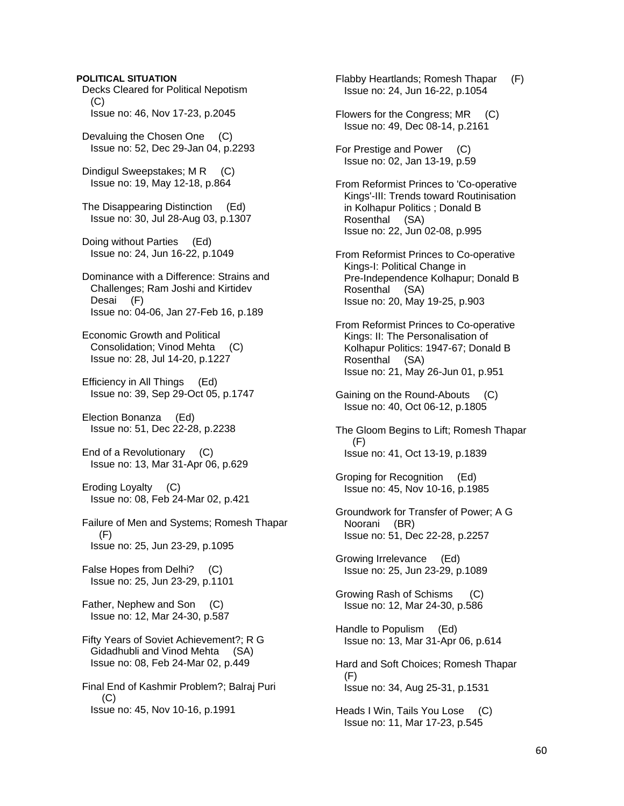### **POLITICAL SITUATION**

 Decks Cleared for Political Nepotism  $(C)$ Issue no: 46, Nov 17-23, p.2045

 Devaluing the Chosen One (C) Issue no: 52, Dec 29-Jan 04, p.2293

Dindigul Sweepstakes; M R (C) Issue no: 19, May 12-18, p.864

 The Disappearing Distinction (Ed) Issue no: 30, Jul 28-Aug 03, p.1307

 Doing without Parties (Ed) Issue no: 24, Jun 16-22, p.1049

 Dominance with a Difference: Strains and Challenges; Ram Joshi and Kirtidev Desai (F) Issue no: 04-06, Jan 27-Feb 16, p.189

 Economic Growth and Political Consolidation; Vinod Mehta (C) Issue no: 28, Jul 14-20, p.1227

 Efficiency in All Things (Ed) Issue no: 39, Sep 29-Oct 05, p.1747

 Election Bonanza (Ed) Issue no: 51, Dec 22-28, p.2238

 End of a Revolutionary (C) Issue no: 13, Mar 31-Apr 06, p.629

 Eroding Loyalty (C) Issue no: 08, Feb 24-Mar 02, p.421

 Failure of Men and Systems; Romesh Thapar (F) Issue no: 25, Jun 23-29, p.1095

 False Hopes from Delhi? (C) Issue no: 25, Jun 23-29, p.1101

 Father, Nephew and Son (C) Issue no: 12, Mar 24-30, p.587

 Fifty Years of Soviet Achievement?; R G Gidadhubli and Vinod Mehta (SA) Issue no: 08, Feb 24-Mar 02, p.449

 Final End of Kashmir Problem?; Balraj Puri  $(C)$ Issue no: 45, Nov 10-16, p.1991

 Flabby Heartlands; Romesh Thapar (F) Issue no: 24, Jun 16-22, p.1054 Flowers for the Congress; MR (C) Issue no: 49, Dec 08-14, p.2161

 For Prestige and Power (C) Issue no: 02, Jan 13-19, p.59

 From Reformist Princes to 'Co-operative Kings'-III: Trends toward Routinisation in Kolhapur Politics ; Donald B Rosenthal (SA) Issue no: 22, Jun 02-08, p.995

 From Reformist Princes to Co-operative Kings-I: Political Change in Pre-Independence Kolhapur; Donald B Rosenthal (SA) Issue no: 20, May 19-25, p.903

 From Reformist Princes to Co-operative Kings: II: The Personalisation of Kolhapur Politics: 1947-67; Donald B Rosenthal (SA) Issue no: 21, May 26-Jun 01, p.951

 Gaining on the Round-Abouts (C) Issue no: 40, Oct 06-12, p.1805

 The Gloom Begins to Lift; Romesh Thapar (F) Issue no: 41, Oct 13-19, p.1839

 Groping for Recognition (Ed) Issue no: 45, Nov 10-16, p.1985

 Groundwork for Transfer of Power; A G Noorani (BR) Issue no: 51, Dec 22-28, p.2257

 Growing Irrelevance (Ed) Issue no: 25, Jun 23-29, p.1089

 Growing Rash of Schisms (C) Issue no: 12, Mar 24-30, p.586

 Handle to Populism (Ed) Issue no: 13, Mar 31-Apr 06, p.614

 Hard and Soft Choices; Romesh Thapar (F) Issue no: 34, Aug 25-31, p.1531

 Heads I Win, Tails You Lose (C) Issue no: 11, Mar 17-23, p.545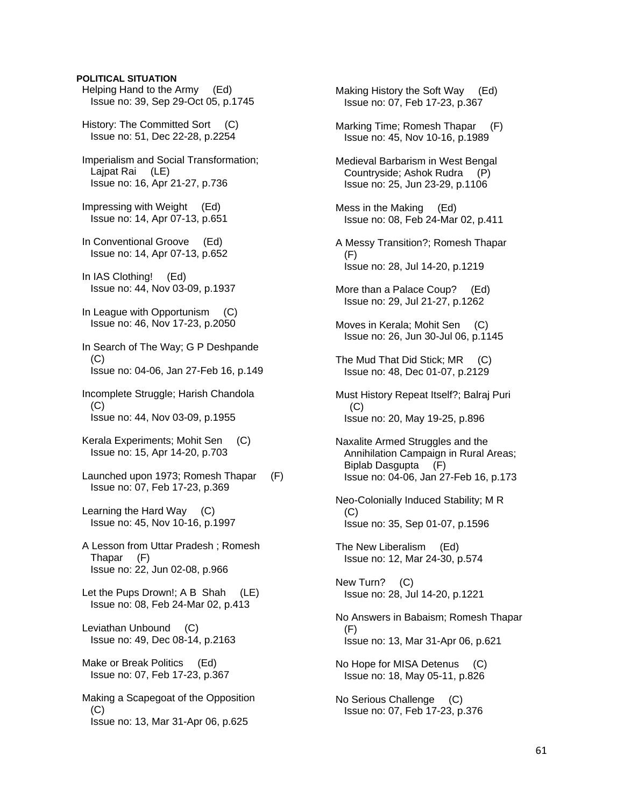# Helping Hand to the Army (Ed) Issue no: 39, Sep 29-Oct 05, p.1745 History: The Committed Sort (C) Issue no: 51, Dec 22-28, p.2254 Imperialism and Social Transformation; Lajpat Rai (LE) Issue no: 16, Apr 21-27, p.736 Impressing with Weight (Ed) Issue no: 14, Apr 07-13, p.651 In Conventional Groove (Ed) Issue no: 14, Apr 07-13, p.652 In IAS Clothing! (Ed) Issue no: 44, Nov 03-09, p.1937 In League with Opportunism (C) Issue no: 46, Nov 17-23, p.2050

**POLITICAL SITUATION** 

 In Search of The Way; G P Deshpande (C) Issue no: 04-06, Jan 27-Feb 16, p.149

- Incomplete Struggle; Harish Chandola  $(C)$ Issue no: 44, Nov 03-09, p.1955
- Kerala Experiments; Mohit Sen (C) Issue no: 15, Apr 14-20, p.703
- Launched upon 1973; Romesh Thapar (F) Issue no: 07, Feb 17-23, p.369
- Learning the Hard Way (C) Issue no: 45, Nov 10-16, p.1997
- A Lesson from Uttar Pradesh ; Romesh Thapar (F) Issue no: 22, Jun 02-08, p.966
- Let the Pups Drown!; A B Shah (LE) Issue no: 08, Feb 24-Mar 02, p.413
- Leviathan Unbound (C) Issue no: 49, Dec 08-14, p.2163
- Make or Break Politics (Ed) Issue no: 07, Feb 17-23, p.367

 Making a Scapegoat of the Opposition (C) Issue no: 13, Mar 31-Apr 06, p.625

 Making History the Soft Way (Ed) Issue no: 07, Feb 17-23, p.367

- Marking Time; Romesh Thapar (F) Issue no: 45, Nov 10-16, p.1989
- Medieval Barbarism in West Bengal Countryside; Ashok Rudra (P) Issue no: 25, Jun 23-29, p.1106
- Mess in the Making (Ed) Issue no: 08, Feb 24-Mar 02, p.411
- A Messy Transition?; Romesh Thapar (F) Issue no: 28, Jul 14-20, p.1219
- More than a Palace Coup? (Ed) Issue no: 29, Jul 21-27, p.1262
- Moves in Kerala; Mohit Sen (C) Issue no: 26, Jun 30-Jul 06, p.1145
- The Mud That Did Stick; MR (C) Issue no: 48, Dec 01-07, p.2129
- Must History Repeat Itself?; Balraj Puri  $(C)$ Issue no: 20, May 19-25, p.896
- Naxalite Armed Struggles and the Annihilation Campaign in Rural Areas; Biplab Dasgupta (F) Issue no: 04-06, Jan 27-Feb 16, p.173
- Neo-Colonially Induced Stability; M R (C) Issue no: 35, Sep 01-07, p.1596
- The New Liberalism (Ed) Issue no: 12, Mar 24-30, p.574

 New Turn? (C) Issue no: 28, Jul 14-20, p.1221

- No Answers in Babaism; Romesh Thapar (F) Issue no: 13, Mar 31-Apr 06, p.621
- No Hope for MISA Detenus (C) Issue no: 18, May 05-11, p.826
- No Serious Challenge (C) Issue no: 07, Feb 17-23, p.376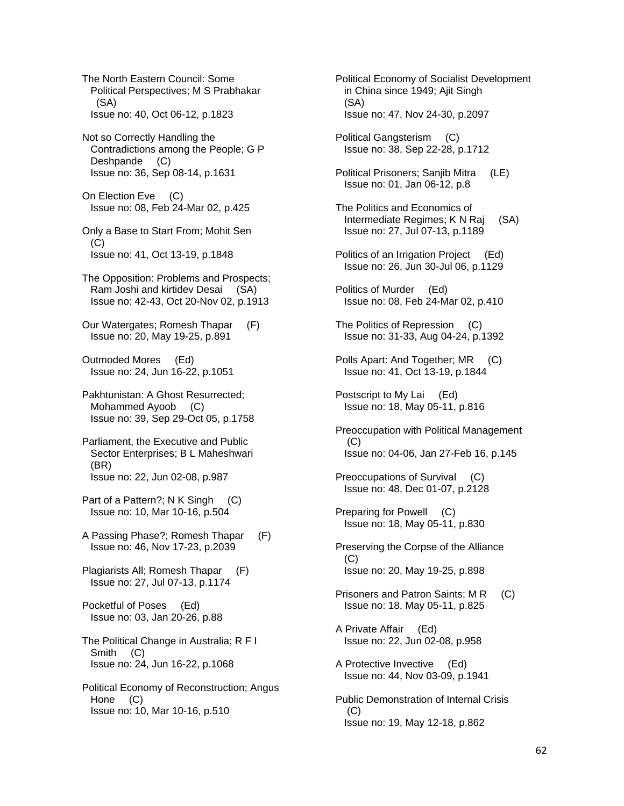The North Eastern Council: Some Political Perspectives; M S Prabhakar (SA) Issue no: 40, Oct 06-12, p.1823

 Not so Correctly Handling the Contradictions among the People; G P Deshpande (C) Issue no: 36, Sep 08-14, p.1631

 On Election Eve (C) Issue no: 08, Feb 24-Mar 02, p.425

 Only a Base to Start From; Mohit Sen  $(C)$ Issue no: 41, Oct 13-19, p.1848

 The Opposition: Problems and Prospects; Ram Joshi and kirtidev Desai (SA) Issue no: 42-43, Oct 20-Nov 02, p.1913

 Our Watergates; Romesh Thapar (F) Issue no: 20, May 19-25, p.891

 Outmoded Mores (Ed) Issue no: 24, Jun 16-22, p.1051

 Pakhtunistan: A Ghost Resurrected; Mohammed Ayoob (C) Issue no: 39, Sep 29-Oct 05, p.1758

- Parliament, the Executive and Public Sector Enterprises; B L Maheshwari (BR) Issue no: 22, Jun 02-08, p.987
- Part of a Pattern?; N K Singh (C) Issue no: 10, Mar 10-16, p.504

 A Passing Phase?; Romesh Thapar (F) Issue no: 46, Nov 17-23, p.2039

 Plagiarists All; Romesh Thapar (F) Issue no: 27, Jul 07-13, p.1174

 Pocketful of Poses (Ed) Issue no: 03, Jan 20-26, p.88

 The Political Change in Australia; R F I Smith (C) Issue no: 24, Jun 16-22, p.1068

 Political Economy of Reconstruction; Angus Hone (C) Issue no: 10, Mar 10-16, p.510

 Political Economy of Socialist Development in China since 1949; Ajit Singh (SA) Issue no: 47, Nov 24-30, p.2097

 Political Gangsterism (C) Issue no: 38, Sep 22-28, p.1712

 Political Prisoners; Sanjib Mitra (LE) Issue no: 01, Jan 06-12, p.8

- The Politics and Economics of Intermediate Regimes; K N Raj (SA) Issue no: 27, Jul 07-13, p.1189
- Politics of an Irrigation Project (Ed) Issue no: 26, Jun 30-Jul 06, p.1129
- Politics of Murder (Ed) Issue no: 08, Feb 24-Mar 02, p.410
- The Politics of Repression (C) Issue no: 31-33, Aug 04-24, p.1392
- Polls Apart: And Together; MR (C) Issue no: 41, Oct 13-19, p.1844

 Postscript to My Lai (Ed) Issue no: 18, May 05-11, p.816

 Preoccupation with Political Management (C) Issue no: 04-06, Jan 27-Feb 16, p.145

 Preoccupations of Survival (C) Issue no: 48, Dec 01-07, p.2128

 Preparing for Powell (C) Issue no: 18, May 05-11, p.830

- Preserving the Corpse of the Alliance (C) Issue no: 20, May 19-25, p.898
- Prisoners and Patron Saints; M R (C) Issue no: 18, May 05-11, p.825
- A Private Affair (Ed) Issue no: 22, Jun 02-08, p.958
- A Protective Invective (Ed) Issue no: 44, Nov 03-09, p.1941
- Public Demonstration of Internal Crisis  $(C)$ Issue no: 19, May 12-18, p.862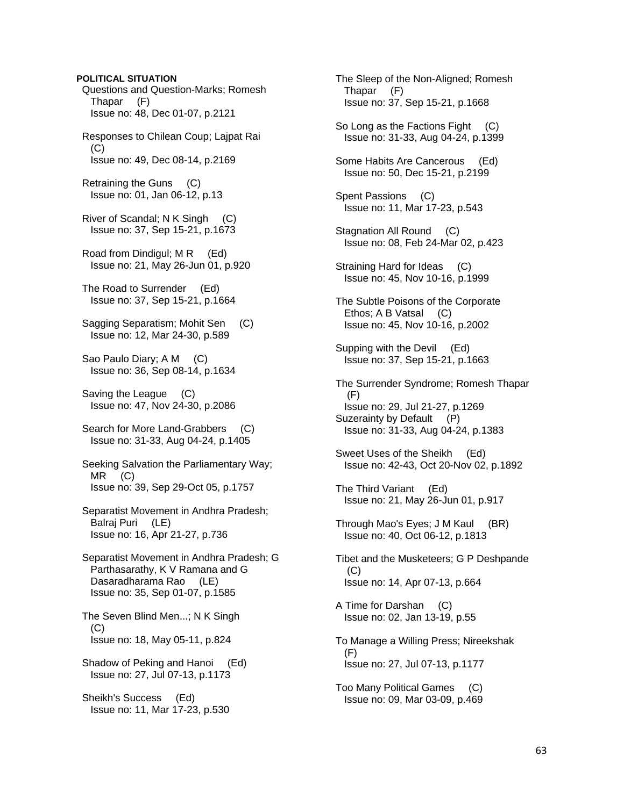**POLITICAL SITUATION**  Questions and Question-Marks; Romesh Thapar (F) Issue no: 48, Dec 01-07, p.2121 Responses to Chilean Coup; Lajpat Rai (C) Issue no: 49, Dec 08-14, p.2169 Retraining the Guns (C) Issue no: 01, Jan 06-12, p.13 River of Scandal; N K Singh (C) Issue no: 37, Sep 15-21, p.1673 Road from Dindigul; M R (Ed) Issue no: 21, May 26-Jun 01, p.920 The Road to Surrender (Ed) Issue no: 37, Sep 15-21, p.1664 Sagging Separatism; Mohit Sen (C) Issue no: 12, Mar 24-30, p.589 Sao Paulo Diary; A M (C) Issue no: 36, Sep 08-14, p.1634 Saving the League (C) Issue no: 47, Nov 24-30, p.2086 Search for More Land-Grabbers (C) Issue no: 31-33, Aug 04-24, p.1405 Seeking Salvation the Parliamentary Way; MR (C) Issue no: 39, Sep 29-Oct 05, p.1757 Separatist Movement in Andhra Pradesh; Balraj Puri (LE) Issue no: 16, Apr 21-27, p.736 Separatist Movement in Andhra Pradesh; G Parthasarathy, K V Ramana and G Dasaradharama Rao (LE) Issue no: 35, Sep 01-07, p.1585 The Seven Blind Men...; N K Singh  $(C)$  Issue no: 18, May 05-11, p.824 Shadow of Peking and Hanoi (Ed) Issue no: 27, Jul 07-13, p.1173 Sheikh's Success (Ed) Issue no: 11, Mar 17-23, p.530

 The Sleep of the Non-Aligned; Romesh Thapar (F) Issue no: 37, Sep 15-21, p.1668 So Long as the Factions Fight (C) Issue no: 31-33, Aug 04-24, p.1399 Some Habits Are Cancerous (Ed) Issue no: 50, Dec 15-21, p.2199 Spent Passions (C) Issue no: 11, Mar 17-23, p.543 Stagnation All Round (C) Issue no: 08, Feb 24-Mar 02, p.423 Straining Hard for Ideas (C) Issue no: 45, Nov 10-16, p.1999 The Subtle Poisons of the Corporate Ethos; A B Vatsal (C) Issue no: 45, Nov 10-16, p.2002 Supping with the Devil (Ed) Issue no: 37, Sep 15-21, p.1663 The Surrender Syndrome; Romesh Thapar (F) Issue no: 29, Jul 21-27, p.1269 Suzerainty by Default (P) Issue no: 31-33, Aug 04-24, p.1383 Sweet Uses of the Sheikh (Ed) Issue no: 42-43, Oct 20-Nov 02, p.1892 The Third Variant (Ed) Issue no: 21, May 26-Jun 01, p.917 Through Mao's Eyes; J M Kaul (BR) Issue no: 40, Oct 06-12, p.1813 Tibet and the Musketeers; G P Deshpande (C) Issue no: 14, Apr 07-13, p.664 A Time for Darshan (C) Issue no: 02, Jan 13-19, p.55 To Manage a Willing Press; Nireekshak (F) Issue no: 27, Jul 07-13, p.1177 Too Many Political Games (C) Issue no: 09, Mar 03-09, p.469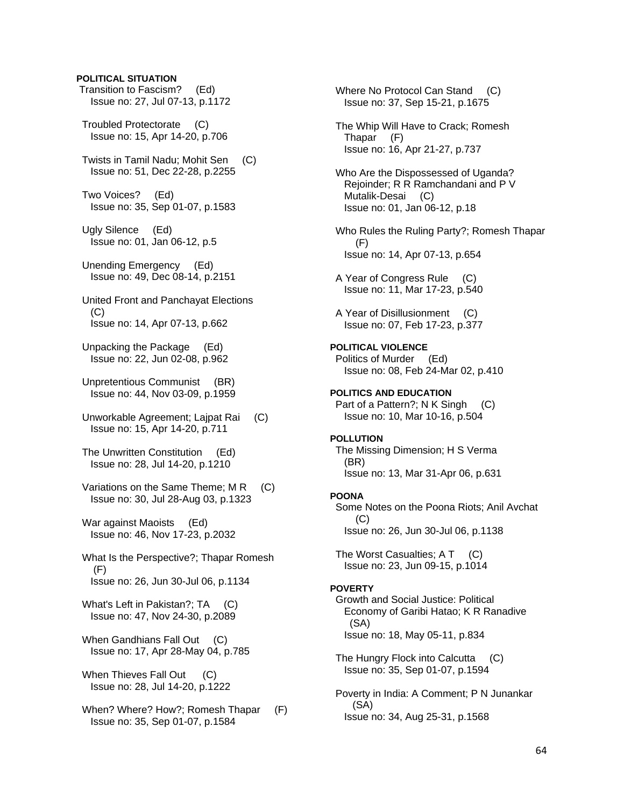### **POLITICAL SITUATION**

- Transition to Fascism? (Ed) Issue no: 27, Jul 07-13, p.1172
- Troubled Protectorate (C) Issue no: 15, Apr 14-20, p.706
- Twists in Tamil Nadu; Mohit Sen (C) Issue no: 51, Dec 22-28, p.2255
- Two Voices? (Ed) Issue no: 35, Sep 01-07, p.1583
- Ugly Silence (Ed) Issue no: 01, Jan 06-12, p.5
- Unending Emergency (Ed) Issue no: 49, Dec 08-14, p.2151
- United Front and Panchayat Elections  $(C)$ Issue no: 14, Apr 07-13, p.662
- Unpacking the Package (Ed) Issue no: 22, Jun 02-08, p.962
- Unpretentious Communist (BR) Issue no: 44, Nov 03-09, p.1959
- Unworkable Agreement; Lajpat Rai (C) Issue no: 15, Apr 14-20, p.711
- The Unwritten Constitution (Ed) Issue no: 28, Jul 14-20, p.1210
- Variations on the Same Theme; M R (C) Issue no: 30, Jul 28-Aug 03, p.1323
- War against Maoists (Ed) Issue no: 46, Nov 17-23, p.2032
- What Is the Perspective?; Thapar Romesh (F) Issue no: 26, Jun 30-Jul 06, p.1134
- What's Left in Pakistan?; TA (C) Issue no: 47, Nov 24-30, p.2089
- When Gandhians Fall Out (C) Issue no: 17, Apr 28-May 04, p.785
- When Thieves Fall Out (C) Issue no: 28, Jul 14-20, p.1222
- When? Where? How?; Romesh Thapar (F) Issue no: 35, Sep 01-07, p.1584

Where No Protocol Can Stand (C) Issue no: 37, Sep 15-21, p.1675

- The Whip Will Have to Crack; Romesh Thapar (F) Issue no: 16, Apr 21-27, p.737
- Who Are the Dispossessed of Uganda? Rejoinder; R R Ramchandani and P V Mutalik-Desai (C) Issue no: 01, Jan 06-12, p.18
- Who Rules the Ruling Party?; Romesh Thapar (F) Issue no: 14, Apr 07-13, p.654
- A Year of Congress Rule (C) Issue no: 11, Mar 17-23, p.540
- A Year of Disillusionment (C) Issue no: 07, Feb 17-23, p.377
- **POLITICAL VIOLENCE**  Politics of Murder (Ed) Issue no: 08, Feb 24-Mar 02, p.410
- **POLITICS AND EDUCATION**  Part of a Pattern?; N K Singh (C) Issue no: 10, Mar 10-16, p.504

### **POLLUTION**

 The Missing Dimension; H S Verma (BR) Issue no: 13, Mar 31-Apr 06, p.631

#### **POONA**

 Some Notes on the Poona Riots; Anil Avchat  $(C)$ Issue no: 26, Jun 30-Jul 06, p.1138

The Worst Casualties; A T (C) Issue no: 23, Jun 09-15, p.1014

### **POVERTY**

 Growth and Social Justice: Political Economy of Garibi Hatao; K R Ranadive (SA) Issue no: 18, May 05-11, p.834

 The Hungry Flock into Calcutta (C) Issue no: 35, Sep 01-07, p.1594

 Poverty in India: A Comment; P N Junankar (SA) Issue no: 34, Aug 25-31, p.1568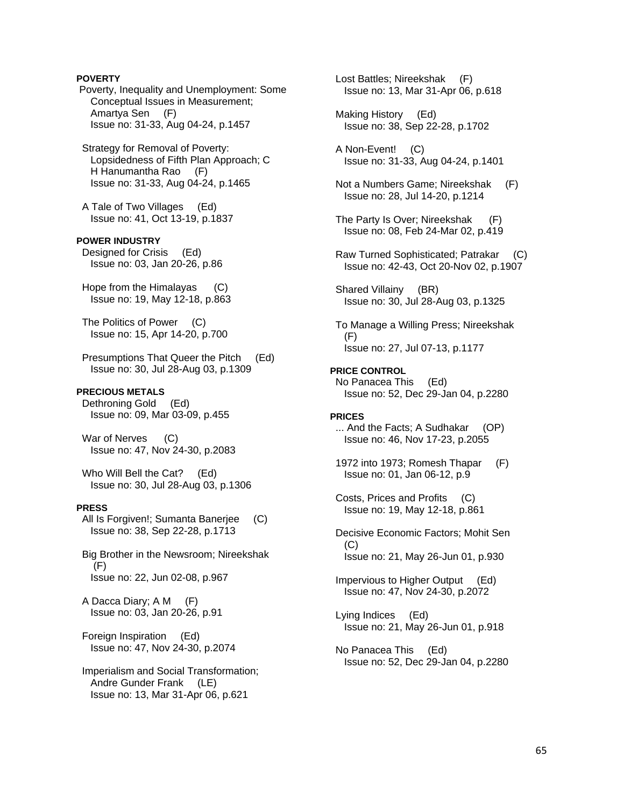**POVERTY** Poverty, Inequality and Unemployment: Some Conceptual Issues in Measurement; Amartya Sen (F) Issue no: 31-33, Aug 04-24, p.1457 Strategy for Removal of Poverty: Lopsidedness of Fifth Plan Approach; C H Hanumantha Rao (F) Issue no: 31-33, Aug 04-24, p.1465 A Tale of Two Villages (Ed) Issue no: 41, Oct 13-19, p.1837 **POWER INDUSTRY**  Designed for Crisis (Ed) Issue no: 03, Jan 20-26, p.86 Hope from the Himalayas (C) Issue no: 19, May 12-18, p.863 The Politics of Power (C) Issue no: 15, Apr 14-20, p.700 Presumptions That Queer the Pitch (Ed) Issue no: 30, Jul 28-Aug 03, p.1309 **PRECIOUS METALS**  Dethroning Gold (Ed) Issue no: 09, Mar 03-09, p.455 War of Nerves (C) Issue no: 47, Nov 24-30, p.2083 Who Will Bell the Cat? (Ed) Issue no: 30, Jul 28-Aug 03, p.1306 **PRESS**  All Is Forgiven!; Sumanta Banerjee (C) Issue no: 38, Sep 22-28, p.1713 Big Brother in the Newsroom; Nireekshak (F) Issue no: 22, Jun 02-08, p.967 A Dacca Diary; A M (F) Issue no: 03, Jan 20-26, p.91 Foreign Inspiration (Ed) Issue no: 47, Nov 24-30, p.2074 Imperialism and Social Transformation; Andre Gunder Frank (LE) Issue no: 13, Mar 31-Apr 06, p.621

 Lost Battles; Nireekshak (F) Issue no: 13, Mar 31-Apr 06, p.618 Making History (Ed) Issue no: 38, Sep 22-28, p.1702 A Non-Event! (C) Issue no: 31-33, Aug 04-24, p.1401 Not a Numbers Game; Nireekshak (F) Issue no: 28, Jul 14-20, p.1214 The Party Is Over; Nireekshak (F) Issue no: 08, Feb 24-Mar 02, p.419 Raw Turned Sophisticated; Patrakar (C) Issue no: 42-43, Oct 20-Nov 02, p.1907 Shared Villainy (BR) Issue no: 30, Jul 28-Aug 03, p.1325 To Manage a Willing Press; Nireekshak (F) Issue no: 27, Jul 07-13, p.1177 **PRICE CONTROL**  No Panacea This (Ed) Issue no: 52, Dec 29-Jan 04, p.2280 **PRICES**  ... And the Facts; A Sudhakar (OP) Issue no: 46, Nov 17-23, p.2055 1972 into 1973; Romesh Thapar (F) Issue no: 01, Jan 06-12, p.9 Costs, Prices and Profits (C) Issue no: 19, May 12-18, p.861 Decisive Economic Factors; Mohit Sen (C) Issue no: 21, May 26-Jun 01, p.930 Impervious to Higher Output (Ed) Issue no: 47, Nov 24-30, p.2072 Lying Indices (Ed) Issue no: 21, May 26-Jun 01, p.918 No Panacea This (Ed) Issue no: 52, Dec 29-Jan 04, p.2280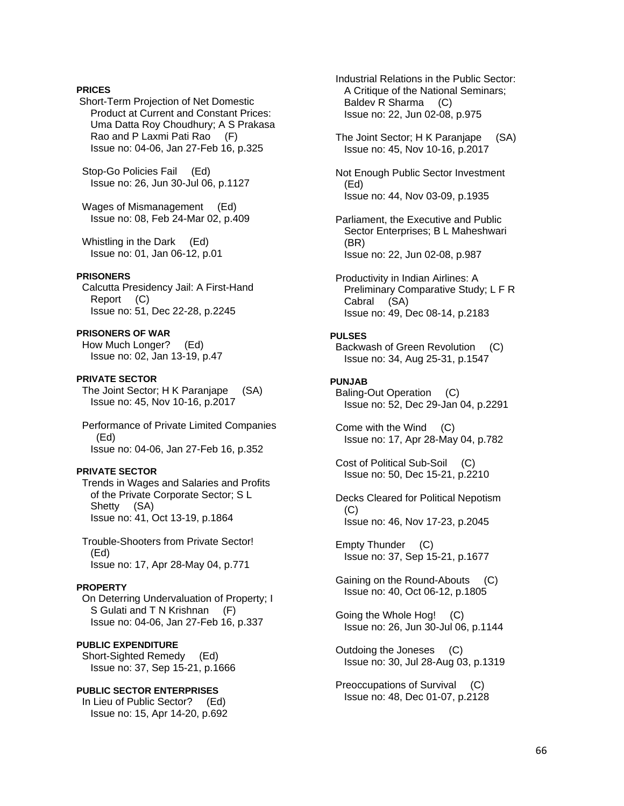### **PRICES**

 Short-Term Projection of Net Domestic Product at Current and Constant Prices: Uma Datta Roy Choudhury; A S Prakasa Rao and P Laxmi Pati Rao (F) Issue no: 04-06, Jan 27-Feb 16, p.325

 Stop-Go Policies Fail (Ed) Issue no: 26, Jun 30-Jul 06, p.1127

 Wages of Mismanagement (Ed) Issue no: 08, Feb 24-Mar 02, p.409

 Whistling in the Dark (Ed) Issue no: 01, Jan 06-12, p.01

### **PRISONERS**

 Calcutta Presidency Jail: A First-Hand Report (C) Issue no: 51, Dec 22-28, p.2245

### **PRISONERS OF WAR**

 How Much Longer? (Ed) Issue no: 02, Jan 13-19, p.47

### **PRIVATE SECTOR**

 The Joint Sector; H K Paranjape (SA) Issue no: 45, Nov 10-16, p.2017

 Performance of Private Limited Companies (Ed) Issue no: 04-06, Jan 27-Feb 16, p.352

# **PRIVATE SECTOR**

 Trends in Wages and Salaries and Profits of the Private Corporate Sector; S L Shetty (SA) Issue no: 41, Oct 13-19, p.1864

 Trouble-Shooters from Private Sector! (Ed) Issue no: 17, Apr 28-May 04, p.771

# **PROPERTY**

 On Deterring Undervaluation of Property; I S Gulati and T N Krishnan (F) Issue no: 04-06, Jan 27-Feb 16, p.337

# **PUBLIC EXPENDITURE**

 Short-Sighted Remedy (Ed) Issue no: 37, Sep 15-21, p.1666

### **PUBLIC SECTOR ENTERPRISES**

 In Lieu of Public Sector? (Ed) Issue no: 15, Apr 14-20, p.692  Industrial Relations in the Public Sector: A Critique of the National Seminars; Baldev R Sharma (C) Issue no: 22, Jun 02-08, p.975

 The Joint Sector; H K Paranjape (SA) Issue no: 45, Nov 10-16, p.2017

 Not Enough Public Sector Investment (Ed) Issue no: 44, Nov 03-09, p.1935

- Parliament, the Executive and Public Sector Enterprises; B L Maheshwari (BR) Issue no: 22, Jun 02-08, p.987
- Productivity in Indian Airlines: A Preliminary Comparative Study; L F R Cabral (SA) Issue no: 49, Dec 08-14, p.2183

### **PULSES**

 Backwash of Green Revolution (C) Issue no: 34, Aug 25-31, p.1547

### **PUNJAB**

 Baling-Out Operation (C) Issue no: 52, Dec 29-Jan 04, p.2291

 Come with the Wind (C) Issue no: 17, Apr 28-May 04, p.782

 Cost of Political Sub-Soil (C) Issue no: 50, Dec 15-21, p.2210

 Decks Cleared for Political Nepotism (C) Issue no: 46, Nov 17-23, p.2045

 Empty Thunder (C) Issue no: 37, Sep 15-21, p.1677

 Gaining on the Round-Abouts (C) Issue no: 40, Oct 06-12, p.1805

 Going the Whole Hog! (C) Issue no: 26, Jun 30-Jul 06, p.1144

 Outdoing the Joneses (C) Issue no: 30, Jul 28-Aug 03, p.1319

 Preoccupations of Survival (C) Issue no: 48, Dec 01-07, p.2128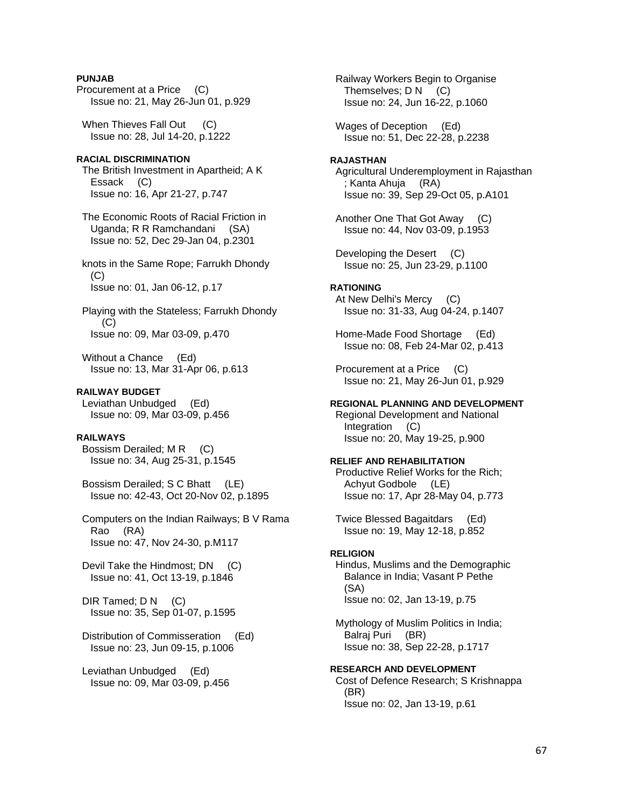# **PUNJAB**

Procurement at a Price (C) Issue no: 21, May 26-Jun 01, p.929

When Thieves Fall Out (C) Issue no: 28, Jul 14-20, p.1222

### **RACIAL DISCRIMINATION**

 The British Investment in Apartheid; A K Essack (C) Issue no: 16, Apr 21-27, p.747

 The Economic Roots of Racial Friction in Uganda; R R Ramchandani (SA) Issue no: 52, Dec 29-Jan 04, p.2301

 knots in the Same Rope; Farrukh Dhondy  $(C)$ Issue no: 01, Jan 06-12, p.17

 Playing with the Stateless; Farrukh Dhondy (C) Issue no: 09, Mar 03-09, p.470

 Without a Chance (Ed) Issue no: 13, Mar 31-Apr 06, p.613

### **RAILWAY BUDGET**

 Leviathan Unbudged (Ed) Issue no: 09, Mar 03-09, p.456

### **RAILWAYS**

Bossism Derailed; M R (C) Issue no: 34, Aug 25-31, p.1545

 Bossism Derailed; S C Bhatt (LE) Issue no: 42-43, Oct 20-Nov 02, p.1895

 Computers on the Indian Railways; B V Rama Rao (RA) Issue no: 47, Nov 24-30, p.M117

Devil Take the Hindmost; DN (C) Issue no: 41, Oct 13-19, p.1846

DIR Tamed: D N (C) Issue no: 35, Sep 01-07, p.1595

 Distribution of Commisseration (Ed) Issue no: 23, Jun 09-15, p.1006

 Leviathan Unbudged (Ed) Issue no: 09, Mar 03-09, p.456  Railway Workers Begin to Organise Themselves; D N (C) Issue no: 24, Jun 16-22, p.1060

 Wages of Deception (Ed) Issue no: 51, Dec 22-28, p.2238

# **RAJASTHAN**

 Agricultural Underemployment in Rajasthan ; Kanta Ahuja (RA) Issue no: 39, Sep 29-Oct 05, p.A101

 Another One That Got Away (C) Issue no: 44, Nov 03-09, p.1953

Developing the Desert (C) Issue no: 25, Jun 23-29, p.1100

### **RATIONING**

 At New Delhi's Mercy (C) Issue no: 31-33, Aug 04-24, p.1407

 Home-Made Food Shortage (Ed) Issue no: 08, Feb 24-Mar 02, p.413

 Procurement at a Price (C) Issue no: 21, May 26-Jun 01, p.929

### **REGIONAL PLANNING AND DEVELOPMENT**

 Regional Development and National Integration (C) Issue no: 20, May 19-25, p.900

### **RELIEF AND REHABILITATION**

 Productive Relief Works for the Rich; Achyut Godbole (LE) Issue no: 17, Apr 28-May 04, p.773

 Twice Blessed Bagaitdars (Ed) Issue no: 19, May 12-18, p.852

#### **RELIGION**

 Hindus, Muslims and the Demographic Balance in India; Vasant P Pethe (SA) Issue no: 02, Jan 13-19, p.75

 Mythology of Muslim Politics in India; Balraj Puri (BR) Issue no: 38, Sep 22-28, p.1717

**RESEARCH AND DEVELOPMENT**  Cost of Defence Research; S Krishnappa (BR) Issue no: 02, Jan 13-19, p.61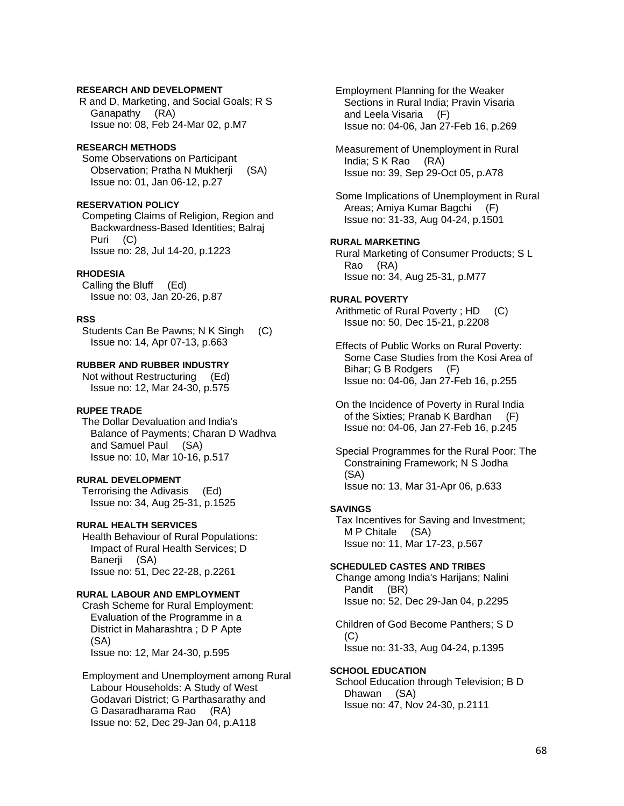# **RESEARCH AND DEVELOPMENT**

 R and D, Marketing, and Social Goals; R S Ganapathy (RA) Issue no: 08, Feb 24-Mar 02, p.M7

### **RESEARCH METHODS**

 Some Observations on Participant Observation; Pratha N Mukherji (SA) Issue no: 01, Jan 06-12, p.27

# **RESERVATION POLICY**

 Competing Claims of Religion, Region and Backwardness-Based Identities; Balraj Puri (C) Issue no: 28, Jul 14-20, p.1223

#### **RHODESIA**

 Calling the Bluff (Ed) Issue no: 03, Jan 20-26, p.87

#### **RSS**

Students Can Be Pawns; N K Singh (C) Issue no: 14, Apr 07-13, p.663

### **RUBBER AND RUBBER INDUSTRY**

 Not without Restructuring (Ed) Issue no: 12, Mar 24-30, p.575

# **RUPEE TRADE**

 The Dollar Devaluation and India's Balance of Payments; Charan D Wadhva and Samuel Paul (SA) Issue no: 10, Mar 10-16, p.517

### **RURAL DEVELOPMENT**

 Terrorising the Adivasis (Ed) Issue no: 34, Aug 25-31, p.1525

### **RURAL HEALTH SERVICES**

 Health Behaviour of Rural Populations: Impact of Rural Health Services; D Banerji (SA) Issue no: 51, Dec 22-28, p.2261

# **RURAL LABOUR AND EMPLOYMENT**

 Crash Scheme for Rural Employment: Evaluation of the Programme in a District in Maharashtra ; D P Apte (SA) Issue no: 12, Mar 24-30, p.595

 Employment and Unemployment among Rural Labour Households: A Study of West Godavari District; G Parthasarathy and G Dasaradharama Rao (RA) Issue no: 52, Dec 29-Jan 04, p.A118

 Employment Planning for the Weaker Sections in Rural India; Pravin Visaria and Leela Visaria (F) Issue no: 04-06, Jan 27-Feb 16, p.269

 Measurement of Unemployment in Rural India; S K Rao (RA) Issue no: 39, Sep 29-Oct 05, p.A78

 Some Implications of Unemployment in Rural Areas; Amiya Kumar Bagchi (F) Issue no: 31-33, Aug 04-24, p.1501

### **RURAL MARKETING**

 Rural Marketing of Consumer Products; S L Rao (RA) Issue no: 34, Aug 25-31, p.M77

# **RURAL POVERTY**

Arithmetic of Rural Poverty; HD (C) Issue no: 50, Dec 15-21, p.2208

 Effects of Public Works on Rural Poverty: Some Case Studies from the Kosi Area of Bihar; G B Rodgers (F) Issue no: 04-06, Jan 27-Feb 16, p.255

 On the Incidence of Poverty in Rural India of the Sixties; Pranab K Bardhan (F) Issue no: 04-06, Jan 27-Feb 16, p.245

 Special Programmes for the Rural Poor: The Constraining Framework; N S Jodha (SA) Issue no: 13, Mar 31-Apr 06, p.633

### **SAVINGS**

 Tax Incentives for Saving and Investment; M P Chitale (SA) Issue no: 11, Mar 17-23, p.567

### **SCHEDULED CASTES AND TRIBES**

 Change among India's Harijans; Nalini Pandit (BR) Issue no: 52, Dec 29-Jan 04, p.2295

 Children of God Become Panthers; S D  $(C)$ Issue no: 31-33, Aug 04-24, p.1395

**SCHOOL EDUCATION** 

 School Education through Television; B D Dhawan (SA) Issue no: 47, Nov 24-30, p.2111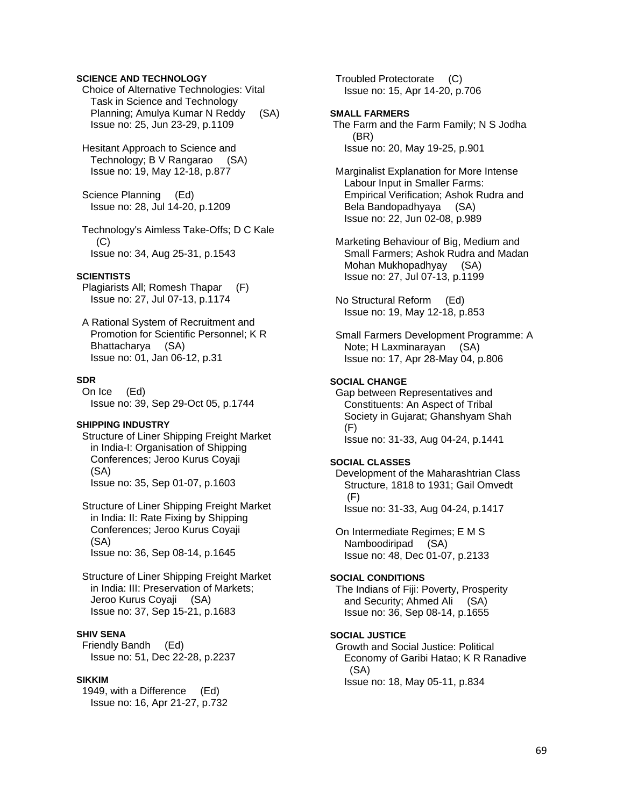### **SCIENCE AND TECHNOLOGY**

 Choice of Alternative Technologies: Vital Task in Science and Technology Planning; Amulya Kumar N Reddy (SA) Issue no: 25, Jun 23-29, p.1109

 Hesitant Approach to Science and Technology; B V Rangarao (SA) Issue no: 19, May 12-18, p.877

 Science Planning (Ed) Issue no: 28, Jul 14-20, p.1209

 Technology's Aimless Take-Offs; D C Kale  $(C)$ Issue no: 34, Aug 25-31, p.1543

#### **SCIENTISTS**

 Plagiarists All; Romesh Thapar (F) Issue no: 27, Jul 07-13, p.1174

 A Rational System of Recruitment and Promotion for Scientific Personnel; K R Bhattacharya (SA) Issue no: 01, Jan 06-12, p.31

### **SDR**

 On Ice (Ed) Issue no: 39, Sep 29-Oct 05, p.1744

# **SHIPPING INDUSTRY**

 Structure of Liner Shipping Freight Market in India-I: Organisation of Shipping Conferences; Jeroo Kurus Coyaji (SA) Issue no: 35, Sep 01-07, p.1603

 Structure of Liner Shipping Freight Market in India: II: Rate Fixing by Shipping Conferences; Jeroo Kurus Coyaji (SA) Issue no: 36, Sep 08-14, p.1645

 Structure of Liner Shipping Freight Market in India: III: Preservation of Markets; Jeroo Kurus Coyaji (SA) Issue no: 37, Sep 15-21, p.1683

# **SHIV SENA**

 Friendly Bandh (Ed) Issue no: 51, Dec 22-28, p.2237

### **SIKKIM**

 1949, with a Difference (Ed) Issue no: 16, Apr 21-27, p.732  Troubled Protectorate (C) Issue no: 15, Apr 14-20, p.706

#### **SMALL FARMERS**

 The Farm and the Farm Family; N S Jodha (BR) Issue no: 20, May 19-25, p.901

 Marginalist Explanation for More Intense Labour Input in Smaller Farms: Empirical Verification; Ashok Rudra and Bela Bandopadhyaya (SA) Issue no: 22, Jun 02-08, p.989

 Marketing Behaviour of Big, Medium and Small Farmers; Ashok Rudra and Madan Mohan Mukhopadhyay (SA) Issue no: 27, Jul 07-13, p.1199

 No Structural Reform (Ed) Issue no: 19, May 12-18, p.853

 Small Farmers Development Programme: A Note; H Laxminarayan (SA) Issue no: 17, Apr 28-May 04, p.806

#### **SOCIAL CHANGE**

 Gap between Representatives and Constituents: An Aspect of Tribal Society in Gujarat; Ghanshyam Shah (F) Issue no: 31-33, Aug 04-24, p.1441

#### **SOCIAL CLASSES**

 Development of the Maharashtrian Class Structure, 1818 to 1931; Gail Omvedt (F) Issue no: 31-33, Aug 04-24, p.1417

 On Intermediate Regimes; E M S Namboodiripad (SA) Issue no: 48, Dec 01-07, p.2133

#### **SOCIAL CONDITIONS**

 The Indians of Fiji: Poverty, Prosperity and Security; Ahmed Ali (SA) Issue no: 36, Sep 08-14, p.1655

# **SOCIAL JUSTICE**

 Growth and Social Justice: Political Economy of Garibi Hatao; K R Ranadive (SA) Issue no: 18, May 05-11, p.834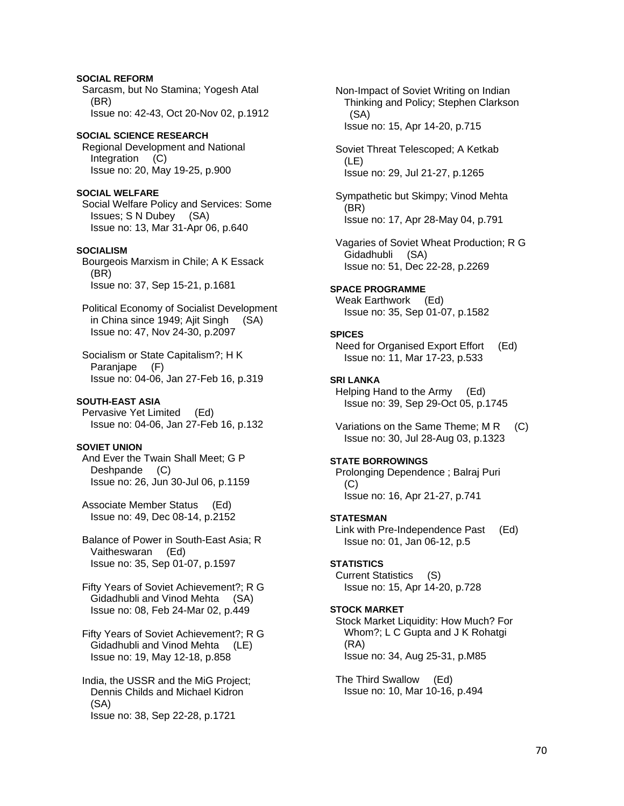# **SOCIAL REFORM**  Sarcasm, but No Stamina; Yogesh Atal (BR) Issue no: 42-43, Oct 20-Nov 02, p.1912 **SOCIAL SCIENCE RESEARCH**  Regional Development and National Integration (C) Issue no: 20, May 19-25, p.900

**SOCIAL WELFARE**  Social Welfare Policy and Services: Some Issues; S N Dubey (SA) Issue no: 13, Mar 31-Apr 06, p.640

### **SOCIALISM**

 Bourgeois Marxism in Chile; A K Essack (BR) Issue no: 37, Sep 15-21, p.1681

 Political Economy of Socialist Development in China since 1949; Ajit Singh (SA) Issue no: 47, Nov 24-30, p.2097

 Socialism or State Capitalism?; H K Paranjape (F) Issue no: 04-06, Jan 27-Feb 16, p.319

### **SOUTH-EAST ASIA**

 Pervasive Yet Limited (Ed) Issue no: 04-06, Jan 27-Feb 16, p.132

# **SOVIET UNION**

 And Ever the Twain Shall Meet; G P Deshpande (C) Issue no: 26, Jun 30-Jul 06, p.1159

 Associate Member Status (Ed) Issue no: 49, Dec 08-14, p.2152

 Balance of Power in South-East Asia; R Vaitheswaran (Ed) Issue no: 35, Sep 01-07, p.1597

 Fifty Years of Soviet Achievement?; R G Gidadhubli and Vinod Mehta (SA) Issue no: 08, Feb 24-Mar 02, p.449

 Fifty Years of Soviet Achievement?; R G Gidadhubli and Vinod Mehta (LE) Issue no: 19, May 12-18, p.858

 India, the USSR and the MiG Project; Dennis Childs and Michael Kidron (SA) Issue no: 38, Sep 22-28, p.1721

 Non-Impact of Soviet Writing on Indian Thinking and Policy; Stephen Clarkson (SA) Issue no: 15, Apr 14-20, p.715

 Soviet Threat Telescoped; A Ketkab (LE) Issue no: 29, Jul 21-27, p.1265

 Sympathetic but Skimpy; Vinod Mehta (BR) Issue no: 17, Apr 28-May 04, p.791

 Vagaries of Soviet Wheat Production; R G Gidadhubli (SA) Issue no: 51, Dec 22-28, p.2269

**SPACE PROGRAMME**  Weak Earthwork (Ed) Issue no: 35, Sep 01-07, p.1582

### **SPICES**

 Need for Organised Export Effort (Ed) Issue no: 11, Mar 17-23, p.533

**SRI LANKA** 

 Helping Hand to the Army (Ed) Issue no: 39, Sep 29-Oct 05, p.1745

Variations on the Same Theme; M R (C) Issue no: 30, Jul 28-Aug 03, p.1323

# **STATE BORROWINGS**

 Prolonging Dependence ; Balraj Puri (C) Issue no: 16, Apr 21-27, p.741

### **STATESMAN**

 Link with Pre-Independence Past (Ed) Issue no: 01, Jan 06-12, p.5

### **STATISTICS**

 Current Statistics (S) Issue no: 15, Apr 14-20, p.728

### **STOCK MARKET**

 Stock Market Liquidity: How Much? For Whom?; L C Gupta and J K Rohatgi (RA) Issue no: 34, Aug 25-31, p.M85

 The Third Swallow (Ed) Issue no: 10, Mar 10-16, p.494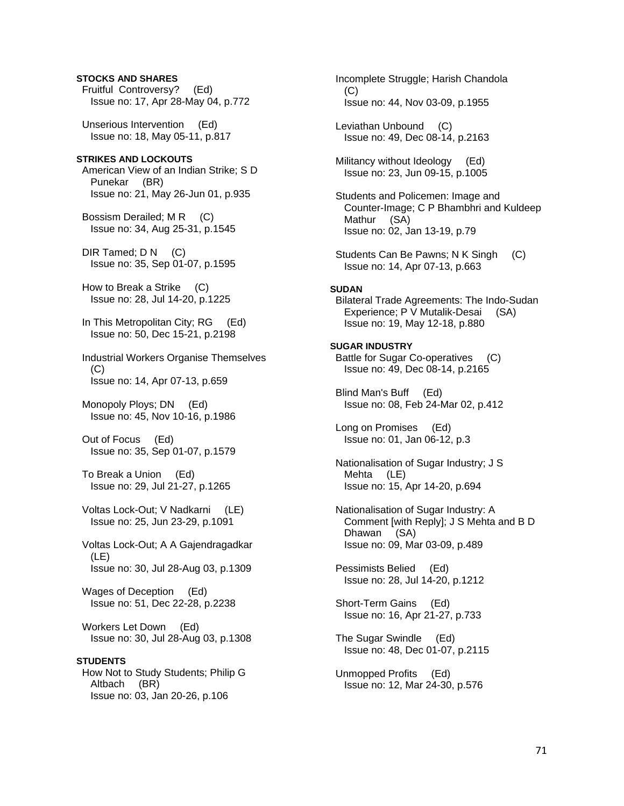# Fruitful Controversy? (Ed) Issue no: 17, Apr 28-May 04, p.772 Unserious Intervention (Ed) Issue no: 18, May 05-11, p.817 **STRIKES AND LOCKOUTS**  American View of an Indian Strike; S D Punekar (BR) Issue no: 21, May 26-Jun 01, p.935 Bossism Derailed; M R (C) Issue no: 34, Aug 25-31, p.1545 DIR Tamed; D N (C) Issue no: 35, Sep 01-07, p.1595 How to Break a Strike (C) Issue no: 28, Jul 14-20, p.1225 In This Metropolitan City; RG (Ed) Issue no: 50, Dec 15-21, p.2198 Industrial Workers Organise Themselves (C) Issue no: 14, Apr 07-13, p.659 Monopoly Ploys; DN (Ed) Issue no: 45, Nov 10-16, p.1986 Out of Focus (Ed) Issue no: 35, Sep 01-07, p.1579 To Break a Union (Ed) Issue no: 29, Jul 21-27, p.1265 Voltas Lock-Out; V Nadkarni (LE) Issue no: 25, Jun 23-29, p.1091 Voltas Lock-Out; A A Gajendragadkar (LE) Issue no: 30, Jul 28-Aug 03, p.1309 Wages of Deception (Ed) Issue no: 51, Dec 22-28, p.2238 Workers Let Down (Ed) Issue no: 30, Jul 28-Aug 03, p.1308 **STUDENTS**  How Not to Study Students; Philip G Altbach (BR) Issue no: 03, Jan 20-26, p.106

**STOCKS AND SHARES** 

 Incomplete Struggle; Harish Chandola  $(C)$  Issue no: 44, Nov 03-09, p.1955 Leviathan Unbound (C) Issue no: 49, Dec 08-14, p.2163 Militancy without Ideology (Ed) Issue no: 23, Jun 09-15, p.1005 Students and Policemen: Image and Counter-Image; C P Bhambhri and Kuldeep Mathur (SA) Issue no: 02, Jan 13-19, p.79 Students Can Be Pawns; N K Singh (C) Issue no: 14, Apr 07-13, p.663 **SUDAN**  Bilateral Trade Agreements: The Indo-Sudan Experience; P V Mutalik-Desai (SA) Issue no: 19, May 12-18, p.880 **SUGAR INDUSTRY**  Battle for Sugar Co-operatives (C) Issue no: 49, Dec 08-14, p.2165 Blind Man's Buff (Ed) Issue no: 08, Feb 24-Mar 02, p.412 Long on Promises (Ed) Issue no: 01, Jan 06-12, p.3 Nationalisation of Sugar Industry; J S Mehta (LE) Issue no: 15, Apr 14-20, p.694 Nationalisation of Sugar Industry: A Comment [with Reply]; J S Mehta and B D Dhawan (SA) Issue no: 09, Mar 03-09, p.489 Pessimists Belied (Ed) Issue no: 28, Jul 14-20, p.1212 Short-Term Gains (Ed) Issue no: 16, Apr 21-27, p.733 The Sugar Swindle (Ed) Issue no: 48, Dec 01-07, p.2115 Unmopped Profits (Ed) Issue no: 12, Mar 24-30, p.576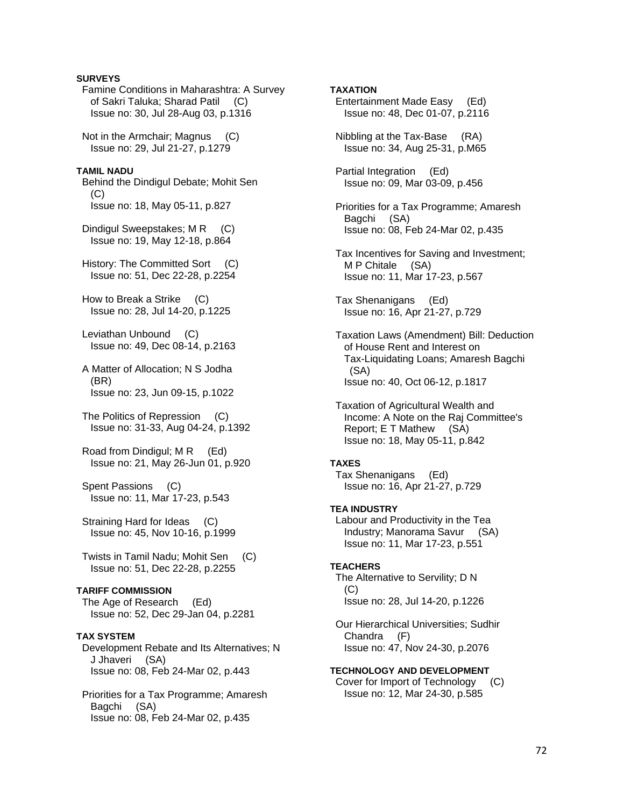### **SURVEYS**

 Famine Conditions in Maharashtra: A Survey of Sakri Taluka; Sharad Patil (C) Issue no: 30, Jul 28-Aug 03, p.1316 Not in the Armchair; Magnus (C) Issue no: 29, Jul 21-27, p.1279 **TAMIL NADU**  Behind the Dindigul Debate; Mohit Sen (C) Issue no: 18, May 05-11, p.827 Dindigul Sweepstakes; MR (C) Issue no: 19, May 12-18, p.864 History: The Committed Sort (C) Issue no: 51, Dec 22-28, p.2254 How to Break a Strike (C) Issue no: 28, Jul 14-20, p.1225 Leviathan Unbound (C) Issue no: 49, Dec 08-14, p.2163 A Matter of Allocation; N S Jodha

 (BR) Issue no: 23, Jun 09-15, p.1022

 The Politics of Repression (C) Issue no: 31-33, Aug 04-24, p.1392

Road from Dindigul: M R (Ed) Issue no: 21, May 26-Jun 01, p.920

 Spent Passions (C) Issue no: 11, Mar 17-23, p.543

 Straining Hard for Ideas (C) Issue no: 45, Nov 10-16, p.1999

 Twists in Tamil Nadu; Mohit Sen (C) Issue no: 51, Dec 22-28, p.2255

### **TARIFF COMMISSION**

 The Age of Research (Ed) Issue no: 52, Dec 29-Jan 04, p.2281

### **TAX SYSTEM**

 Development Rebate and Its Alternatives; N J Jhaveri (SA) Issue no: 08, Feb 24-Mar 02, p.443

 Priorities for a Tax Programme; Amaresh Bagchi (SA) Issue no: 08, Feb 24-Mar 02, p.435

### **TAXATION**

- Entertainment Made Easy (Ed) Issue no: 48, Dec 01-07, p.2116
- Nibbling at the Tax-Base (RA) Issue no: 34, Aug 25-31, p.M65
- Partial Integration (Ed) Issue no: 09, Mar 03-09, p.456
- Priorities for a Tax Programme; Amaresh Bagchi (SA) Issue no: 08, Feb 24-Mar 02, p.435
- Tax Incentives for Saving and Investment; M P Chitale (SA) Issue no: 11, Mar 17-23, p.567
- Tax Shenanigans (Ed) Issue no: 16, Apr 21-27, p.729

 Taxation Laws (Amendment) Bill: Deduction of House Rent and Interest on Tax-Liquidating Loans; Amaresh Bagchi (SA) Issue no: 40, Oct 06-12, p.1817

 Taxation of Agricultural Wealth and Income: A Note on the Raj Committee's Report; E T Mathew (SA) Issue no: 18, May 05-11, p.842

#### **TAXES**

 Tax Shenanigans (Ed) Issue no: 16, Apr 21-27, p.729

### **TEA INDUSTRY**

 Labour and Productivity in the Tea Industry; Manorama Savur (SA) Issue no: 11, Mar 17-23, p.551

### **TEACHERS**

 The Alternative to Servility; D N (C) Issue no: 28, Jul 14-20, p.1226

 Our Hierarchical Universities; Sudhir Chandra (F) Issue no: 47, Nov 24-30, p.2076

**TECHNOLOGY AND DEVELOPMENT**  Cover for Import of Technology (C) Issue no: 12, Mar 24-30, p.585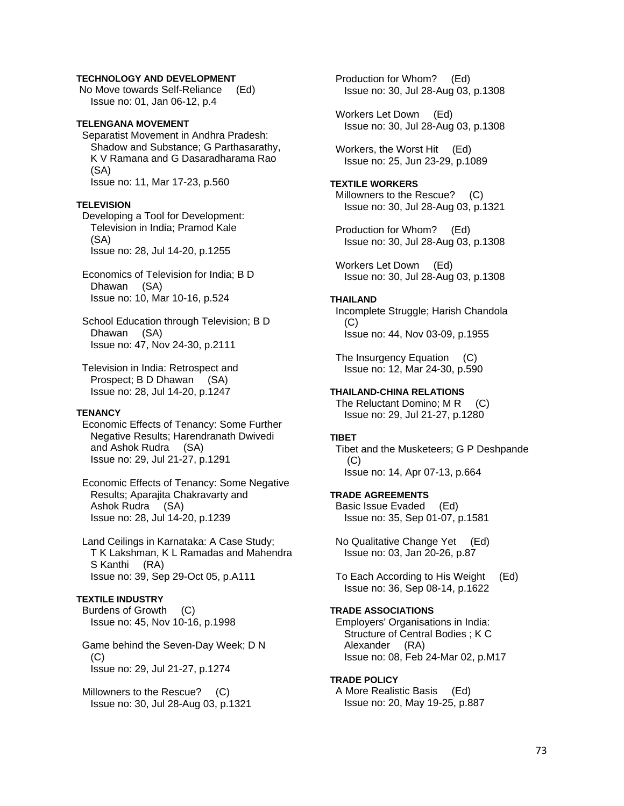### **TECHNOLOGY AND DEVELOPMENT**

 No Move towards Self-Reliance (Ed) Issue no: 01, Jan 06-12, p.4

### **TELENGANA MOVEMENT**

 Separatist Movement in Andhra Pradesh: Shadow and Substance; G Parthasarathy, K V Ramana and G Dasaradharama Rao (SA) Issue no: 11, Mar 17-23, p.560

### **TELEVISION**

 Developing a Tool for Development: Television in India; Pramod Kale (SA) Issue no: 28, Jul 14-20, p.1255

- Economics of Television for India; B D Dhawan (SA) Issue no: 10, Mar 10-16, p.524
- School Education through Television; B D Dhawan (SA) Issue no: 47, Nov 24-30, p.2111
- Television in India: Retrospect and Prospect; B D Dhawan (SA) Issue no: 28, Jul 14-20, p.1247

### **TENANCY**

 Economic Effects of Tenancy: Some Further Negative Results; Harendranath Dwivedi and Ashok Rudra (SA) Issue no: 29, Jul 21-27, p.1291

 Economic Effects of Tenancy: Some Negative Results; Aparajita Chakravarty and Ashok Rudra (SA) Issue no: 28, Jul 14-20, p.1239

 Land Ceilings in Karnataka: A Case Study; T K Lakshman, K L Ramadas and Mahendra S Kanthi (RA) Issue no: 39, Sep 29-Oct 05, p.A111

## **TEXTILE INDUSTRY**

 Burdens of Growth (C) Issue no: 45, Nov 10-16, p.1998

 Game behind the Seven-Day Week; D N (C) Issue no: 29, Jul 21-27, p.1274

 Millowners to the Rescue? (C) Issue no: 30, Jul 28-Aug 03, p.1321  Production for Whom? (Ed) Issue no: 30, Jul 28-Aug 03, p.1308

 Workers Let Down (Ed) Issue no: 30, Jul 28-Aug 03, p.1308

Workers, the Worst Hit (Ed) Issue no: 25, Jun 23-29, p.1089

### **TEXTILE WORKERS**

 Millowners to the Rescue? (C) Issue no: 30, Jul 28-Aug 03, p.1321

 Production for Whom? (Ed) Issue no: 30, Jul 28-Aug 03, p.1308

 Workers Let Down (Ed) Issue no: 30, Jul 28-Aug 03, p.1308

#### **THAILAND**

 Incomplete Struggle; Harish Chandola (C) Issue no: 44, Nov 03-09, p.1955

 The Insurgency Equation (C) Issue no: 12, Mar 24-30, p.590

### **THAILAND-CHINA RELATIONS**

The Reluctant Domino; M R (C) Issue no: 29, Jul 21-27, p.1280

#### **TIBET**

 Tibet and the Musketeers; G P Deshpande  $(C)$ Issue no: 14, Apr 07-13, p.664

### **TRADE AGREEMENTS**

 Basic Issue Evaded (Ed) Issue no: 35, Sep 01-07, p.1581

 No Qualitative Change Yet (Ed) Issue no: 03, Jan 20-26, p.87

 To Each According to His Weight (Ed) Issue no: 36, Sep 08-14, p.1622

### **TRADE ASSOCIATIONS**

 Employers' Organisations in India: Structure of Central Bodies ; K C Alexander (RA) Issue no: 08, Feb 24-Mar 02, p.M17

#### **TRADE POLICY**

 A More Realistic Basis (Ed) Issue no: 20, May 19-25, p.887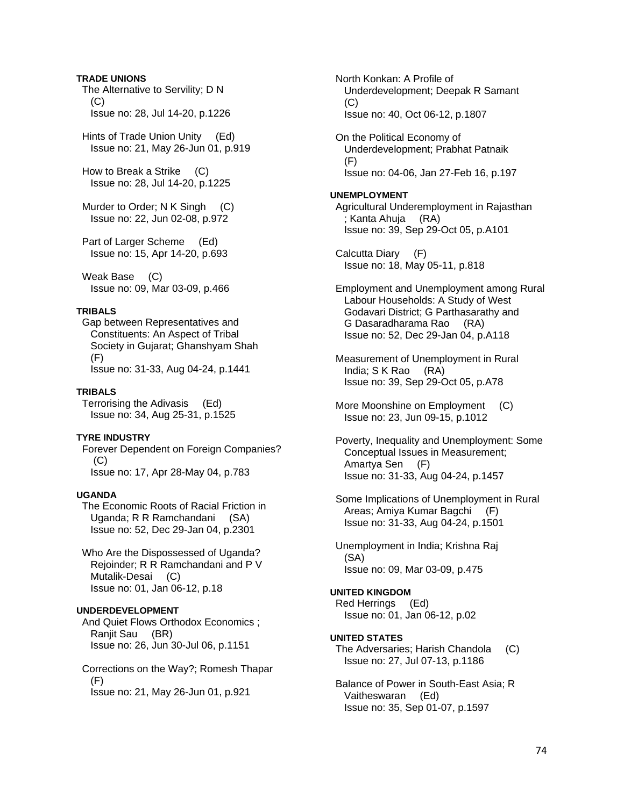### **TRADE UNIONS**

 The Alternative to Servility; D N  $(C)$ Issue no: 28, Jul 14-20, p.1226

 Hints of Trade Union Unity (Ed) Issue no: 21, May 26-Jun 01, p.919

 How to Break a Strike (C) Issue no: 28, Jul 14-20, p.1225

Murder to Order; N K Singh (C) Issue no: 22, Jun 02-08, p.972

 Part of Larger Scheme (Ed) Issue no: 15, Apr 14-20, p.693

 Weak Base (C) Issue no: 09, Mar 03-09, p.466

# **TRIBALS**

 Gap between Representatives and Constituents: An Aspect of Tribal Society in Gujarat; Ghanshyam Shah (F) Issue no: 31-33, Aug 04-24, p.1441

### **TRIBALS**

 Terrorising the Adivasis (Ed) Issue no: 34, Aug 25-31, p.1525

# **TYRE INDUSTRY**

 Forever Dependent on Foreign Companies?  $(C)$ Issue no: 17, Apr 28-May 04, p.783

## **UGANDA**

 The Economic Roots of Racial Friction in Uganda; R R Ramchandani (SA) Issue no: 52, Dec 29-Jan 04, p.2301

 Who Are the Dispossessed of Uganda? Rejoinder; R R Ramchandani and P V Mutalik-Desai (C) Issue no: 01, Jan 06-12, p.18

### **UNDERDEVELOPMENT**

 And Quiet Flows Orthodox Economics ; Ranjit Sau (BR) Issue no: 26, Jun 30-Jul 06, p.1151

 Corrections on the Way?; Romesh Thapar (F) Issue no: 21, May 26-Jun 01, p.921

 North Konkan: A Profile of Underdevelopment; Deepak R Samant  $(C)$ Issue no: 40, Oct 06-12, p.1807

 On the Political Economy of Underdevelopment; Prabhat Patnaik (F) Issue no: 04-06, Jan 27-Feb 16, p.197

### **UNEMPLOYMENT**

 Agricultural Underemployment in Rajasthan ; Kanta Ahuja (RA) Issue no: 39, Sep 29-Oct 05, p.A101

 Calcutta Diary (F) Issue no: 18, May 05-11, p.818

 Employment and Unemployment among Rural Labour Households: A Study of West Godavari District; G Parthasarathy and G Dasaradharama Rao (RA) Issue no: 52, Dec 29-Jan 04, p.A118

 Measurement of Unemployment in Rural India; S K Rao (RA) Issue no: 39, Sep 29-Oct 05, p.A78

More Moonshine on Employment (C) Issue no: 23, Jun 09-15, p.1012

 Poverty, Inequality and Unemployment: Some Conceptual Issues in Measurement; Amartya Sen (F) Issue no: 31-33, Aug 04-24, p.1457

 Some Implications of Unemployment in Rural Areas; Amiya Kumar Bagchi (F) Issue no: 31-33, Aug 04-24, p.1501

 Unemployment in India; Krishna Raj (SA) Issue no: 09, Mar 03-09, p.475

# **UNITED KINGDOM**

 Red Herrings (Ed) Issue no: 01, Jan 06-12, p.02

# **UNITED STATES**

 The Adversaries; Harish Chandola (C) Issue no: 27, Jul 07-13, p.1186

 Balance of Power in South-East Asia; R Vaitheswaran (Ed) Issue no: 35, Sep 01-07, p.1597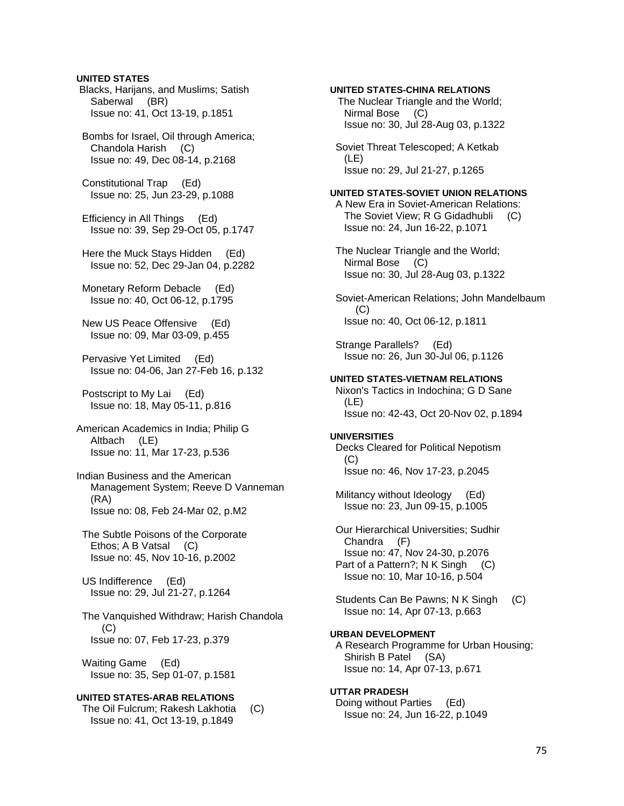### **UNITED STATES**

 Blacks, Harijans, and Muslims; Satish Saberwal (BR) Issue no: 41, Oct 13-19, p.1851

 Bombs for Israel, Oil through America; Chandola Harish (C) Issue no: 49, Dec 08-14, p.2168

 Constitutional Trap (Ed) Issue no: 25, Jun 23-29, p.1088

 Efficiency in All Things (Ed) Issue no: 39, Sep 29-Oct 05, p.1747

 Here the Muck Stays Hidden (Ed) Issue no: 52, Dec 29-Jan 04, p.2282

 Monetary Reform Debacle (Ed) Issue no: 40, Oct 06-12, p.1795

 New US Peace Offensive (Ed) Issue no: 09, Mar 03-09, p.455

 Pervasive Yet Limited (Ed) Issue no: 04-06, Jan 27-Feb 16, p.132

 Postscript to My Lai (Ed) Issue no: 18, May 05-11, p.816

American Academics in India; Philip G Altbach (LE) Issue no: 11, Mar 17-23, p.536

Indian Business and the American Management System; Reeve D Vanneman (RA) Issue no: 08, Feb 24-Mar 02, p.M2

 The Subtle Poisons of the Corporate Ethos; A B Vatsal (C) Issue no: 45, Nov 10-16, p.2002

 US Indifference (Ed) Issue no: 29, Jul 21-27, p.1264

 The Vanquished Withdraw; Harish Chandola (C) Issue no: 07, Feb 17-23, p.379

 Waiting Game (Ed) Issue no: 35, Sep 01-07, p.1581

### **UNITED STATES-ARAB RELATIONS**

 The Oil Fulcrum; Rakesh Lakhotia (C) Issue no: 41, Oct 13-19, p.1849

### **UNITED STATES-CHINA RELATIONS**

The Nuclear Triangle and the World; Nirmal Bose (C) Issue no: 30, Jul 28-Aug 03, p.1322

 Soviet Threat Telescoped; A Ketkab (LE) Issue no: 29, Jul 21-27, p.1265

### **UNITED STATES-SOVIET UNION RELATIONS**

 A New Era in Soviet-American Relations: The Soviet View; R G Gidadhubli (C) Issue no: 24, Jun 16-22, p.1071

 The Nuclear Triangle and the World; Nirmal Bose (C) Issue no: 30, Jul 28-Aug 03, p.1322

 Soviet-American Relations; John Mandelbaum  $(C)$ Issue no: 40, Oct 06-12, p.1811

 Strange Parallels? (Ed) Issue no: 26, Jun 30-Jul 06, p.1126

#### **UNITED STATES-VIETNAM RELATIONS**

 Nixon's Tactics in Indochina; G D Sane (LE) Issue no: 42-43, Oct 20-Nov 02, p.1894

#### **UNIVERSITIES**

 Decks Cleared for Political Nepotism (C) Issue no: 46, Nov 17-23, p.2045

 Militancy without Ideology (Ed) Issue no: 23, Jun 09-15, p.1005

 Our Hierarchical Universities; Sudhir Chandra (F) Issue no: 47, Nov 24-30, p.2076 Part of a Pattern?; N K Singh (C) Issue no: 10, Mar 10-16, p.504

 Students Can Be Pawns; N K Singh (C) Issue no: 14, Apr 07-13, p.663

### **URBAN DEVELOPMENT**

 A Research Programme for Urban Housing; Shirish B Patel (SA) Issue no: 14, Apr 07-13, p.671

### **UTTAR PRADESH**

 Doing without Parties (Ed) Issue no: 24, Jun 16-22, p.1049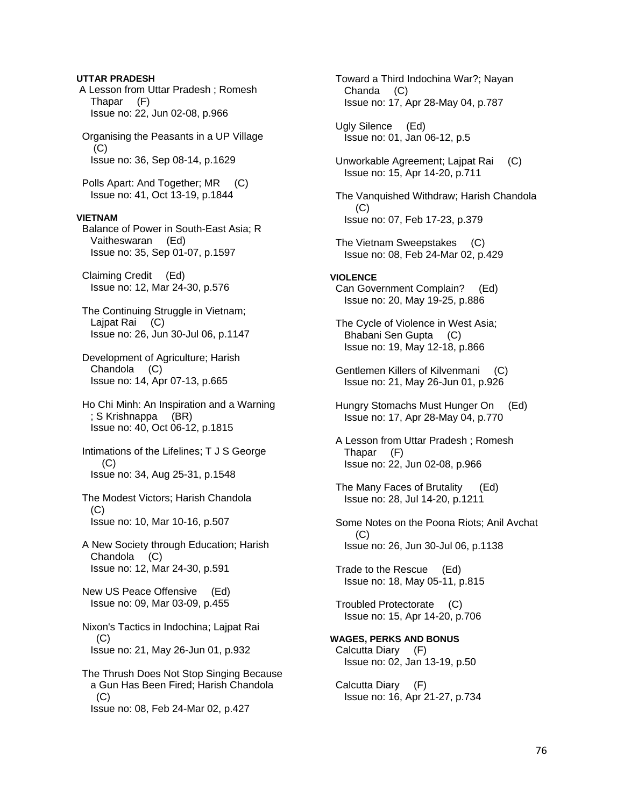### **UTTAR PRADESH**

 A Lesson from Uttar Pradesh ; Romesh Thapar (F) Issue no: 22, Jun 02-08, p.966

 Organising the Peasants in a UP Village  $(C)$ Issue no: 36, Sep 08-14, p.1629

Polls Apart: And Together; MR (C) Issue no: 41, Oct 13-19, p.1844

### **VIETNAM**

 Balance of Power in South-East Asia; R Vaitheswaran (Ed) Issue no: 35, Sep 01-07, p.1597

 Claiming Credit (Ed) Issue no: 12, Mar 24-30, p.576

 The Continuing Struggle in Vietnam; Lajpat Rai (C) Issue no: 26, Jun 30-Jul 06, p.1147

 Development of Agriculture; Harish Chandola (C) Issue no: 14, Apr 07-13, p.665

 Ho Chi Minh: An Inspiration and a Warning ; S Krishnappa (BR) Issue no: 40, Oct 06-12, p.1815

 Intimations of the Lifelines; T J S George (C) Issue no: 34, Aug 25-31, p.1548

 The Modest Victors; Harish Chandola (C) Issue no: 10, Mar 10-16, p.507

 A New Society through Education; Harish Chandola (C) Issue no: 12, Mar 24-30, p.591

 New US Peace Offensive (Ed) Issue no: 09, Mar 03-09, p.455

 Nixon's Tactics in Indochina; Lajpat Rai (C) Issue no: 21, May 26-Jun 01, p.932

 The Thrush Does Not Stop Singing Because a Gun Has Been Fired; Harish Chandola  $(C)$ Issue no: 08, Feb 24-Mar 02, p.427

 Toward a Third Indochina War?; Nayan Chanda (C) Issue no: 17, Apr 28-May 04, p.787

 Ugly Silence (Ed) Issue no: 01, Jan 06-12, p.5

 Unworkable Agreement; Lajpat Rai (C) Issue no: 15, Apr 14-20, p.711

 The Vanquished Withdraw; Harish Chandola (C) Issue no: 07, Feb 17-23, p.379

 The Vietnam Sweepstakes (C) Issue no: 08, Feb 24-Mar 02, p.429

### **VIOLENCE**

 Can Government Complain? (Ed) Issue no: 20, May 19-25, p.886

 The Cycle of Violence in West Asia; Bhabani Sen Gupta (C) Issue no: 19, May 12-18, p.866

 Gentlemen Killers of Kilvenmani (C) Issue no: 21, May 26-Jun 01, p.926

 Hungry Stomachs Must Hunger On (Ed) Issue no: 17, Apr 28-May 04, p.770

 A Lesson from Uttar Pradesh ; Romesh Thapar (F) Issue no: 22, Jun 02-08, p.966

 The Many Faces of Brutality (Ed) Issue no: 28, Jul 14-20, p.1211

 Some Notes on the Poona Riots; Anil Avchat (C) Issue no: 26, Jun 30-Jul 06, p.1138

 Trade to the Rescue (Ed) Issue no: 18, May 05-11, p.815

 Troubled Protectorate (C) Issue no: 15, Apr 14-20, p.706

### **WAGES, PERKS AND BONUS**  Calcutta Diary (F)

Issue no: 02, Jan 13-19, p.50

 Calcutta Diary (F) Issue no: 16, Apr 21-27, p.734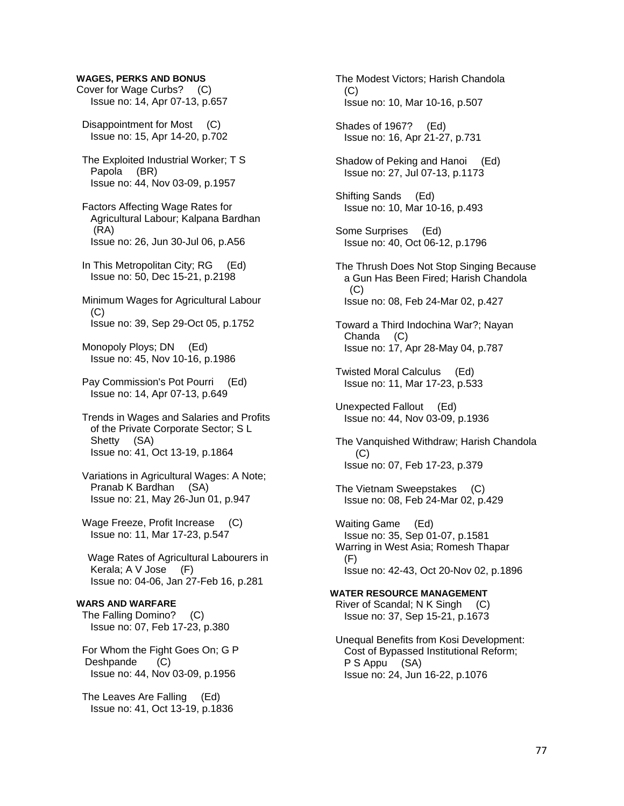### **WAGES, PERKS AND BONUS**

- Cover for Wage Curbs? (C) Issue no: 14, Apr 07-13, p.657
- Disappointment for Most (C) Issue no: 15, Apr 14-20, p.702
- The Exploited Industrial Worker; T S Papola (BR) Issue no: 44, Nov 03-09, p.1957
- Factors Affecting Wage Rates for Agricultural Labour; Kalpana Bardhan (RA) Issue no: 26, Jun 30-Jul 06, p.A56
- In This Metropolitan City; RG (Ed) Issue no: 50, Dec 15-21, p.2198
- Minimum Wages for Agricultural Labour (C) Issue no: 39, Sep 29-Oct 05, p.1752
- Monopoly Ploys; DN (Ed) Issue no: 45, Nov 10-16, p.1986
- Pay Commission's Pot Pourri (Ed) Issue no: 14, Apr 07-13, p.649
- Trends in Wages and Salaries and Profits of the Private Corporate Sector; S L Shetty (SA) Issue no: 41, Oct 13-19, p.1864
- Variations in Agricultural Wages: A Note; Pranab K Bardhan (SA) Issue no: 21, May 26-Jun 01, p.947
- Wage Freeze, Profit Increase (C) Issue no: 11, Mar 17-23, p.547
- Wage Rates of Agricultural Labourers in Kerala; A V Jose (F) Issue no: 04-06, Jan 27-Feb 16, p.281

# **WARS AND WARFARE**

 The Falling Domino? (C) Issue no: 07, Feb 17-23, p.380

- For Whom the Fight Goes On; G P Deshpande (C) Issue no: 44, Nov 03-09, p.1956
- The Leaves Are Falling (Ed) Issue no: 41, Oct 13-19, p.1836

 The Modest Victors; Harish Chandola  $(C)$ Issue no: 10, Mar 10-16, p.507

 Shades of 1967? (Ed) Issue no: 16, Apr 21-27, p.731

 Shadow of Peking and Hanoi (Ed) Issue no: 27, Jul 07-13, p.1173

 Shifting Sands (Ed) Issue no: 10, Mar 10-16, p.493

- Some Surprises (Ed) Issue no: 40, Oct 06-12, p.1796
- The Thrush Does Not Stop Singing Because a Gun Has Been Fired; Harish Chandola  $(C)$ Issue no: 08, Feb 24-Mar 02, p.427
- Toward a Third Indochina War?; Nayan Chanda (C) Issue no: 17, Apr 28-May 04, p.787
- Twisted Moral Calculus (Ed) Issue no: 11, Mar 17-23, p.533
- Unexpected Fallout (Ed) Issue no: 44, Nov 03-09, p.1936
- The Vanquished Withdraw; Harish Chandola (C) Issue no: 07, Feb 17-23, p.379
- The Vietnam Sweepstakes (C) Issue no: 08, Feb 24-Mar 02, p.429
- Waiting Game (Ed) Issue no: 35, Sep 01-07, p.1581 Warring in West Asia; Romesh Thapar (F) Issue no: 42-43, Oct 20-Nov 02, p.1896

### **WATER RESOURCE MANAGEMENT**  River of Scandal; N K Singh (C) Issue no: 37, Sep 15-21, p.1673

 Unequal Benefits from Kosi Development: Cost of Bypassed Institutional Reform; P S Appu (SA) Issue no: 24, Jun 16-22, p.1076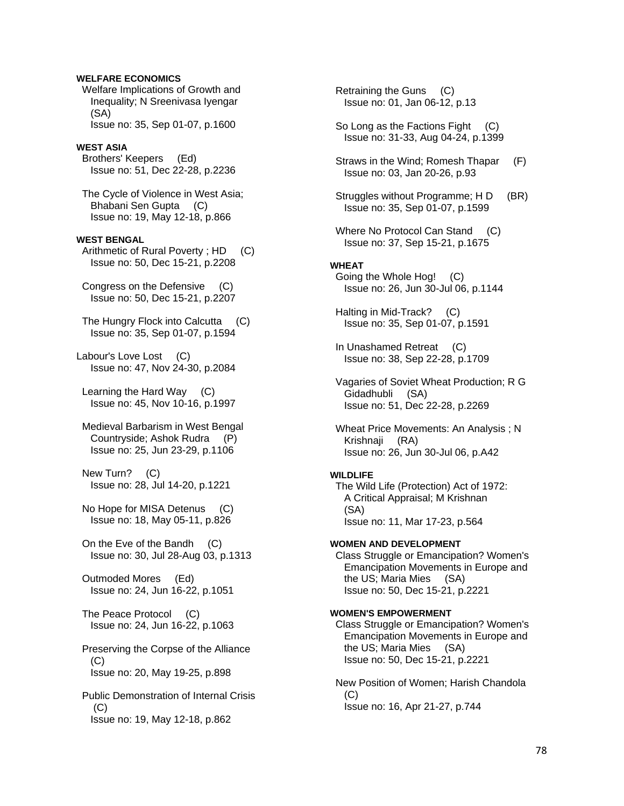### **WELFARE ECONOMICS**

 Welfare Implications of Growth and Inequality; N Sreenivasa Iyengar (SA) Issue no: 35, Sep 01-07, p.1600

#### **WEST ASIA**

 Brothers' Keepers (Ed) Issue no: 51, Dec 22-28, p.2236

 The Cycle of Violence in West Asia; Bhabani Sen Gupta (C) Issue no: 19, May 12-18, p.866

### **WEST BENGAL**

Arithmetic of Rural Poverty; HD (C) Issue no: 50, Dec 15-21, p.2208

 Congress on the Defensive (C) Issue no: 50, Dec 15-21, p.2207

 The Hungry Flock into Calcutta (C) Issue no: 35, Sep 01-07, p.1594

Labour's Love Lost (C) Issue no: 47, Nov 24-30, p.2084

 Learning the Hard Way (C) Issue no: 45, Nov 10-16, p.1997

 Medieval Barbarism in West Bengal Countryside; Ashok Rudra (P) Issue no: 25, Jun 23-29, p.1106

 New Turn? (C) Issue no: 28, Jul 14-20, p.1221

 No Hope for MISA Detenus (C) Issue no: 18, May 05-11, p.826

 On the Eve of the Bandh (C) Issue no: 30, Jul 28-Aug 03, p.1313

 Outmoded Mores (Ed) Issue no: 24, Jun 16-22, p.1051

 The Peace Protocol (C) Issue no: 24, Jun 16-22, p.1063

 Preserving the Corpse of the Alliance  $(C)$ Issue no: 20, May 19-25, p.898

 Public Demonstration of Internal Crisis  $(C)$ Issue no: 19, May 12-18, p.862

 Retraining the Guns (C) Issue no: 01, Jan 06-12, p.13

 So Long as the Factions Fight (C) Issue no: 31-33, Aug 04-24, p.1399

 Straws in the Wind; Romesh Thapar (F) Issue no: 03, Jan 20-26, p.93

 Struggles without Programme; H D (BR) Issue no: 35, Sep 01-07, p.1599

Where No Protocol Can Stand (C) Issue no: 37, Sep 15-21, p.1675

#### **WHEAT**

 Going the Whole Hog! (C) Issue no: 26, Jun 30-Jul 06, p.1144

 Halting in Mid-Track? (C) Issue no: 35, Sep 01-07, p.1591

 In Unashamed Retreat (C) Issue no: 38, Sep 22-28, p.1709

 Vagaries of Soviet Wheat Production; R G Gidadhubli (SA) Issue no: 51, Dec 22-28, p.2269

 Wheat Price Movements: An Analysis ; N Krishnaji (RA) Issue no: 26, Jun 30-Jul 06, p.A42

#### **WILDLIFE**

 The Wild Life (Protection) Act of 1972: A Critical Appraisal; M Krishnan (SA) Issue no: 11, Mar 17-23, p.564

### **WOMEN AND DEVELOPMENT**

 Class Struggle or Emancipation? Women's Emancipation Movements in Europe and the US; Maria Mies (SA) Issue no: 50, Dec 15-21, p.2221

### **WOMEN'S EMPOWERMENT**

 Class Struggle or Emancipation? Women's Emancipation Movements in Europe and the US; Maria Mies (SA) Issue no: 50, Dec 15-21, p.2221

 New Position of Women; Harish Chandola  $(C)$ Issue no: 16, Apr 21-27, p.744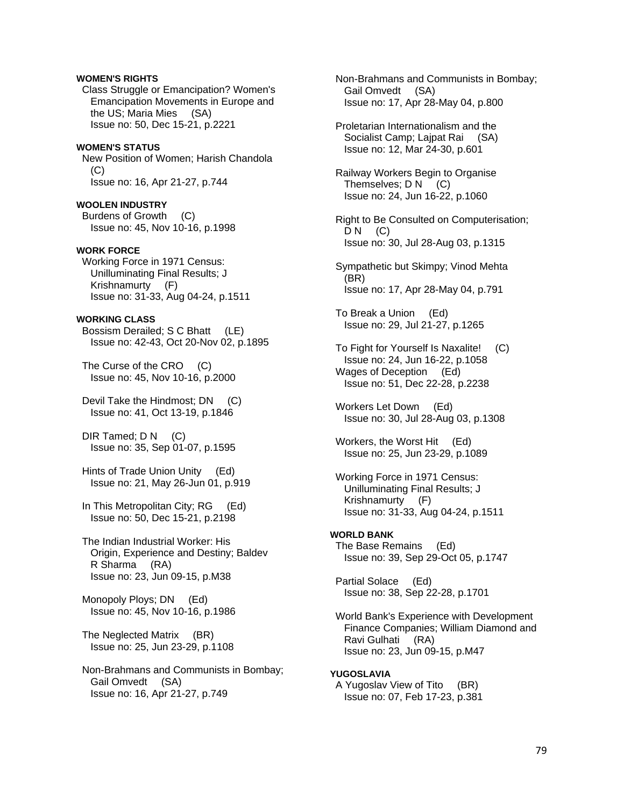### **WOMEN'S RIGHTS**

 Class Struggle or Emancipation? Women's Emancipation Movements in Europe and the US; Maria Mies (SA) Issue no: 50, Dec 15-21, p.2221

# **WOMEN'S STATUS**

 New Position of Women; Harish Chandola  $(C)$ Issue no: 16, Apr 21-27, p.744

**WOOLEN INDUSTRY**  Burdens of Growth (C) Issue no: 45, Nov 10-16, p.1998

### **WORK FORCE**

 Working Force in 1971 Census: Unilluminating Final Results; J Krishnamurty (F) Issue no: 31-33, Aug 04-24, p.1511

#### **WORKING CLASS**

 Bossism Derailed; S C Bhatt (LE) Issue no: 42-43, Oct 20-Nov 02, p.1895

The Curse of the CRO (C) Issue no: 45, Nov 10-16, p.2000

Devil Take the Hindmost; DN (C) Issue no: 41, Oct 13-19, p.1846

DIR Tamed; D N (C) Issue no: 35, Sep 01-07, p.1595

 Hints of Trade Union Unity (Ed) Issue no: 21, May 26-Jun 01, p.919

In This Metropolitan City; RG (Ed) Issue no: 50, Dec 15-21, p.2198

 The Indian Industrial Worker: His Origin, Experience and Destiny; Baldev R Sharma (RA) Issue no: 23, Jun 09-15, p.M38

 Monopoly Ploys; DN (Ed) Issue no: 45, Nov 10-16, p.1986

 The Neglected Matrix (BR) Issue no: 25, Jun 23-29, p.1108

 Non-Brahmans and Communists in Bombay; Gail Omvedt (SA) Issue no: 16, Apr 21-27, p.749

 Non-Brahmans and Communists in Bombay; Gail Omvedt (SA) Issue no: 17, Apr 28-May 04, p.800

 Proletarian Internationalism and the Socialist Camp: Laipat Rai (SA) Issue no: 12, Mar 24-30, p.601

 Railway Workers Begin to Organise Themselves; D N (C) Issue no: 24, Jun 16-22, p.1060

 Right to Be Consulted on Computerisation;  $DN$  (C) Issue no: 30, Jul 28-Aug 03, p.1315

 Sympathetic but Skimpy; Vinod Mehta (BR) Issue no: 17, Apr 28-May 04, p.791

 To Break a Union (Ed) Issue no: 29, Jul 21-27, p.1265

 To Fight for Yourself Is Naxalite! (C) Issue no: 24, Jun 16-22, p.1058 Wages of Deception (Ed) Issue no: 51, Dec 22-28, p.2238

 Workers Let Down (Ed) Issue no: 30, Jul 28-Aug 03, p.1308

 Workers, the Worst Hit (Ed) Issue no: 25, Jun 23-29, p.1089

 Working Force in 1971 Census: Unilluminating Final Results; J Krishnamurty (F) Issue no: 31-33, Aug 04-24, p.1511

#### **WORLD BANK**

 The Base Remains (Ed) Issue no: 39, Sep 29-Oct 05, p.1747

 Partial Solace (Ed) Issue no: 38, Sep 22-28, p.1701

 World Bank's Experience with Development Finance Companies; William Diamond and Ravi Gulhati (RA) Issue no: 23, Jun 09-15, p.M47

**YUGOSLAVIA**  A Yugoslav View of Tito (BR) Issue no: 07, Feb 17-23, p.381